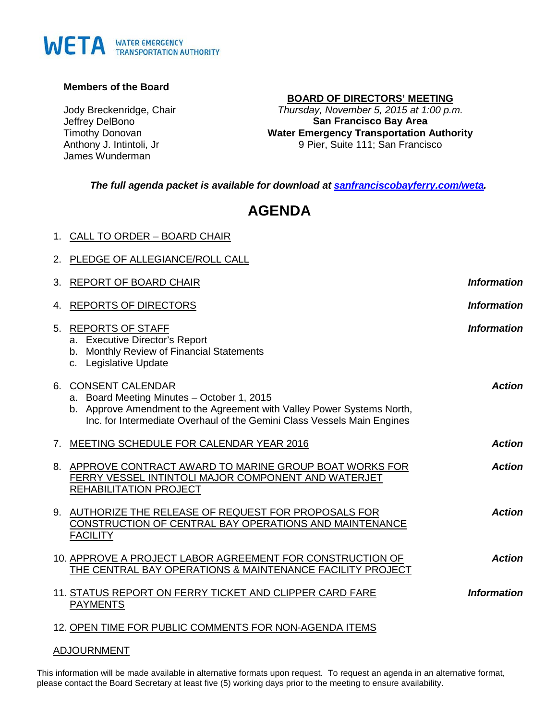# WETA WATER EMERGENCY

#### **Members of the Board**

Jody Breckenridge, Chair Jeffrey DelBono Timothy Donovan Anthony J. Intintoli, Jr James Wunderman

1. CALL TO ORDER – BOARD CHAIR

#### **BOARD OF DIRECTORS' MEETING**

*Thursday, November 5, 2015 at 1:00 p.m.* **San Francisco Bay Area Water Emergency Transportation Authority** 9 Pier, Suite 111; San Francisco

*The full agenda packet is available for download at [sanfranciscobayferry.com/weta.](http://www.sanfranciscobayferry.com/weta/next-board-meeting)*

## **AGENDA**

|    | 2. PLEDGE OF ALLEGIANCE/ROLL CALL                                                                                                                                                                                      |                    |
|----|------------------------------------------------------------------------------------------------------------------------------------------------------------------------------------------------------------------------|--------------------|
|    | 3. REPORT OF BOARD CHAIR                                                                                                                                                                                               | <b>Information</b> |
| 4. | <b>REPORTS OF DIRECTORS</b>                                                                                                                                                                                            | <b>Information</b> |
|    | 5. REPORTS OF STAFF<br>a. Executive Director's Report<br>b. Monthly Review of Financial Statements<br>c. Legislative Update                                                                                            | <b>Information</b> |
|    | 6. CONSENT CALENDAR<br>a. Board Meeting Minutes - October 1, 2015<br>b. Approve Amendment to the Agreement with Valley Power Systems North,<br>Inc. for Intermediate Overhaul of the Gemini Class Vessels Main Engines | <b>Action</b>      |
|    | 7. MEETING SCHEDULE FOR CALENDAR YEAR 2016                                                                                                                                                                             | <b>Action</b>      |
|    | 8. APPROVE CONTRACT AWARD TO MARINE GROUP BOAT WORKS FOR<br>FERRY VESSEL INTINTOLI MAJOR COMPONENT AND WATERJET<br><b>REHABILITATION PROJECT</b>                                                                       | <b>Action</b>      |
|    | 9. AUTHORIZE THE RELEASE OF REQUEST FOR PROPOSALS FOR<br>CONSTRUCTION OF CENTRAL BAY OPERATIONS AND MAINTENANCE<br><b>FACILITY</b>                                                                                     | <b>Action</b>      |
|    | 10. APPROVE A PROJECT LABOR AGREEMENT FOR CONSTRUCTION OF<br>THE CENTRAL BAY OPERATIONS & MAINTENANCE FACILITY PROJECT                                                                                                 | <b>Action</b>      |
|    | 11. STATUS REPORT ON FERRY TICKET AND CLIPPER CARD FARE<br><b>PAYMENTS</b>                                                                                                                                             | <b>Information</b> |
|    | 12. OPEN TIME FOR PUBLIC COMMENTS FOR NON-AGENDA ITEMS                                                                                                                                                                 |                    |

#### ADJOURNMENT

This information will be made available in alternative formats upon request. To request an agenda in an alternative format, please contact the Board Secretary at least five (5) working days prior to the meeting to ensure availability.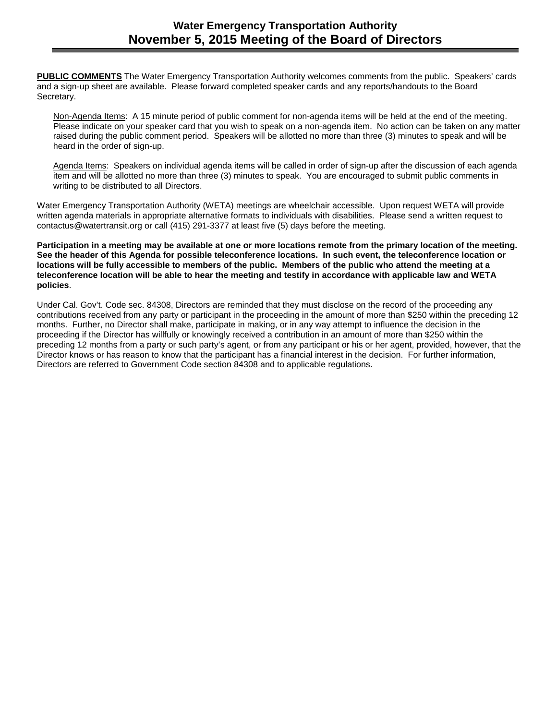**PUBLIC COMMENTS** The Water Emergency Transportation Authority welcomes comments from the public. Speakers' cards and a sign-up sheet are available. Please forward completed speaker cards and any reports/handouts to the Board Secretary.

Non-Agenda Items: A 15 minute period of public comment for non-agenda items will be held at the end of the meeting. Please indicate on your speaker card that you wish to speak on a non-agenda item. No action can be taken on any matter raised during the public comment period. Speakers will be allotted no more than three (3) minutes to speak and will be heard in the order of sign-up.

Agenda Items: Speakers on individual agenda items will be called in order of sign-up after the discussion of each agenda item and will be allotted no more than three (3) minutes to speak. You are encouraged to submit public comments in writing to be distributed to all Directors.

Water Emergency Transportation Authority (WETA) meetings are wheelchair accessible. Upon request WETA will provide written agenda materials in appropriate alternative formats to individuals with disabilities. Please send a written request to contactus@watertransit.org or call (415) 291-3377 at least five (5) days before the meeting.

**Participation in a meeting may be available at one or more locations remote from the primary location of the meeting. See the header of this Agenda for possible teleconference locations. In such event, the teleconference location or locations will be fully accessible to members of the public. Members of the public who attend the meeting at a teleconference location will be able to hear the meeting and testify in accordance with applicable law and WETA policies**.

Under Cal. Gov't. Code sec. 84308, Directors are reminded that they must disclose on the record of the proceeding any contributions received from any party or participant in the proceeding in the amount of more than \$250 within the preceding 12 months. Further, no Director shall make, participate in making, or in any way attempt to influence the decision in the proceeding if the Director has willfully or knowingly received a contribution in an amount of more than \$250 within the preceding 12 months from a party or such party's agent, or from any participant or his or her agent, provided, however, that the Director knows or has reason to know that the participant has a financial interest in the decision. For further information, Directors are referred to Government Code section 84308 and to applicable regulations.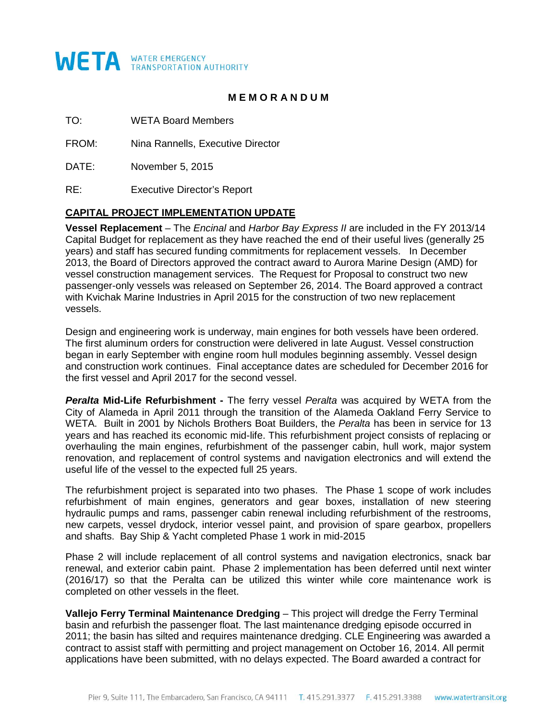

#### **M E M O R A N D U M**

TO: WETA Board Members

FROM: Nina Rannells, Executive Director

DATE: November 5, 2015

RE: Executive Director's Report

#### **CAPITAL PROJECT IMPLEMENTATION UPDATE**

**Vessel Replacement** – The *Encinal* and *Harbor Bay Express II* are included in the FY 2013/14 Capital Budget for replacement as they have reached the end of their useful lives (generally 25 years) and staff has secured funding commitments for replacement vessels. In December 2013, the Board of Directors approved the contract award to Aurora Marine Design (AMD) for vessel construction management services. The Request for Proposal to construct two new passenger-only vessels was released on September 26, 2014. The Board approved a contract with Kvichak Marine Industries in April 2015 for the construction of two new replacement vessels.

Design and engineering work is underway, main engines for both vessels have been ordered. The first aluminum orders for construction were delivered in late August. Vessel construction began in early September with engine room hull modules beginning assembly. Vessel design and construction work continues. Final acceptance dates are scheduled for December 2016 for the first vessel and April 2017 for the second vessel.

*Peralta* **Mid-Life Refurbishment -** The ferry vessel *Peralta* was acquired by WETA from the City of Alameda in April 2011 through the transition of the Alameda Oakland Ferry Service to WETA. Built in 2001 by Nichols Brothers Boat Builders, the *Peralta* has been in service for 13 years and has reached its economic mid-life. This refurbishment project consists of replacing or overhauling the main engines, refurbishment of the passenger cabin, hull work, major system renovation, and replacement of control systems and navigation electronics and will extend the useful life of the vessel to the expected full 25 years.

The refurbishment project is separated into two phases. The Phase 1 scope of work includes refurbishment of main engines, generators and gear boxes, installation of new steering hydraulic pumps and rams, passenger cabin renewal including refurbishment of the restrooms, new carpets, vessel drydock, interior vessel paint, and provision of spare gearbox, propellers and shafts. Bay Ship & Yacht completed Phase 1 work in mid-2015

Phase 2 will include replacement of all control systems and navigation electronics, snack bar renewal, and exterior cabin paint. Phase 2 implementation has been deferred until next winter (2016/17) so that the Peralta can be utilized this winter while core maintenance work is completed on other vessels in the fleet.

**Vallejo Ferry Terminal Maintenance Dredging** – This project will dredge the Ferry Terminal basin and refurbish the passenger float. The last maintenance dredging episode occurred in 2011; the basin has silted and requires maintenance dredging. CLE Engineering was awarded a contract to assist staff with permitting and project management on October 16, 2014. All permit applications have been submitted, with no delays expected. The Board awarded a contract for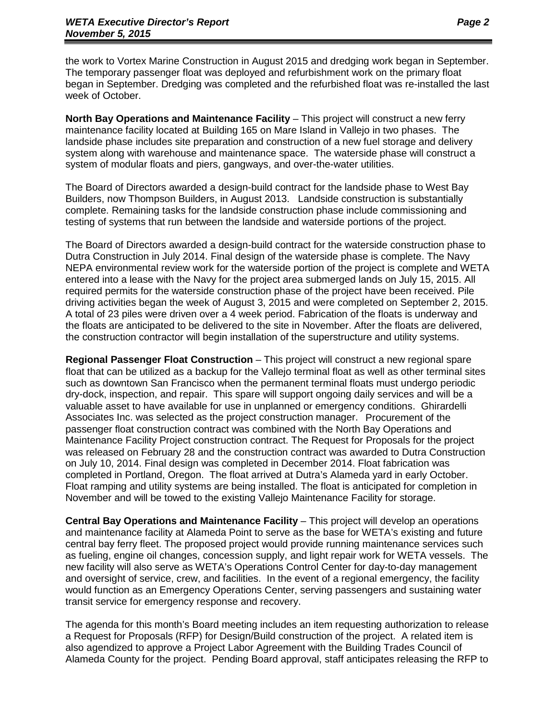the work to Vortex Marine Construction in August 2015 and dredging work began in September. The temporary passenger float was deployed and refurbishment work on the primary float began in September. Dredging was completed and the refurbished float was re-installed the last week of October.

**North Bay Operations and Maintenance Facility** – This project will construct a new ferry maintenance facility located at Building 165 on Mare Island in Vallejo in two phases. The landside phase includes site preparation and construction of a new fuel storage and delivery system along with warehouse and maintenance space. The waterside phase will construct a system of modular floats and piers, gangways, and over-the-water utilities.

The Board of Directors awarded a design-build contract for the landside phase to West Bay Builders, now Thompson Builders, in August 2013. Landside construction is substantially complete. Remaining tasks for the landside construction phase include commissioning and testing of systems that run between the landside and waterside portions of the project.

The Board of Directors awarded a design-build contract for the waterside construction phase to Dutra Construction in July 2014. Final design of the waterside phase is complete. The Navy NEPA environmental review work for the waterside portion of the project is complete and WETA entered into a lease with the Navy for the project area submerged lands on July 15, 2015. All required permits for the waterside construction phase of the project have been received. Pile driving activities began the week of August 3, 2015 and were completed on September 2, 2015. A total of 23 piles were driven over a 4 week period. Fabrication of the floats is underway and the floats are anticipated to be delivered to the site in November. After the floats are delivered, the construction contractor will begin installation of the superstructure and utility systems.

**Regional Passenger Float Construction** – This project will construct a new regional spare float that can be utilized as a backup for the Vallejo terminal float as well as other terminal sites such as downtown San Francisco when the permanent terminal floats must undergo periodic dry-dock, inspection, and repair. This spare will support ongoing daily services and will be a valuable asset to have available for use in unplanned or emergency conditions. Ghirardelli Associates Inc. was selected as the project construction manager. Procurement of the passenger float construction contract was combined with the North Bay Operations and Maintenance Facility Project construction contract. The Request for Proposals for the project was released on February 28 and the construction contract was awarded to Dutra Construction on July 10, 2014. Final design was completed in December 2014. Float fabrication was completed in Portland, Oregon. The float arrived at Dutra's Alameda yard in early October. Float ramping and utility systems are being installed. The float is anticipated for completion in November and will be towed to the existing Vallejo Maintenance Facility for storage.

**Central Bay Operations and Maintenance Facility** – This project will develop an operations and maintenance facility at Alameda Point to serve as the base for WETA's existing and future central bay ferry fleet. The proposed project would provide running maintenance services such as fueling, engine oil changes, concession supply, and light repair work for WETA vessels. The new facility will also serve as WETA's Operations Control Center for day-to-day management and oversight of service, crew, and facilities. In the event of a regional emergency, the facility would function as an Emergency Operations Center, serving passengers and sustaining water transit service for emergency response and recovery.

The agenda for this month's Board meeting includes an item requesting authorization to release a Request for Proposals (RFP) for Design/Build construction of the project. A related item is also agendized to approve a Project Labor Agreement with the Building Trades Council of Alameda County for the project. Pending Board approval, staff anticipates releasing the RFP to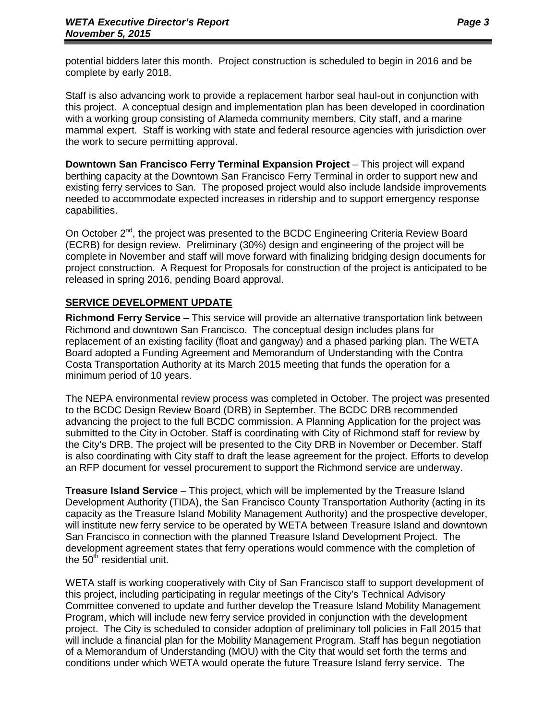potential bidders later this month. Project construction is scheduled to begin in 2016 and be complete by early 2018.

Staff is also advancing work to provide a replacement harbor seal haul-out in conjunction with this project. A conceptual design and implementation plan has been developed in coordination with a working group consisting of Alameda community members, City staff, and a marine mammal expert. Staff is working with state and federal resource agencies with jurisdiction over the work to secure permitting approval.

**Downtown San Francisco Ferry Terminal Expansion Project** – This project will expand berthing capacity at the Downtown San Francisco Ferry Terminal in order to support new and existing ferry services to San. The proposed project would also include landside improvements needed to accommodate expected increases in ridership and to support emergency response capabilities.

On October 2<sup>nd</sup>, the project was presented to the BCDC Engineering Criteria Review Board (ECRB) for design review. Preliminary (30%) design and engineering of the project will be complete in November and staff will move forward with finalizing bridging design documents for project construction. A Request for Proposals for construction of the project is anticipated to be released in spring 2016, pending Board approval.

#### **SERVICE DEVELOPMENT UPDATE**

**Richmond Ferry Service** – This service will provide an alternative transportation link between Richmond and downtown San Francisco. The conceptual design includes plans for replacement of an existing facility (float and gangway) and a phased parking plan. The WETA Board adopted a Funding Agreement and Memorandum of Understanding with the Contra Costa Transportation Authority at its March 2015 meeting that funds the operation for a minimum period of 10 years.

The NEPA environmental review process was completed in October. The project was presented to the BCDC Design Review Board (DRB) in September. The BCDC DRB recommended advancing the project to the full BCDC commission. A Planning Application for the project was submitted to the City in October. Staff is coordinating with City of Richmond staff for review by the City's DRB. The project will be presented to the City DRB in November or December. Staff is also coordinating with City staff to draft the lease agreement for the project. Efforts to develop an RFP document for vessel procurement to support the Richmond service are underway.

**Treasure Island Service** – This project, which will be implemented by the Treasure Island Development Authority (TIDA), the San Francisco County Transportation Authority (acting in its capacity as the Treasure Island Mobility Management Authority) and the prospective developer, will institute new ferry service to be operated by WETA between Treasure Island and downtown San Francisco in connection with the planned Treasure Island Development Project. The development agreement states that ferry operations would commence with the completion of the  $50<sup>th</sup>$  residential unit.

WETA staff is working cooperatively with City of San Francisco staff to support development of this project, including participating in regular meetings of the City's Technical Advisory Committee convened to update and further develop the Treasure Island Mobility Management Program, which will include new ferry service provided in conjunction with the development project. The City is scheduled to consider adoption of preliminary toll policies in Fall 2015 that will include a financial plan for the Mobility Management Program. Staff has begun negotiation of a Memorandum of Understanding (MOU) with the City that would set forth the terms and conditions under which WETA would operate the future Treasure Island ferry service. The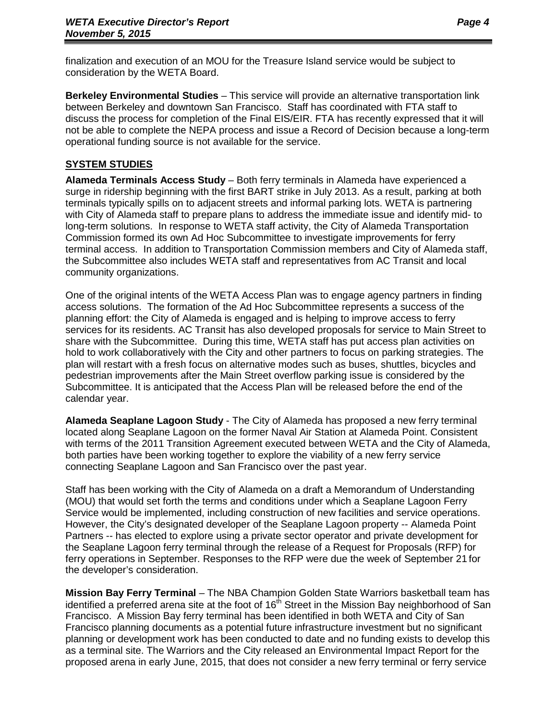finalization and execution of an MOU for the Treasure Island service would be subject to consideration by the WETA Board.

**Berkeley Environmental Studies** – This service will provide an alternative transportation link between Berkeley and downtown San Francisco. Staff has coordinated with FTA staff to discuss the process for completion of the Final EIS/EIR. FTA has recently expressed that it will not be able to complete the NEPA process and issue a Record of Decision because a long-term operational funding source is not available for the service.

#### **SYSTEM STUDIES**

**Alameda Terminals Access Study** – Both ferry terminals in Alameda have experienced a surge in ridership beginning with the first BART strike in July 2013. As a result, parking at both terminals typically spills on to adjacent streets and informal parking lots. WETA is partnering with City of Alameda staff to prepare plans to address the immediate issue and identify mid- to long-term solutions. In response to WETA staff activity, the City of Alameda Transportation Commission formed its own Ad Hoc Subcommittee to investigate improvements for ferry terminal access. In addition to Transportation Commission members and City of Alameda staff, the Subcommittee also includes WETA staff and representatives from AC Transit and local community organizations.

One of the original intents of the WETA Access Plan was to engage agency partners in finding access solutions. The formation of the Ad Hoc Subcommittee represents a success of the planning effort: the City of Alameda is engaged and is helping to improve access to ferry services for its residents. AC Transit has also developed proposals for service to Main Street to share with the Subcommittee. During this time, WETA staff has put access plan activities on hold to work collaboratively with the City and other partners to focus on parking strategies. The plan will restart with a fresh focus on alternative modes such as buses, shuttles, bicycles and pedestrian improvements after the Main Street overflow parking issue is considered by the Subcommittee. It is anticipated that the Access Plan will be released before the end of the calendar year.

**Alameda Seaplane Lagoon Study** - The City of Alameda has proposed a new ferry terminal located along Seaplane Lagoon on the former Naval Air Station at Alameda Point. Consistent with terms of the 2011 Transition Agreement executed between WETA and the City of Alameda, both parties have been working together to explore the viability of a new ferry service connecting Seaplane Lagoon and San Francisco over the past year.

Staff has been working with the City of Alameda on a draft a Memorandum of Understanding (MOU) that would set forth the terms and conditions under which a Seaplane Lagoon Ferry Service would be implemented, including construction of new facilities and service operations. However, the City's designated developer of the Seaplane Lagoon property -- Alameda Point Partners -- has elected to explore using a private sector operator and private development for the Seaplane Lagoon ferry terminal through the release of a Request for Proposals (RFP) for ferry operations in September. Responses to the RFP were due the week of September 21 for the developer's consideration.

**Mission Bay Ferry Terminal** – The NBA Champion Golden State Warriors basketball team has identified a preferred arena site at the foot of  $16<sup>th</sup>$  Street in the Mission Bay neighborhood of San Francisco. A Mission Bay ferry terminal has been identified in both WETA and City of San Francisco planning documents as a potential future infrastructure investment but no significant planning or development work has been conducted to date and no funding exists to develop this as a terminal site. The Warriors and the City released an Environmental Impact Report for the proposed arena in early June, 2015, that does not consider a new ferry terminal or ferry service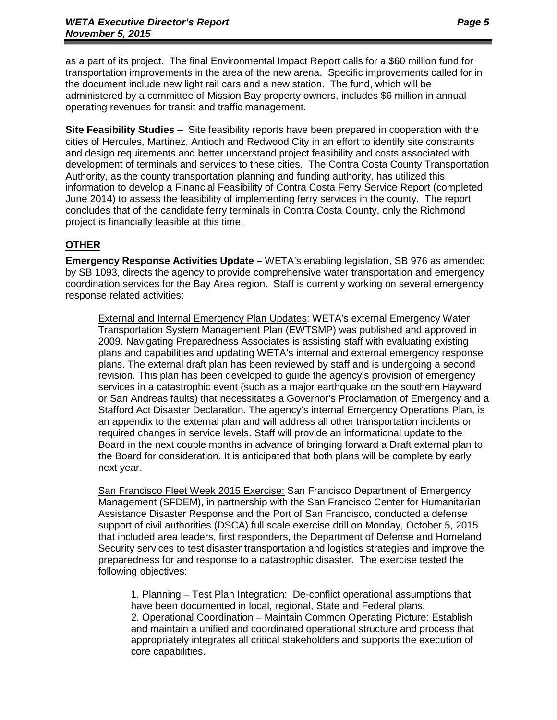as a part of its project. The final Environmental Impact Report calls for a \$60 million fund for transportation improvements in the area of the new arena. Specific improvements called for in the document include new light rail cars and a new station. The fund, which will be administered by a committee of Mission Bay property owners, includes \$6 million in annual operating revenues for transit and traffic management.

**Site Feasibility Studies** – Site feasibility reports have been prepared in cooperation with the cities of Hercules, Martinez, Antioch and Redwood City in an effort to identify site constraints and design requirements and better understand project feasibility and costs associated with development of terminals and services to these cities. The Contra Costa County Transportation Authority, as the county transportation planning and funding authority, has utilized this information to develop a Financial Feasibility of Contra Costa Ferry Service Report (completed June 2014) to assess the feasibility of implementing ferry services in the county. The report concludes that of the candidate ferry terminals in Contra Costa County, only the Richmond project is financially feasible at this time.

#### **OTHER**

**Emergency Response Activities Update –** WETA's enabling legislation, SB 976 as amended by SB 1093, directs the agency to provide comprehensive water transportation and emergency coordination services for the Bay Area region. Staff is currently working on several emergency response related activities:

External and Internal Emergency Plan Updates: WETA's external Emergency Water Transportation System Management Plan (EWTSMP) was published and approved in 2009. Navigating Preparedness Associates is assisting staff with evaluating existing plans and capabilities and updating WETA's internal and external emergency response plans. The external draft plan has been reviewed by staff and is undergoing a second revision. This plan has been developed to guide the agency's provision of emergency services in a catastrophic event (such as a major earthquake on the southern Hayward or San Andreas faults) that necessitates a Governor's Proclamation of Emergency and a Stafford Act Disaster Declaration. The agency's internal Emergency Operations Plan, is an appendix to the external plan and will address all other transportation incidents or required changes in service levels. Staff will provide an informational update to the Board in the next couple months in advance of bringing forward a Draft external plan to the Board for consideration. It is anticipated that both plans will be complete by early next year.

San Francisco Fleet Week 2015 Exercise: San Francisco Department of Emergency Management (SFDEM), in partnership with the San Francisco Center for Humanitarian Assistance Disaster Response and the Port of San Francisco, conducted a defense support of civil authorities (DSCA) full scale exercise drill on Monday, October 5, 2015 that included area leaders, first responders, the Department of Defense and Homeland Security services to test disaster transportation and logistics strategies and improve the preparedness for and response to a catastrophic disaster. The exercise tested the following objectives:

1. Planning – Test Plan Integration: De-conflict operational assumptions that have been documented in local, regional, State and Federal plans. 2. Operational Coordination – Maintain Common Operating Picture: Establish and maintain a unified and coordinated operational structure and process that appropriately integrates all critical stakeholders and supports the execution of core capabilities.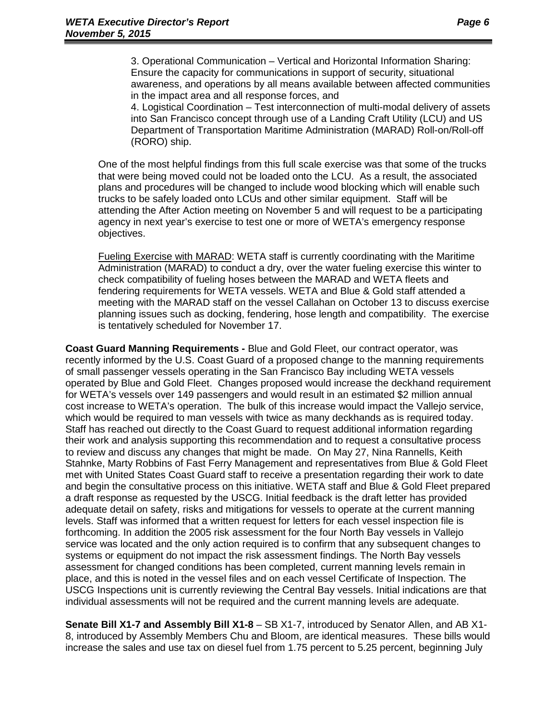3. Operational Communication – Vertical and Horizontal Information Sharing: Ensure the capacity for communications in support of security, situational awareness, and operations by all means available between affected communities in the impact area and all response forces, and

4. Logistical Coordination – Test interconnection of multi-modal delivery of assets into San Francisco concept through use of a Landing Craft Utility (LCU) and US Department of Transportation Maritime Administration (MARAD) Roll-on/Roll-off (RORO) ship.

One of the most helpful findings from this full scale exercise was that some of the trucks that were being moved could not be loaded onto the LCU. As a result, the associated plans and procedures will be changed to include wood blocking which will enable such trucks to be safely loaded onto LCUs and other similar equipment. Staff will be attending the After Action meeting on November 5 and will request to be a participating agency in next year's exercise to test one or more of WETA's emergency response objectives.

Fueling Exercise with MARAD: WETA staff is currently coordinating with the Maritime Administration (MARAD) to conduct a dry, over the water fueling exercise this winter to check compatibility of fueling hoses between the MARAD and WETA fleets and fendering requirements for WETA vessels. WETA and Blue & Gold staff attended a meeting with the MARAD staff on the vessel Callahan on October 13 to discuss exercise planning issues such as docking, fendering, hose length and compatibility. The exercise is tentatively scheduled for November 17.

**Coast Guard Manning Requirements -** Blue and Gold Fleet, our contract operator, was recently informed by the U.S. Coast Guard of a proposed change to the manning requirements of small passenger vessels operating in the San Francisco Bay including WETA vessels operated by Blue and Gold Fleet. Changes proposed would increase the deckhand requirement for WETA's vessels over 149 passengers and would result in an estimated \$2 million annual cost increase to WETA's operation. The bulk of this increase would impact the Vallejo service, which would be required to man vessels with twice as many deckhands as is required today. Staff has reached out directly to the Coast Guard to request additional information regarding their work and analysis supporting this recommendation and to request a consultative process to review and discuss any changes that might be made. On May 27, Nina Rannells, Keith Stahnke, Marty Robbins of Fast Ferry Management and representatives from Blue & Gold Fleet met with United States Coast Guard staff to receive a presentation regarding their work to date and begin the consultative process on this initiative. WETA staff and Blue & Gold Fleet prepared a draft response as requested by the USCG. Initial feedback is the draft letter has provided adequate detail on safety, risks and mitigations for vessels to operate at the current manning levels. Staff was informed that a written request for letters for each vessel inspection file is forthcoming. In addition the 2005 risk assessment for the four North Bay vessels in Vallejo service was located and the only action required is to confirm that any subsequent changes to systems or equipment do not impact the risk assessment findings. The North Bay vessels assessment for changed conditions has been completed, current manning levels remain in place, and this is noted in the vessel files and on each vessel Certificate of Inspection. The USCG Inspections unit is currently reviewing the Central Bay vessels. Initial indications are that individual assessments will not be required and the current manning levels are adequate.

**Senate Bill X1-7 and Assembly Bill X1-8** – SB X1-7, introduced by Senator Allen, and AB X1- 8, introduced by Assembly Members Chu and Bloom, are identical measures. These bills would increase the sales and use tax on diesel fuel from 1.75 percent to 5.25 percent, beginning July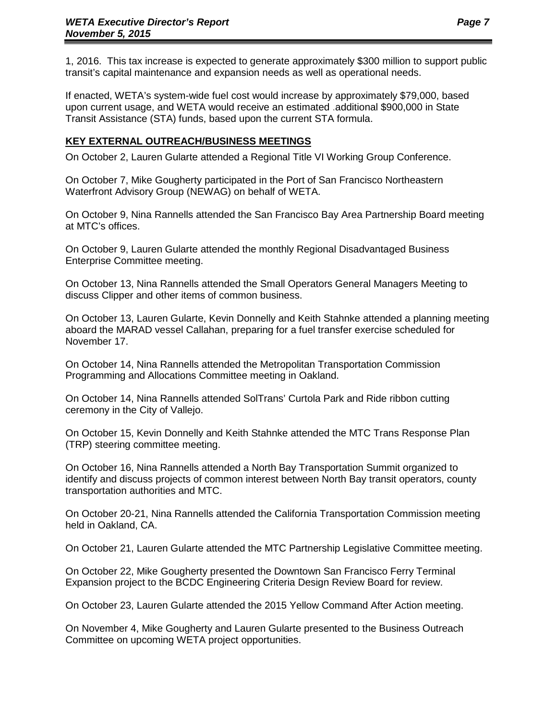1, 2016. This tax increase is expected to generate approximately \$300 million to support public transit's capital maintenance and expansion needs as well as operational needs.

If enacted, WETA's system-wide fuel cost would increase by approximately \$79,000, based upon current usage, and WETA would receive an estimated .additional \$900,000 in State Transit Assistance (STA) funds, based upon the current STA formula.

#### **KEY EXTERNAL OUTREACH/BUSINESS MEETINGS**

On October 2, Lauren Gularte attended a Regional Title VI Working Group Conference.

On October 7, Mike Gougherty participated in the Port of San Francisco Northeastern Waterfront Advisory Group (NEWAG) on behalf of WETA.

On October 9, Nina Rannells attended the San Francisco Bay Area Partnership Board meeting at MTC's offices.

On October 9, Lauren Gularte attended the monthly Regional Disadvantaged Business Enterprise Committee meeting.

On October 13, Nina Rannells attended the Small Operators General Managers Meeting to discuss Clipper and other items of common business.

On October 13, Lauren Gularte, Kevin Donnelly and Keith Stahnke attended a planning meeting aboard the MARAD vessel Callahan, preparing for a fuel transfer exercise scheduled for November 17.

On October 14, Nina Rannells attended the Metropolitan Transportation Commission Programming and Allocations Committee meeting in Oakland.

On October 14, Nina Rannells attended SolTrans' Curtola Park and Ride ribbon cutting ceremony in the City of Vallejo.

On October 15, Kevin Donnelly and Keith Stahnke attended the MTC Trans Response Plan (TRP) steering committee meeting.

On October 16, Nina Rannells attended a North Bay Transportation Summit organized to identify and discuss projects of common interest between North Bay transit operators, county transportation authorities and MTC.

On October 20-21, Nina Rannells attended the California Transportation Commission meeting held in Oakland, CA.

On October 21, Lauren Gularte attended the MTC Partnership Legislative Committee meeting.

On October 22, Mike Gougherty presented the Downtown San Francisco Ferry Terminal Expansion project to the BCDC Engineering Criteria Design Review Board for review.

On October 23, Lauren Gularte attended the 2015 Yellow Command After Action meeting.

On November 4, Mike Gougherty and Lauren Gularte presented to the Business Outreach Committee on upcoming WETA project opportunities.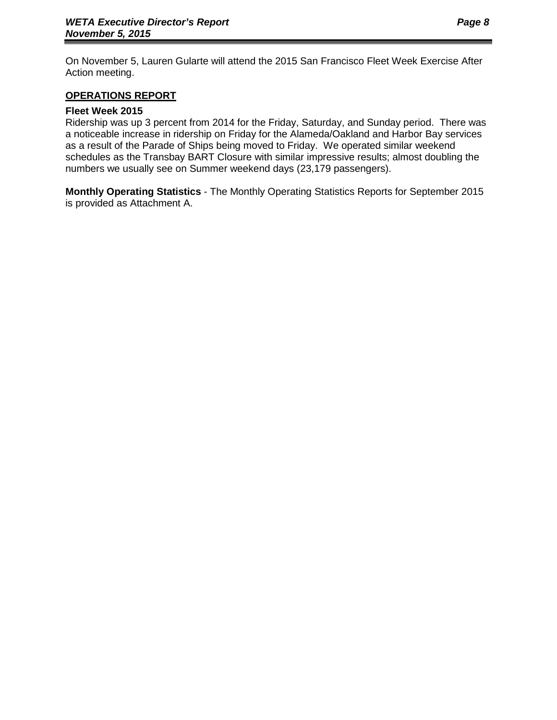On November 5, Lauren Gularte will attend the 2015 San Francisco Fleet Week Exercise After Action meeting.

#### **OPERATIONS REPORT**

#### **Fleet Week 2015**

Ridership was up 3 percent from 2014 for the Friday, Saturday, and Sunday period. There was a noticeable increase in ridership on Friday for the Alameda/Oakland and Harbor Bay services as a result of the Parade of Ships being moved to Friday. We operated similar weekend schedules as the Transbay BART Closure with similar impressive results; almost doubling the numbers we usually see on Summer weekend days (23,179 passengers).

**Monthly Operating Statistics** - The Monthly Operating Statistics Reports for September 2015 is provided as Attachment A.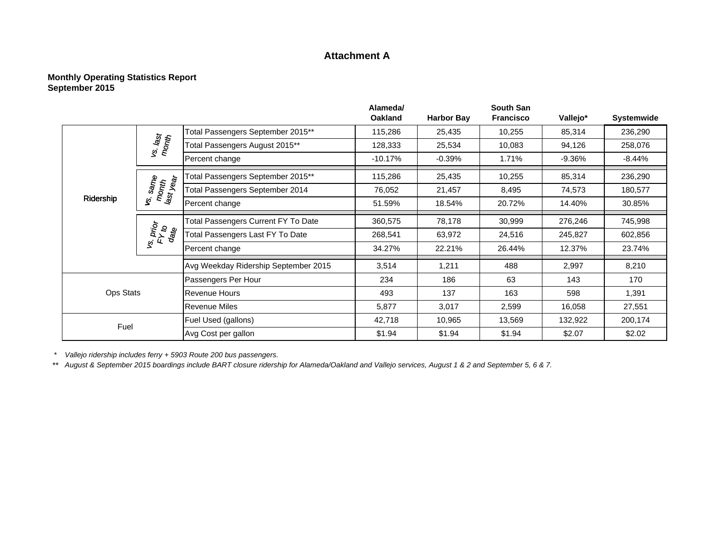#### **Attachment A**

#### **Monthly Operating Statistics Report September 2015**

|           |                                |                                      | Alameda/<br><b>Oakland</b> | <b>Harbor Bay</b> | <b>South San</b><br><b>Francisco</b> |                                                                                                                                                                                                           |           |
|-----------|--------------------------------|--------------------------------------|----------------------------|-------------------|--------------------------------------|-----------------------------------------------------------------------------------------------------------------------------------------------------------------------------------------------------------|-----------|
|           |                                |                                      |                            |                   |                                      |                                                                                                                                                                                                           |           |
|           |                                | Total Passengers September 2015**    | 115,286                    | 25,435            | 10,255                               |                                                                                                                                                                                                           |           |
|           | vs. last<br>month              | Total Passengers August 2015**       | 128,333                    | 25,534            | 10,083                               | 94,126                                                                                                                                                                                                    | 258,076   |
|           |                                | Percent change                       | $-10.17%$                  | $-0.39%$          | 1.71%                                | $-9.36%$                                                                                                                                                                                                  | $-8.44\%$ |
|           |                                | Fotal Passengers September 2015**    | 115,286                    | 25,435            | 10,255                               | 85,314                                                                                                                                                                                                    | 236,290   |
|           | vs. same<br>month<br>last year | Total Passengers September 2014      | 76,052                     | 21,457            | 8,495                                | Vallejo*<br><b>Systemwide</b><br>85,314<br>236,290<br>74,573<br>14.40%<br>276,246<br>245,827<br>12.37%<br>8,210<br>2,997<br>143<br>170<br>598<br>1,391<br>16,058<br>27,551<br>132,922<br>\$2.07<br>\$2.02 | 180,577   |
| Ridership |                                | Percent change                       | 51.59%                     | 18.54%            | 20.72%                               |                                                                                                                                                                                                           | 30.85%    |
|           | vs. prior<br>FY to<br>date     | Total Passengers Current FY To Date  | 360,575                    | 78,178            | 30,999                               |                                                                                                                                                                                                           | 745,998   |
|           |                                | Total Passengers Last FY To Date     | 268,541                    | 63,972            | 24,516                               |                                                                                                                                                                                                           | 602,856   |
|           |                                | Percent change                       | 34.27%                     | 22.21%            | 26.44%                               |                                                                                                                                                                                                           | 23.74%    |
|           |                                | Avg Weekday Ridership September 2015 | 3,514                      | 1,211             | 488                                  |                                                                                                                                                                                                           |           |
|           |                                | Passengers Per Hour                  | 234                        | 186               | 63                                   |                                                                                                                                                                                                           |           |
| Ops Stats |                                | <b>Revenue Hours</b>                 | 493                        | 137               | 163                                  |                                                                                                                                                                                                           |           |
|           |                                | <b>Revenue Miles</b>                 | 5,877                      | 3,017             | 2,599                                |                                                                                                                                                                                                           |           |
| Fuel      |                                | Fuel Used (gallons)                  | 42,718                     | 10,965            | 13,569                               |                                                                                                                                                                                                           | 200,174   |
|           |                                | Avg Cost per gallon                  | \$1.94                     | \$1.94            | \$1.94                               |                                                                                                                                                                                                           |           |

*\* Vallejo ridership includes ferry + 5903 Route 200 bus passengers.*

\*\* *August & September 2015 boardings include BART closure ridership for Alameda/Oakland and Vallejo services, August 1 & 2 and September 5, 6 & 7.*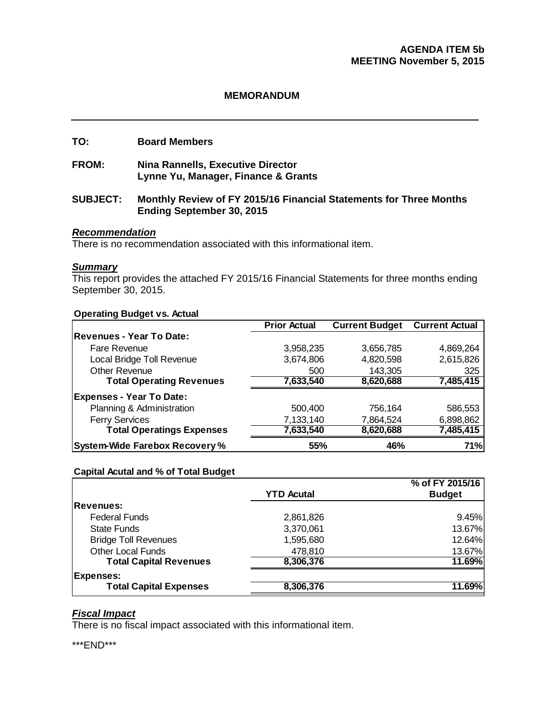#### **MEMORANDUM**

#### **TO: Board Members**

**FROM: Nina Rannells, Executive Director Lynne Yu, Manager, Finance & Grants** 

#### **SUBJECT: Monthly Review of FY 2015/16 Financial Statements for Three Months Ending September 30, 2015**

#### *Recommendation*

There is no recommendation associated with this informational item.

#### *Summary*

This report provides the attached FY 2015/16 Financial Statements for three months ending September 30, 2015.

#### **Operating Budget vs. Actual**

|                                       | <b>Prior Actual</b> | <b>Current Budget</b> | <b>Current Actual</b> |
|---------------------------------------|---------------------|-----------------------|-----------------------|
| <b>Revenues - Year To Date:</b>       |                     |                       |                       |
| <b>Fare Revenue</b>                   | 3,958,235           | 3,656,785             | 4,869,264             |
| Local Bridge Toll Revenue             | 3,674,806           | 4,820,598             | 2,615,826             |
| <b>Other Revenue</b>                  | 500                 | 143,305               | 325                   |
| <b>Total Operating Revenues</b>       | 7,633,540           | 8,620,688             | 7,485,415             |
| <b>Expenses - Year To Date:</b>       |                     |                       |                       |
| Planning & Administration             | 500,400             | 756,164               | 586,553               |
| <b>Ferry Services</b>                 | 7,133,140           | 7,864,524             | 6,898,862             |
| <b>Total Operatings Expenses</b>      | 7,633,540           | 8,620,688             | 7,485,415             |
| <b>System-Wide Farebox Recovery %</b> | 55%                 | 46%                   | 71%                   |

#### **Capital Acutal and % of Total Budget**

|                               |                   | % of FY 2015/16 |
|-------------------------------|-------------------|-----------------|
|                               | <b>YTD Acutal</b> | <b>Budget</b>   |
| <b>Revenues:</b>              |                   |                 |
| <b>Federal Funds</b>          | 2,861,826         | 9.45%           |
| <b>State Funds</b>            | 3,370,061         | 13.67%          |
| <b>Bridge Toll Revenues</b>   | 1,595,680         | 12.64%          |
| <b>Other Local Funds</b>      | 478,810           | 13.67%          |
| <b>Total Capital Revenues</b> | 8,306,376         | 11.69%          |
| <b>Expenses:</b>              |                   |                 |
| <b>Total Capital Expenses</b> | 8,306,376         | 11.69%          |

#### *Fiscal Impact*

There is no fiscal impact associated with this informational item.

\*\*\*END\*\*\*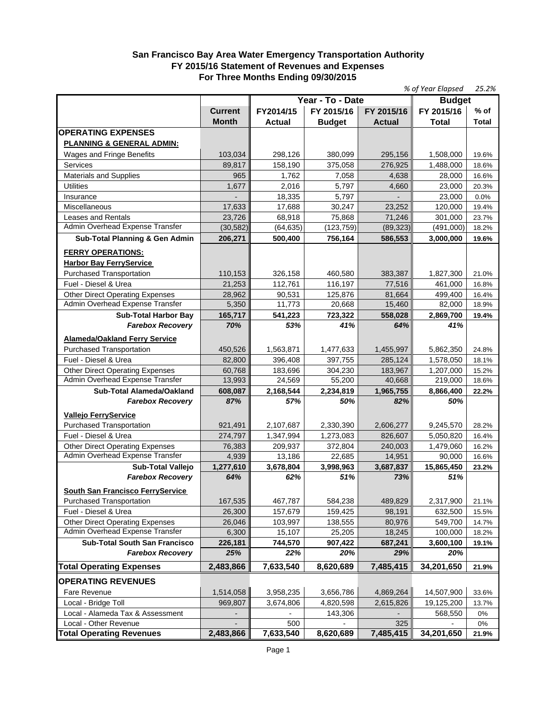#### **San Francisco Bay Area Water Emergency Transportation Authority FY 2015/16 Statement of Revenues and Expenses For Three Months Ending 09/30/2015**

|                                                                |                 |                   |                   |                   | % of Year Elapsed   | 25.2%          |
|----------------------------------------------------------------|-----------------|-------------------|-------------------|-------------------|---------------------|----------------|
|                                                                |                 |                   | Year - To - Date  |                   | <b>Budget</b>       |                |
|                                                                | <b>Current</b>  | FY2014/15         | FY 2015/16        | FY 2015/16        | FY 2015/16          | $%$ of         |
|                                                                | <b>Month</b>    | Actual            | <b>Budget</b>     | <b>Actual</b>     | <b>Total</b>        | <b>Total</b>   |
| <b>OPERATING EXPENSES</b>                                      |                 |                   |                   |                   |                     |                |
| <b>PLANNING &amp; GENERAL ADMIN:</b>                           |                 |                   |                   |                   |                     |                |
| Wages and Fringe Benefits                                      | 103,034         | 298,126           | 380,099           | 295,156           | 1,508,000           | 19.6%          |
| Services                                                       | 89,817          | 158,190           | 375,058           | 276,925           | 1,488,000           | 18.6%          |
| <b>Materials and Supplies</b>                                  | 965             | 1,762             | 7,058             | 4,638             | 28,000              | 16.6%          |
| <b>Utilities</b>                                               | 1,677           | 2,016             | 5,797             | 4,660             | 23,000              | 20.3%          |
| Insurance                                                      |                 | 18,335            | 5,797             |                   | 23,000              | 0.0%           |
| Miscellaneous                                                  | 17,633          | 17.688            | 30,247            | 23,252            | 120,000             | 19.4%          |
| Leases and Rentals                                             | 23,726          | 68,918            | 75,868            | 71,246            | 301,000             | 23.7%          |
| Admin Overhead Expense Transfer                                | (30, 582)       | (64, 635)         | (123, 759)        | (89, 323)         | (491,000)           | 18.2%          |
| Sub-Total Planning & Gen Admin                                 | 206,271         | 500,400           | 756,164           | 586,553           | 3,000,000           | 19.6%          |
|                                                                |                 |                   |                   |                   |                     |                |
| <b>FERRY OPERATIONS:</b>                                       |                 |                   |                   |                   |                     |                |
| <b>Harbor Bay FerryService</b>                                 |                 |                   |                   |                   |                     |                |
| <b>Purchased Transportation</b>                                | 110,153         | 326,158           | 460,580           | 383,387           | 1,827,300           | 21.0%          |
| Fuel - Diesel & Urea                                           | 21,253          | 112,761           | 116,197           | 77,516            | 461,000             | 16.8%          |
| <b>Other Direct Operating Expenses</b>                         | 28,962          | 90,531            | 125,876           | 81,664            | 499,400             | 16.4%          |
| Admin Overhead Expense Transfer                                | 5,350           | 11,773            | 20,668            | 15,460            | 82,000              | 18.9%          |
| <b>Sub-Total Harbor Bay</b>                                    | 165,717         | 541,223           | 723,322           | 558,028           | 2,869,700           | 19.4%          |
| <b>Farebox Recovery</b>                                        | 70%             | 53%               | 41%               | 64%               | 41%                 |                |
| <b>Alameda/Oakland Ferry Service</b>                           |                 |                   |                   |                   |                     |                |
| <b>Purchased Transportation</b>                                | 450,526         | 1,563,871         | 1,477,633         | 1,455,997         | 5,862,350           | 24.8%          |
| Fuel - Diesel & Urea                                           | 82,800          | 396,408           | 397,755           | 285,124           | 1,578,050           | 18.1%          |
| <b>Other Direct Operating Expenses</b>                         | 60,768          | 183,696           | 304,230           | 183,967           | 1,207,000           | 15.2%          |
| Admin Overhead Expense Transfer                                | 13,993          | 24,569            | 55,200            | 40,668            | 219,000             | 18.6%          |
| Sub-Total Alameda/Oakland                                      | 608,087         | 2,168,544         | 2,234,819         | 1,965,755         | 8,866,400           | 22.2%          |
| <b>Farebox Recovery</b>                                        | 87%             | 57%               | 50%               | 82%               | 50%                 |                |
|                                                                |                 |                   |                   |                   |                     |                |
| <b>Vallejo FerryService</b><br><b>Purchased Transportation</b> |                 |                   |                   |                   |                     |                |
| Fuel - Diesel & Urea                                           | 921,491         | 2,107,687         | 2,330,390         | 2,606,277         | 9,245,570           | 28.2%          |
| <b>Other Direct Operating Expenses</b>                         | 274,797         | 1,347,994         | 1,273,083         | 826,607           | 5,050,820           | 16.4%          |
| Admin Overhead Expense Transfer                                | 76,383<br>4,939 | 209,937<br>13,186 | 372,804<br>22,685 | 240,003<br>14,951 | 1,479,060<br>90,000 | 16.2%<br>16.6% |
| <b>Sub-Total Vallejo</b>                                       | 1,277,610       |                   |                   |                   | 15,865,450          |                |
| <b>Farebox Recovery</b>                                        | 64%             | 3,678,804<br>62%  | 3,998,963<br>51%  | 3,687,837<br>73%  | 51%                 | 23.2%          |
|                                                                |                 |                   |                   |                   |                     |                |
| South San Francisco FerryService                               |                 |                   |                   |                   |                     |                |
| <b>Purchased Transportation</b>                                | 167,535         | 467,787           | 584,238           | 489,829           | 2,317,900           | 21.1%          |
| Fuel - Diesel & Urea                                           | 26,300          | 157,679           | 159,425           | 98,191            | 632,500             | 15.5%          |
| <b>Other Direct Operating Expenses</b>                         | 26,046          | 103,997           | 138,555           | 80,976            | 549,700             | 14.7%          |
| Admin Overhead Expense Transfer                                | 6,300           | 15,107            | 25,205            | 18,245            | 100,000             | 18.2%          |
| Sub-Total South San Francisco                                  | 226,181         | 744,570           | 907,422           | 687,241           | 3,600,100           | 19.1%          |
| <b>Farebox Recovery</b>                                        | 25%             | 22%               | 20%               | 29%               | 20%                 |                |
| <b>Total Operating Expenses</b>                                | 2,483,866       | 7,633,540         | 8,620,689         | 7,485,415         | 34,201,650          | 21.9%          |
| <b>OPERATING REVENUES</b>                                      |                 |                   |                   |                   |                     |                |
| Fare Revenue                                                   | 1,514,058       | 3,958,235         | 3,656,786         | 4,869,264         | 14,507,900          | 33.6%          |
| Local - Bridge Toll                                            | 969,807         | 3,674,806         | 4,820,598         | 2,615,826         | 19,125,200          | 13.7%          |
| Local - Alameda Tax & Assessment                               |                 |                   | 143,306           |                   | 568,550             | 0%             |
| Local - Other Revenue                                          |                 | 500               |                   | 325               |                     | 0%             |
| <b>Total Operating Revenues</b>                                | 2,483,866       | 7,633,540         | 8,620,689         | 7,485,415         | 34,201,650          | 21.9%          |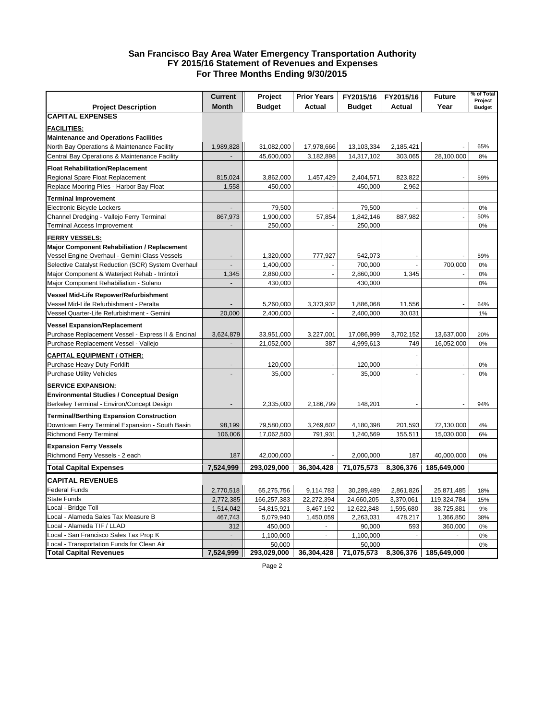#### **San Francisco Bay Area Water Emergency Transportation Authority FY 2015/16 Statement of Revenues and Expenses For Three Months Ending 9/30/2015**

|                                                    | <b>Current</b>           | Project       | <b>Prior Years</b> | FY2015/16     | FY2015/16      | <b>Future</b> | % of Total<br>Project |
|----------------------------------------------------|--------------------------|---------------|--------------------|---------------|----------------|---------------|-----------------------|
| <b>Project Description</b>                         | <b>Month</b>             | <b>Budget</b> | <b>Actual</b>      | <b>Budget</b> | Actual         | Year          | <b>Budget</b>         |
| <b>CAPITAL EXPENSES</b>                            |                          |               |                    |               |                |               |                       |
| <b>FACILITIES:</b>                                 |                          |               |                    |               |                |               |                       |
| <b>Maintenance and Operations Facilities</b>       |                          |               |                    |               |                |               |                       |
| North Bay Operations & Maintenance Facility        | 1,989,828                | 31,082,000    | 17,978,666         | 13,103,334    | 2,185,421      |               | 65%                   |
| Central Bay Operations & Maintenance Facility      |                          | 45,600,000    | 3,182,898          | 14,317,102    | 303,065        | 28,100,000    | 8%                    |
|                                                    |                          |               |                    |               |                |               |                       |
| <b>Float Rehabilitation/Replacement</b>            |                          |               |                    |               |                |               |                       |
| Regional Spare Float Replacement                   | 815,024                  | 3,862,000     | 1,457,429          | 2,404,571     | 823,822        |               | 59%                   |
| Replace Mooring Piles - Harbor Bay Float           | 1,558                    | 450,000       |                    | 450,000       | 2,962          |               |                       |
| <b>Terminal Improvement</b>                        |                          |               |                    |               |                |               |                       |
| Electronic Bicycle Lockers                         | $\overline{\phantom{a}}$ | 79,500        | ÷,                 | 79,500        |                | $\sim$        | 0%                    |
| Channel Dredging - Vallejo Ferry Terminal          | 867,973                  | 1,900,000     | 57,854             | 1,842,146     | 887,982        | $\Box$        | 50%                   |
| Terminal Access Improvement                        |                          | 250,000       |                    | 250,000       |                |               | 0%                    |
| <b>FERRY VESSELS:</b>                              |                          |               |                    |               |                |               |                       |
| <b>Major Component Rehabiliation / Replacement</b> |                          |               |                    |               |                |               |                       |
| Vessel Engine Overhaul - Gemini Class Vessels      |                          | 1,320,000     | 777,927            | 542,073       |                |               | 59%                   |
| Selective Catalyst Reduction (SCR) System Overhaul |                          | 1,400,000     |                    | 700,000       | ÷,             | 700,000       | 0%                    |
| Major Component & Waterject Rehab - Intintoli      | 1,345                    | 2,860,000     | ä,                 | 2,860,000     | 1,345          | ÷,            | 0%                    |
| Major Component Rehabiliation - Solano             | $\sim$                   | 430,000       |                    | 430,000       |                |               | 0%                    |
| Vessel Mid-Life Repower/Refurbishment              |                          |               |                    |               |                |               |                       |
| Vessel Mid-Life Refurbishment - Peralta            |                          | 5,260,000     | 3,373,932          | 1,886,068     | 11,556         |               | 64%                   |
| Vessel Quarter-Life Refurbishment - Gemini         | 20,000                   | 2,400,000     |                    | 2,400,000     | 30,031         |               | 1%                    |
|                                                    |                          |               |                    |               |                |               |                       |
| <b>Vessel Expansion/Replacement</b>                |                          |               |                    |               |                |               |                       |
| Purchase Replacement Vessel - Express II & Encinal | 3,624,879                | 33,951,000    | 3,227,001          | 17,086,999    | 3,702,152      | 13,637,000    | 20%                   |
| Purchase Replacement Vessel - Vallejo              |                          | 21,052,000    | 387                | 4,999,613     | 749            | 16,052,000    | 0%                    |
| <b>CAPITAL EQUIPMENT / OTHER:</b>                  |                          |               |                    |               |                |               |                       |
| Purchase Heavy Duty Forklift                       |                          | 120,000       |                    | 120,000       |                |               | 0%                    |
| <b>Purchase Utility Vehicles</b>                   | $\overline{a}$           | 35,000        | $\overline{a}$     | 35,000        | $\overline{a}$ | $\Box$        | 0%                    |
| <b>SERVICE EXPANSION:</b>                          |                          |               |                    |               |                |               |                       |
| Environmental Studies / Conceptual Design          |                          |               |                    |               |                |               |                       |
| Berkeley Terminal - Environ/Concept Design         |                          | 2,335,000     | 2,186,799          | 148,201       |                |               | 94%                   |
| <b>Terminal/Berthing Expansion Construction</b>    |                          |               |                    |               |                |               |                       |
| Downtown Ferry Terminal Expansion - South Basin    | 98,199                   | 79,580,000    | 3,269,602          | 4,180,398     | 201,593        | 72,130,000    | 4%                    |
| <b>Richmond Ferry Terminal</b>                     | 106,006                  | 17,062,500    | 791,931            | 1,240,569     | 155,511        | 15,030,000    | 6%                    |
|                                                    |                          |               |                    |               |                |               |                       |
| <b>Expansion Ferry Vessels</b>                     |                          |               |                    |               |                |               |                       |
| Richmond Ferry Vessels - 2 each                    | 187                      | 42,000,000    |                    | 2,000,000     | 187            | 40,000,000    | 0%                    |
| <b>Total Capital Expenses</b>                      | 7,524,999                | 293,029,000   | 36,304,428         | 71,075,573    | 8,306,376      | 185,649,000   |                       |
| <b>CAPITAL REVENUES</b>                            |                          |               |                    |               |                |               |                       |
| Federal Funds                                      | 2,770,518                | 65,275,756    | 9,114,783          | 30,289,489    | 2,861,826      | 25,871,485    | 18%                   |
| State Funds                                        | 2,772,385                | 166,257,383   | 22,272,394         | 24,660,205    | 3,370,061      | 119,324,784   | 15%                   |
| _ocal - Bridge Toll                                | 1,514,042                | 54,815,921    | 3,467,192          | 12,622,848    | 1,595,680      | 38,725,881    | 9%                    |
| Local - Alameda Sales Tax Measure B                | 467,743                  | 5,079,940     | 1,450,059          | 2,263,031     | 478,217        | 1,366,850     | 38%                   |
| ocal - Alameda TIF / LLAD                          | 312                      | 450,000       |                    | 90,000        | 593            | 360,000       | 0%                    |
| Local - San Francisco Sales Tax Prop K             |                          | 1,100,000     | $\overline{a}$     | 1,100,000     |                |               | 0%                    |
| .ocal - Transportation Funds for Clean Air         |                          | 50,000        |                    | 50,000        |                |               | 0%                    |
| <b>Total Capital Revenues</b>                      | 7,524,999                | 293,029,000   | 36,304,428         | 71,075,573    | 8,306,376      | 185,649,000   |                       |

Page 2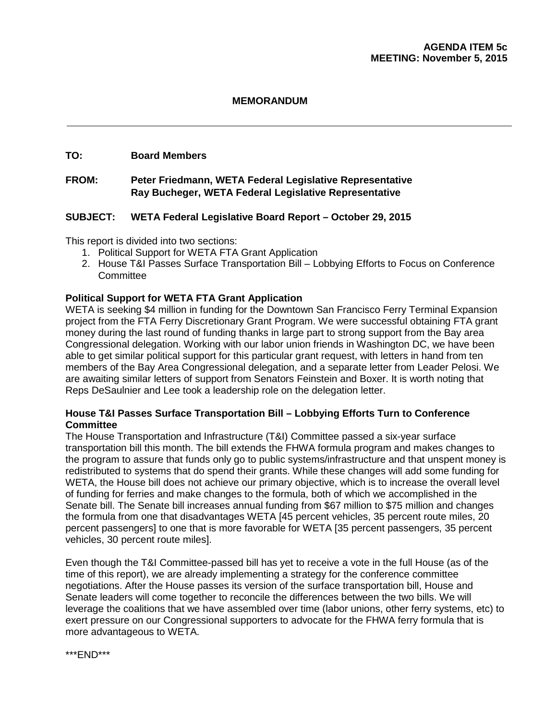#### **MEMORANDUM**

#### **TO: Board Members**

#### **FROM: Peter Friedmann, WETA Federal Legislative Representative Ray Bucheger, WETA Federal Legislative Representative**

#### **SUBJECT: WETA Federal Legislative Board Report – October 29, 2015**

This report is divided into two sections:

- 1. Political Support for WETA FTA Grant Application
- 2. House T&I Passes Surface Transportation Bill Lobbying Efforts to Focus on Conference **Committee**

#### **Political Support for WETA FTA Grant Application**

WETA is seeking \$4 million in funding for the Downtown San Francisco Ferry Terminal Expansion project from the FTA Ferry Discretionary Grant Program. We were successful obtaining FTA grant money during the last round of funding thanks in large part to strong support from the Bay area Congressional delegation. Working with our labor union friends in Washington DC, we have been able to get similar political support for this particular grant request, with letters in hand from ten members of the Bay Area Congressional delegation, and a separate letter from Leader Pelosi. We are awaiting similar letters of support from Senators Feinstein and Boxer. It is worth noting that Reps DeSaulnier and Lee took a leadership role on the delegation letter.

#### **House T&I Passes Surface Transportation Bill – Lobbying Efforts Turn to Conference Committee**

The House Transportation and Infrastructure (T&I) Committee passed a six-year surface transportation bill this month. The bill extends the FHWA formula program and makes changes to the program to assure that funds only go to public systems/infrastructure and that unspent money is redistributed to systems that do spend their grants. While these changes will add some funding for WETA, the House bill does not achieve our primary objective, which is to increase the overall level of funding for ferries and make changes to the formula, both of which we accomplished in the Senate bill. The Senate bill increases annual funding from \$67 million to \$75 million and changes the formula from one that disadvantages WETA [45 percent vehicles, 35 percent route miles, 20 percent passengers] to one that is more favorable for WETA [35 percent passengers, 35 percent vehicles, 30 percent route miles].

Even though the T&I Committee-passed bill has yet to receive a vote in the full House (as of the time of this report), we are already implementing a strategy for the conference committee negotiations. After the House passes its version of the surface transportation bill, House and Senate leaders will come together to reconcile the differences between the two bills. We will leverage the coalitions that we have assembled over time (labor unions, other ferry systems, etc) to exert pressure on our Congressional supporters to advocate for the FHWA ferry formula that is more advantageous to WETA.

\*\*\*END\*\*\*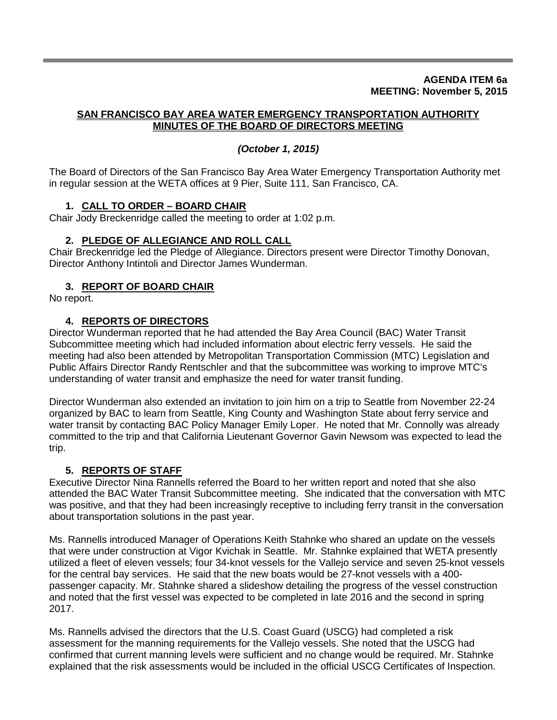#### **AGENDA ITEM 6a MEETING: November 5, 2015**

#### **SAN FRANCISCO BAY AREA WATER EMERGENCY TRANSPORTATION AUTHORITY MINUTES OF THE BOARD OF DIRECTORS MEETING**

#### *(October 1, 2015)*

The Board of Directors of the San Francisco Bay Area Water Emergency Transportation Authority met in regular session at the WETA offices at 9 Pier, Suite 111, San Francisco, CA.

#### **1. CALL TO ORDER – BOARD CHAIR**

Chair Jody Breckenridge called the meeting to order at 1:02 p.m.

#### **2. PLEDGE OF ALLEGIANCE AND ROLL CALL**

Chair Breckenridge led the Pledge of Allegiance. Directors present were Director Timothy Donovan, Director Anthony Intintoli and Director James Wunderman.

#### **3. REPORT OF BOARD CHAIR**

No report.

#### **4. REPORTS OF DIRECTORS**

Director Wunderman reported that he had attended the Bay Area Council (BAC) Water Transit Subcommittee meeting which had included information about electric ferry vessels. He said the meeting had also been attended by Metropolitan Transportation Commission (MTC) Legislation and Public Affairs Director Randy Rentschler and that the subcommittee was working to improve MTC's understanding of water transit and emphasize the need for water transit funding.

Director Wunderman also extended an invitation to join him on a trip to Seattle from November 22-24 organized by BAC to learn from Seattle, King County and Washington State about ferry service and water transit by contacting BAC Policy Manager Emily Loper. He noted that Mr. Connolly was already committed to the trip and that California Lieutenant Governor Gavin Newsom was expected to lead the trip.

#### **5. REPORTS OF STAFF**

Executive Director Nina Rannells referred the Board to her written report and noted that she also attended the BAC Water Transit Subcommittee meeting. She indicated that the conversation with MTC was positive, and that they had been increasingly receptive to including ferry transit in the conversation about transportation solutions in the past year.

Ms. Rannells introduced Manager of Operations Keith Stahnke who shared an update on the vessels that were under construction at Vigor Kvichak in Seattle. Mr. Stahnke explained that WETA presently utilized a fleet of eleven vessels; four 34-knot vessels for the Vallejo service and seven 25-knot vessels for the central bay services. He said that the new boats would be 27-knot vessels with a 400 passenger capacity. Mr. Stahnke shared a slideshow detailing the progress of the vessel construction and noted that the first vessel was expected to be completed in late 2016 and the second in spring 2017.

Ms. Rannells advised the directors that the U.S. Coast Guard (USCG) had completed a risk assessment for the manning requirements for the Vallejo vessels. She noted that the USCG had confirmed that current manning levels were sufficient and no change would be required. Mr. Stahnke explained that the risk assessments would be included in the official USCG Certificates of Inspection.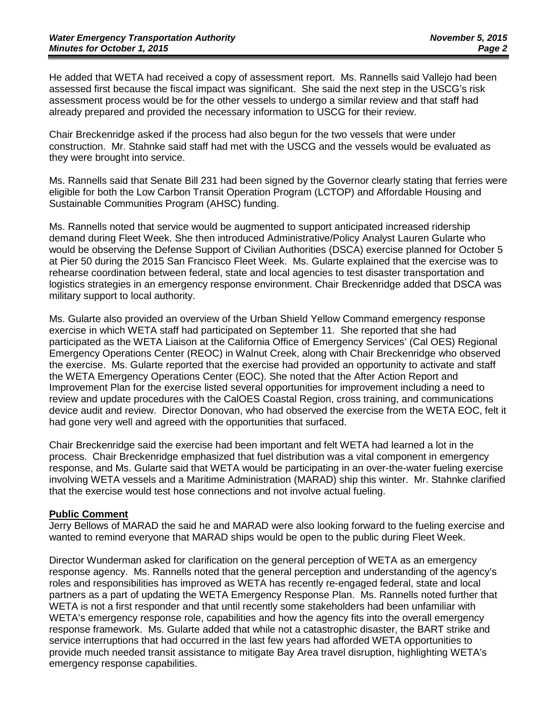He added that WETA had received a copy of assessment report. Ms. Rannells said Vallejo had been assessed first because the fiscal impact was significant. She said the next step in the USCG's risk assessment process would be for the other vessels to undergo a similar review and that staff had already prepared and provided the necessary information to USCG for their review.

Chair Breckenridge asked if the process had also begun for the two vessels that were under construction. Mr. Stahnke said staff had met with the USCG and the vessels would be evaluated as they were brought into service.

Ms. Rannells said that Senate Bill 231 had been signed by the Governor clearly stating that ferries were eligible for both the Low Carbon Transit Operation Program (LCTOP) and Affordable Housing and Sustainable Communities Program (AHSC) funding.

Ms. Rannells noted that service would be augmented to support anticipated increased ridership demand during Fleet Week. She then introduced Administrative/Policy Analyst Lauren Gularte who would be observing the Defense Support of Civilian Authorities (DSCA) exercise planned for October 5 at Pier 50 during the 2015 San Francisco Fleet Week. Ms. Gularte explained that the exercise was to rehearse coordination between federal, state and local agencies to test disaster transportation and logistics strategies in an emergency response environment. Chair Breckenridge added that DSCA was military support to local authority.

Ms. Gularte also provided an overview of the Urban Shield Yellow Command emergency response exercise in which WETA staff had participated on September 11. She reported that she had participated as the WETA Liaison at the California Office of Emergency Services' (Cal OES) Regional Emergency Operations Center (REOC) in Walnut Creek, along with Chair Breckenridge who observed the exercise. Ms. Gularte reported that the exercise had provided an opportunity to activate and staff the WETA Emergency Operations Center (EOC). She noted that the After Action Report and Improvement Plan for the exercise listed several opportunities for improvement including a need to review and update procedures with the CalOES Coastal Region, cross training, and communications device audit and review. Director Donovan, who had observed the exercise from the WETA EOC, felt it had gone very well and agreed with the opportunities that surfaced.

Chair Breckenridge said the exercise had been important and felt WETA had learned a lot in the process. Chair Breckenridge emphasized that fuel distribution was a vital component in emergency response, and Ms. Gularte said that WETA would be participating in an over-the-water fueling exercise involving WETA vessels and a Maritime Administration (MARAD) ship this winter. Mr. Stahnke clarified that the exercise would test hose connections and not involve actual fueling.

#### **Public Comment**

Jerry Bellows of MARAD the said he and MARAD were also looking forward to the fueling exercise and wanted to remind everyone that MARAD ships would be open to the public during Fleet Week.

Director Wunderman asked for clarification on the general perception of WETA as an emergency response agency. Ms. Rannells noted that the general perception and understanding of the agency's roles and responsibilities has improved as WETA has recently re-engaged federal, state and local partners as a part of updating the WETA Emergency Response Plan. Ms. Rannells noted further that WETA is not a first responder and that until recently some stakeholders had been unfamiliar with WETA's emergency response role, capabilities and how the agency fits into the overall emergency response framework. Ms. Gularte added that while not a catastrophic disaster, the BART strike and service interruptions that had occurred in the last few years had afforded WETA opportunities to provide much needed transit assistance to mitigate Bay Area travel disruption, highlighting WETA's emergency response capabilities.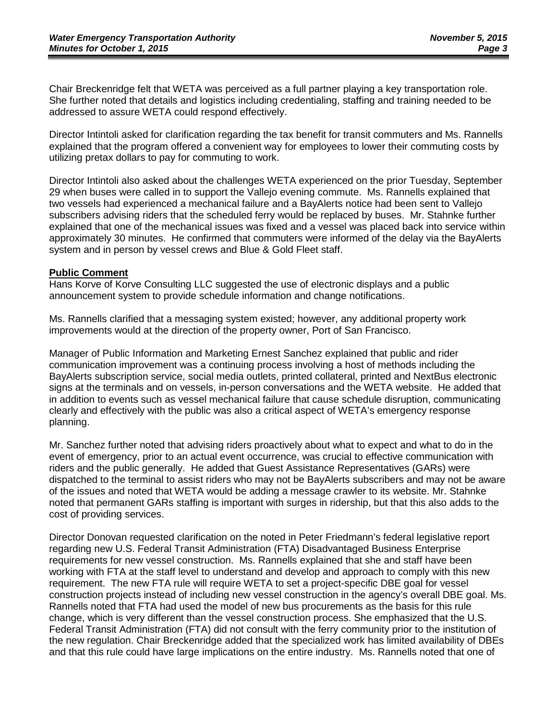Chair Breckenridge felt that WETA was perceived as a full partner playing a key transportation role. She further noted that details and logistics including credentialing, staffing and training needed to be addressed to assure WETA could respond effectively.

Director Intintoli asked for clarification regarding the tax benefit for transit commuters and Ms. Rannells explained that the program offered a convenient way for employees to lower their commuting costs by utilizing pretax dollars to pay for commuting to work.

Director Intintoli also asked about the challenges WETA experienced on the prior Tuesday, September 29 when buses were called in to support the Vallejo evening commute. Ms. Rannells explained that two vessels had experienced a mechanical failure and a BayAlerts notice had been sent to Vallejo subscribers advising riders that the scheduled ferry would be replaced by buses. Mr. Stahnke further explained that one of the mechanical issues was fixed and a vessel was placed back into service within approximately 30 minutes. He confirmed that commuters were informed of the delay via the BayAlerts system and in person by vessel crews and Blue & Gold Fleet staff.

#### **Public Comment**

Hans Korve of Korve Consulting LLC suggested the use of electronic displays and a public announcement system to provide schedule information and change notifications.

Ms. Rannells clarified that a messaging system existed; however, any additional property work improvements would at the direction of the property owner, Port of San Francisco.

Manager of Public Information and Marketing Ernest Sanchez explained that public and rider communication improvement was a continuing process involving a host of methods including the BayAlerts subscription service, social media outlets, printed collateral, printed and NextBus electronic signs at the terminals and on vessels, in-person conversations and the WETA website. He added that in addition to events such as vessel mechanical failure that cause schedule disruption, communicating clearly and effectively with the public was also a critical aspect of WETA's emergency response planning.

Mr. Sanchez further noted that advising riders proactively about what to expect and what to do in the event of emergency, prior to an actual event occurrence, was crucial to effective communication with riders and the public generally. He added that Guest Assistance Representatives (GARs) were dispatched to the terminal to assist riders who may not be BayAlerts subscribers and may not be aware of the issues and noted that WETA would be adding a message crawler to its website. Mr. Stahnke noted that permanent GARs staffing is important with surges in ridership, but that this also adds to the cost of providing services.

Director Donovan requested clarification on the noted in Peter Friedmann's federal legislative report regarding new U.S. Federal Transit Administration (FTA) Disadvantaged Business Enterprise requirements for new vessel construction. Ms. Rannells explained that she and staff have been working with FTA at the staff level to understand and develop and approach to comply with this new requirement. The new FTA rule will require WETA to set a project-specific DBE goal for vessel construction projects instead of including new vessel construction in the agency's overall DBE goal. Ms. Rannells noted that FTA had used the model of new bus procurements as the basis for this rule change, which is very different than the vessel construction process. She emphasized that the U.S. Federal Transit Administration (FTA) did not consult with the ferry community prior to the institution of the new regulation. Chair Breckenridge added that the specialized work has limited availability of DBEs and that this rule could have large implications on the entire industry. Ms. Rannells noted that one of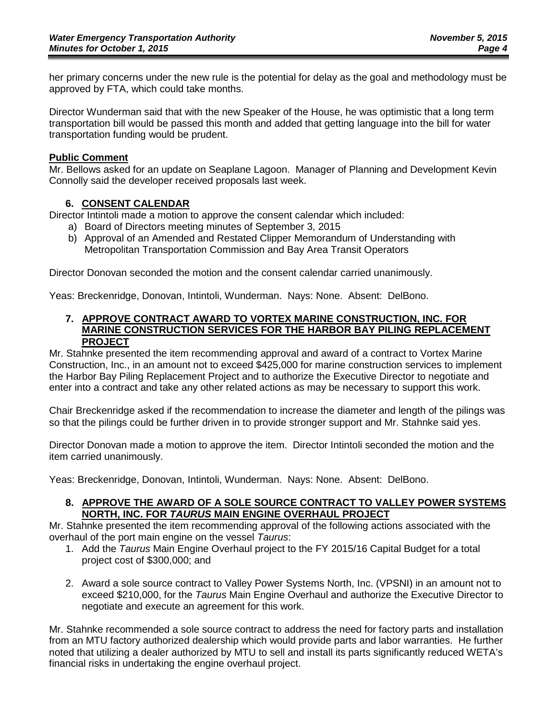her primary concerns under the new rule is the potential for delay as the goal and methodology must be approved by FTA, which could take months.

Director Wunderman said that with the new Speaker of the House, he was optimistic that a long term transportation bill would be passed this month and added that getting language into the bill for water transportation funding would be prudent.

#### **Public Comment**

Mr. Bellows asked for an update on Seaplane Lagoon. Manager of Planning and Development Kevin Connolly said the developer received proposals last week.

#### **6. CONSENT CALENDAR**

Director Intintoli made a motion to approve the consent calendar which included:

- a) Board of Directors meeting minutes of September 3, 2015
- b) Approval of an Amended and Restated Clipper Memorandum of Understanding with Metropolitan Transportation Commission and Bay Area Transit Operators

Director Donovan seconded the motion and the consent calendar carried unanimously.

Yeas: Breckenridge, Donovan, Intintoli, Wunderman. Nays: None. Absent: DelBono.

#### **7. APPROVE CONTRACT AWARD TO VORTEX MARINE CONSTRUCTION, INC. FOR MARINE CONSTRUCTION SERVICES FOR THE HARBOR BAY PILING REPLACEMENT PROJECT**

Mr. Stahnke presented the item recommending approval and award of a contract to Vortex Marine Construction, Inc., in an amount not to exceed \$425,000 for marine construction services to implement the Harbor Bay Piling Replacement Project and to authorize the Executive Director to negotiate and enter into a contract and take any other related actions as may be necessary to support this work.

Chair Breckenridge asked if the recommendation to increase the diameter and length of the pilings was so that the pilings could be further driven in to provide stronger support and Mr. Stahnke said yes.

Director Donovan made a motion to approve the item. Director Intintoli seconded the motion and the item carried unanimously.

Yeas: Breckenridge, Donovan, Intintoli, Wunderman. Nays: None. Absent: DelBono.

#### **8. APPROVE THE AWARD OF A SOLE SOURCE CONTRACT TO VALLEY POWER SYSTEMS NORTH, INC. FOR** *TAURUS* **MAIN ENGINE OVERHAUL PROJECT**

Mr. Stahnke presented the item recommending approval of the following actions associated with the overhaul of the port main engine on the vessel *Taurus*:

- 1. Add the *Taurus* Main Engine Overhaul project to the FY 2015/16 Capital Budget for a total project cost of \$300,000; and
- 2. Award a sole source contract to Valley Power Systems North, Inc. (VPSNI) in an amount not to exceed \$210,000, for the *Taurus* Main Engine Overhaul and authorize the Executive Director to negotiate and execute an agreement for this work.

Mr. Stahnke recommended a sole source contract to address the need for factory parts and installation from an MTU factory authorized dealership which would provide parts and labor warranties. He further noted that utilizing a dealer authorized by MTU to sell and install its parts significantly reduced WETA's financial risks in undertaking the engine overhaul project.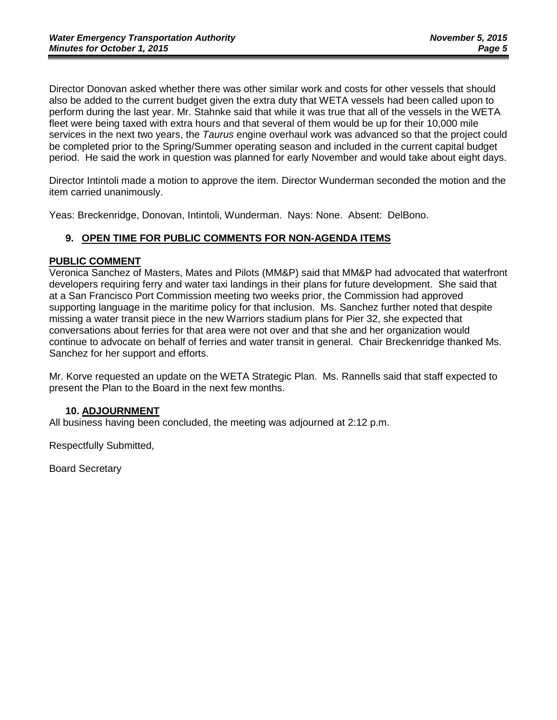Director Donovan asked whether there was other similar work and costs for other vessels that should also be added to the current budget given the extra duty that WETA vessels had been called upon to perform during the last year. Mr. Stahnke said that while it was true that all of the vessels in the WETA fleet were being taxed with extra hours and that several of them would be up for their 10,000 mile services in the next two years, the *Taurus* engine overhaul work was advanced so that the project could be completed prior to the Spring/Summer operating season and included in the current capital budget period. He said the work in question was planned for early November and would take about eight days.

Director Intintoli made a motion to approve the item. Director Wunderman seconded the motion and the item carried unanimously.

Yeas: Breckenridge, Donovan, Intintoli, Wunderman. Nays: None. Absent: DelBono.

#### **9. OPEN TIME FOR PUBLIC COMMENTS FOR NON-AGENDA ITEMS**

#### **PUBLIC COMMENT**

Veronica Sanchez of Masters, Mates and Pilots (MM&P) said that MM&P had advocated that waterfront developers requiring ferry and water taxi landings in their plans for future development. She said that at a San Francisco Port Commission meeting two weeks prior, the Commission had approved supporting language in the maritime policy for that inclusion. Ms. Sanchez further noted that despite missing a water transit piece in the new Warriors stadium plans for Pier 32, she expected that conversations about ferries for that area were not over and that she and her organization would continue to advocate on behalf of ferries and water transit in general. Chair Breckenridge thanked Ms. Sanchez for her support and efforts.

Mr. Korve requested an update on the WETA Strategic Plan. Ms. Rannells said that staff expected to present the Plan to the Board in the next few months.

#### **10. ADJOURNMENT**

All business having been concluded, the meeting was adjourned at 2:12 p.m.

Respectfully Submitted,

Board Secretary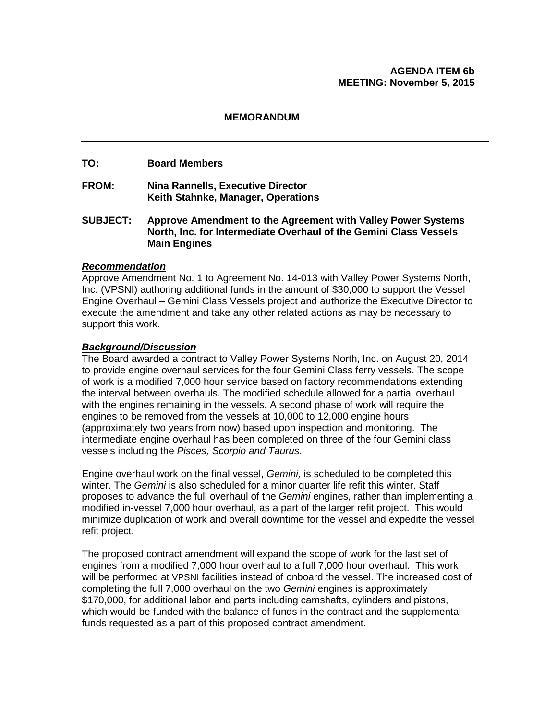#### **AGENDA ITEM 6b MEETING: November 5, 2015**

#### **MEMORANDUM**

#### **TO: Board Members**

- **FROM: Nina Rannells, Executive Director Keith Stahnke, Manager, Operations**
- **SUBJECT: Approve Amendment to the Agreement with Valley Power Systems North, Inc. for Intermediate Overhaul of the Gemini Class Vessels Main Engines**

#### *Recommendation*

Approve Amendment No. 1 to Agreement No. 14-013 with Valley Power Systems North, Inc. (VPSNI) authoring additional funds in the amount of \$30,000 to support the Vessel Engine Overhaul *–* Gemini Class Vessels project and authorize the Executive Director to execute the amendment and take any other related actions as may be necessary to support this work*.*

#### *Background/Discussion*

The Board awarded a contract to Valley Power Systems North, Inc. on August 20, 2014 to provide engine overhaul services for the four Gemini Class ferry vessels. The scope of work is a modified 7,000 hour service based on factory recommendations extending the interval between overhauls. The modified schedule allowed for a partial overhaul with the engines remaining in the vessels. A second phase of work will require the engines to be removed from the vessels at 10,000 to 12,000 engine hours (approximately two years from now) based upon inspection and monitoring. The intermediate engine overhaul has been completed on three of the four Gemini class vessels including the *Pisces, Scorpio and Taurus*.

Engine overhaul work on the final vessel, *Gemini,* is scheduled to be completed this winter. The *Gemini* is also scheduled for a minor quarter life refit this winter. Staff proposes to advance the full overhaul of the *Gemini* engines, rather than implementing a modified in-vessel 7,000 hour overhaul, as a part of the larger refit project. This would minimize duplication of work and overall downtime for the vessel and expedite the vessel refit project.

The proposed contract amendment will expand the scope of work for the last set of engines from a modified 7,000 hour overhaul to a full 7,000 hour overhaul. This work will be performed at VPSNI facilities instead of onboard the vessel. The increased cost of completing the full 7,000 overhaul on the two *Gemini* engines is approximately \$170,000, for additional labor and parts including camshafts, cylinders and pistons, which would be funded with the balance of funds in the contract and the supplemental funds requested as a part of this proposed contract amendment.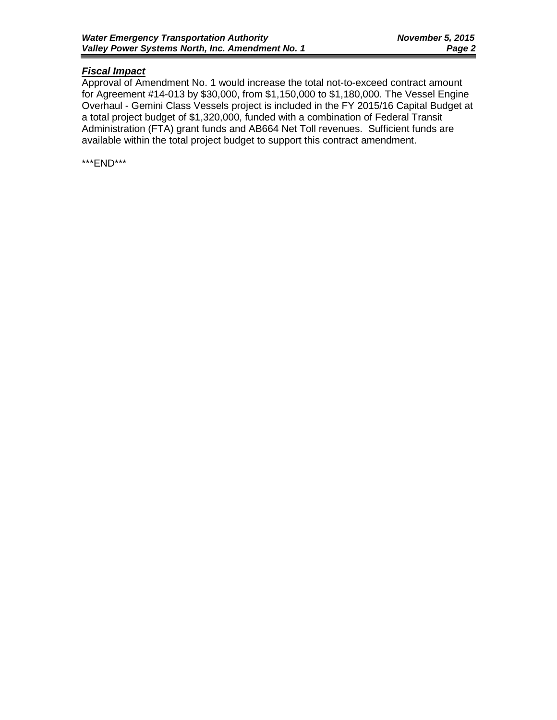## *Fiscal Impact*

Approval of Amendment No. 1 would increase the total not-to-exceed contract amount for Agreement #14-013 by \$30,000, from \$1,150,000 to \$1,180,000. The Vessel Engine Overhaul - Gemini Class Vessels project is included in the FY 2015/16 Capital Budget at a total project budget of \$1,320,000, funded with a combination of Federal Transit Administration (FTA) grant funds and AB664 Net Toll revenues. Sufficient funds are available within the total project budget to support this contract amendment.

\*\*\*END\*\*\*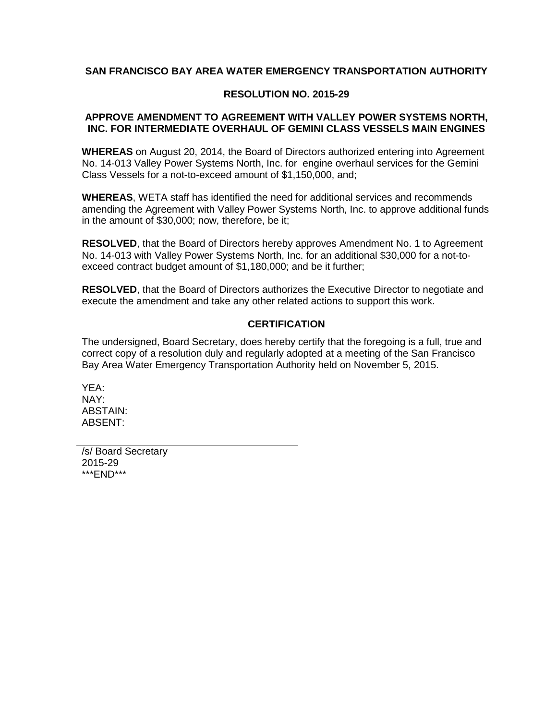#### **SAN FRANCISCO BAY AREA WATER EMERGENCY TRANSPORTATION AUTHORITY**

#### **RESOLUTION NO. 2015-29**

#### **APPROVE AMENDMENT TO AGREEMENT WITH VALLEY POWER SYSTEMS NORTH, INC. FOR INTERMEDIATE OVERHAUL OF GEMINI CLASS VESSELS MAIN ENGINES**

**WHEREAS** on August 20, 2014, the Board of Directors authorized entering into Agreement No. 14-013 Valley Power Systems North, Inc. for engine overhaul services for the Gemini Class Vessels for a not-to-exceed amount of \$1,150,000, and;

**WHEREAS**, WETA staff has identified the need for additional services and recommends amending the Agreement with Valley Power Systems North, Inc. to approve additional funds in the amount of \$30,000; now, therefore, be it;

**RESOLVED**, that the Board of Directors hereby approves Amendment No. 1 to Agreement No. 14-013 with Valley Power Systems North, Inc. for an additional \$30,000 for a not-toexceed contract budget amount of \$1,180,000; and be it further;

**RESOLVED**, that the Board of Directors authorizes the Executive Director to negotiate and execute the amendment and take any other related actions to support this work.

#### **CERTIFICATION**

The undersigned, Board Secretary, does hereby certify that the foregoing is a full, true and correct copy of a resolution duly and regularly adopted at a meeting of the San Francisco Bay Area Water Emergency Transportation Authority held on November 5, 2015.

YEA: NAY: ABSTAIN: ABSENT:

/s/ Board Secretary 2015-29 \*\*\*END\*\*\*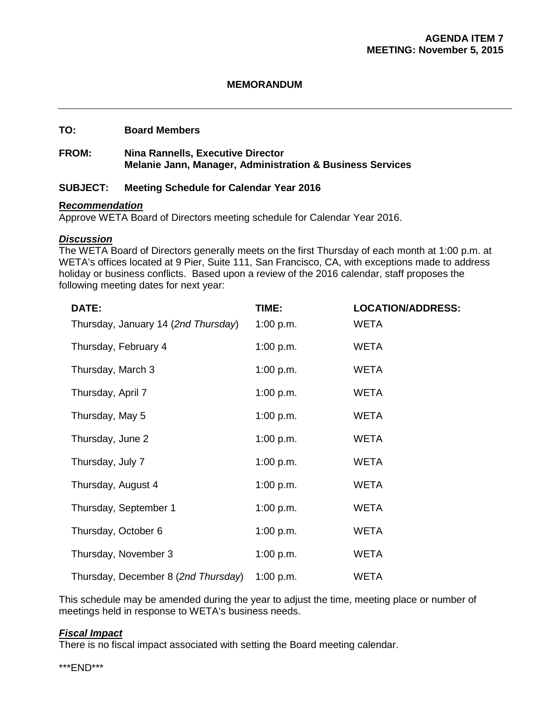#### **MEMORANDUM**

#### **TO: Board Members**

#### **FROM: Nina Rannells, Executive Director Melanie Jann, Manager, Administration & Business Services**

#### **SUBJECT: Meeting Schedule for Calendar Year 2016**

#### **R***ecommendation*

Approve WETA Board of Directors meeting schedule for Calendar Year 2016.

#### *Discussion*

The WETA Board of Directors generally meets on the first Thursday of each month at 1:00 p.m. at WETA's offices located at 9 Pier, Suite 111, San Francisco, CA, with exceptions made to address holiday or business conflicts. Based upon a review of the 2016 calendar, staff proposes the following meeting dates for next year:

| DATE:                               | TIME:     | <b>LOCATION/ADDRESS:</b> |
|-------------------------------------|-----------|--------------------------|
| Thursday, January 14 (2nd Thursday) | 1:00 p.m. | <b>WETA</b>              |
| Thursday, February 4                | 1:00 p.m. | <b>WETA</b>              |
| Thursday, March 3                   | 1:00 p.m. | <b>WETA</b>              |
| Thursday, April 7                   | 1:00 p.m. | <b>WETA</b>              |
| Thursday, May 5                     | 1:00 p.m. | <b>WETA</b>              |
| Thursday, June 2                    | 1:00 p.m. | <b>WETA</b>              |
| Thursday, July 7                    | 1:00 p.m. | <b>WETA</b>              |
| Thursday, August 4                  | 1:00 p.m. | <b>WETA</b>              |
| Thursday, September 1               | 1:00 p.m. | <b>WETA</b>              |
| Thursday, October 6                 | 1:00 p.m. | <b>WETA</b>              |
| Thursday, November 3                | 1:00 p.m. | <b>WETA</b>              |
| Thursday, December 8 (2nd Thursday) | 1:00 p.m. | <b>WETA</b>              |

This schedule may be amended during the year to adjust the time, meeting place or number of meetings held in response to WETA's business needs.

#### *Fiscal Impact*

There is no fiscal impact associated with setting the Board meeting calendar.

\*\*\*END\*\*\*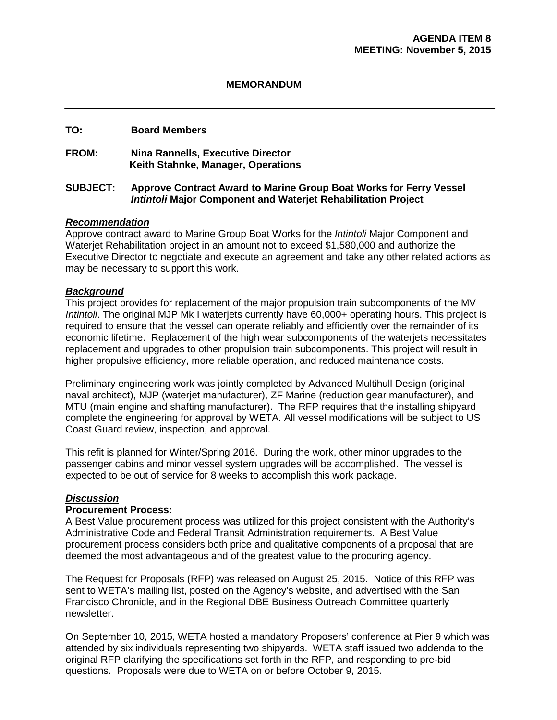#### **MEMORANDUM**

#### **TO: Board Members**

#### **FROM: Nina Rannells, Executive Director Keith Stahnke, Manager, Operations**

#### **SUBJECT: Approve Contract Award to Marine Group Boat Works for Ferry Vessel**  *Intintoli* **Major Component and Waterjet Rehabilitation Project**

#### *Recommendation*

Approve contract award to Marine Group Boat Works for the *Intintoli* Major Component and Waterjet Rehabilitation project in an amount not to exceed \$1,580,000 and authorize the Executive Director to negotiate and execute an agreement and take any other related actions as may be necessary to support this work.

#### *Background*

This project provides for replacement of the major propulsion train subcomponents of the MV *Intintoli*. The original MJP Mk I waterjets currently have 60,000+ operating hours. This project is required to ensure that the vessel can operate reliably and efficiently over the remainder of its economic lifetime. Replacement of the high wear subcomponents of the waterjets necessitates replacement and upgrades to other propulsion train subcomponents. This project will result in higher propulsive efficiency, more reliable operation, and reduced maintenance costs.

Preliminary engineering work was jointly completed by Advanced Multihull Design (original naval architect), MJP (waterjet manufacturer), ZF Marine (reduction gear manufacturer), and MTU (main engine and shafting manufacturer). The RFP requires that the installing shipyard complete the engineering for approval by WETA. All vessel modifications will be subject to US Coast Guard review, inspection, and approval.

This refit is planned for Winter/Spring 2016. During the work, other minor upgrades to the passenger cabins and minor vessel system upgrades will be accomplished. The vessel is expected to be out of service for 8 weeks to accomplish this work package.

#### *Discussion*

#### **Procurement Process:**

A Best Value procurement process was utilized for this project consistent with the Authority's Administrative Code and Federal Transit Administration requirements. A Best Value procurement process considers both price and qualitative components of a proposal that are deemed the most advantageous and of the greatest value to the procuring agency.

The Request for Proposals (RFP) was released on August 25, 2015. Notice of this RFP was sent to WETA's mailing list, posted on the Agency's website, and advertised with the San Francisco Chronicle, and in the Regional DBE Business Outreach Committee quarterly newsletter.

On September 10, 2015, WETA hosted a mandatory Proposers' conference at Pier 9 which was attended by six individuals representing two shipyards. WETA staff issued two addenda to the original RFP clarifying the specifications set forth in the RFP, and responding to pre-bid questions. Proposals were due to WETA on or before October 9, 2015.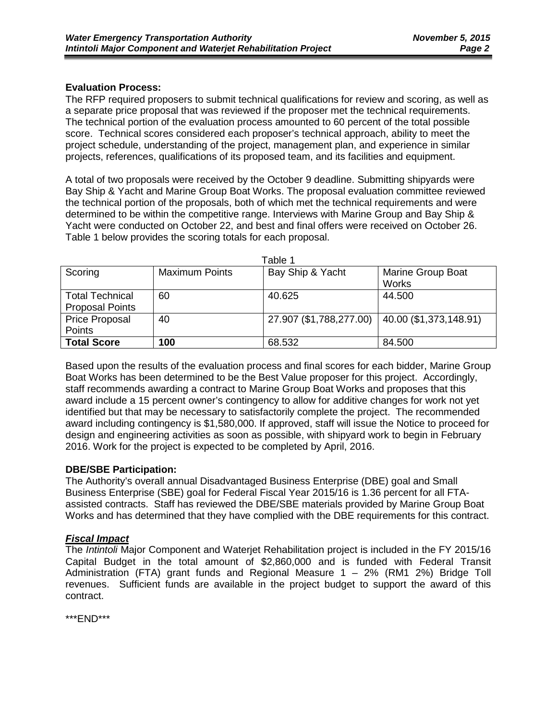#### **Evaluation Process:**

The RFP required proposers to submit technical qualifications for review and scoring, as well as a separate price proposal that was reviewed if the proposer met the technical requirements. The technical portion of the evaluation process amounted to 60 percent of the total possible score. Technical scores considered each proposer's technical approach, ability to meet the project schedule, understanding of the project, management plan, and experience in similar projects, references, qualifications of its proposed team, and its facilities and equipment.

A total of two proposals were received by the October 9 deadline. Submitting shipyards were Bay Ship & Yacht and Marine Group Boat Works. The proposal evaluation committee reviewed the technical portion of the proposals, both of which met the technical requirements and were determined to be within the competitive range. Interviews with Marine Group and Bay Ship & Yacht were conducted on October 22, and best and final offers were received on October 26. Table 1 below provides the scoring totals for each proposal.

| Table 1                                          |                       |                         |                                   |  |  |  |
|--------------------------------------------------|-----------------------|-------------------------|-----------------------------------|--|--|--|
| Scoring                                          | <b>Maximum Points</b> | Bay Ship & Yacht        | <b>Marine Group Boat</b><br>Works |  |  |  |
| <b>Total Technical</b><br><b>Proposal Points</b> | 60                    | 40.625                  | 44.500                            |  |  |  |
| Price Proposal<br>Points                         | 40                    | 27.907 (\$1,788,277.00) | 40.00 (\$1,373,148.91)            |  |  |  |
| <b>Total Score</b>                               | 100                   | 68.532                  | 84.500                            |  |  |  |

Based upon the results of the evaluation process and final scores for each bidder, Marine Group Boat Works has been determined to be the Best Value proposer for this project. Accordingly, staff recommends awarding a contract to Marine Group Boat Works and proposes that this award include a 15 percent owner's contingency to allow for additive changes for work not yet identified but that may be necessary to satisfactorily complete the project. The recommended award including contingency is \$1,580,000. If approved, staff will issue the Notice to proceed for design and engineering activities as soon as possible, with shipyard work to begin in February 2016. Work for the project is expected to be completed by April, 2016.

#### **DBE/SBE Participation:**

The Authority's overall annual Disadvantaged Business Enterprise (DBE) goal and Small Business Enterprise (SBE) goal for Federal Fiscal Year 2015/16 is 1.36 percent for all FTAassisted contracts. Staff has reviewed the DBE/SBE materials provided by Marine Group Boat Works and has determined that they have complied with the DBE requirements for this contract.

#### *Fiscal Impact*

The *Intintoli* Major Component and Waterjet Rehabilitation project is included in the FY 2015/16 Capital Budget in the total amount of \$2,860,000 and is funded with Federal Transit Administration (FTA) grant funds and Regional Measure 1 – 2% (RM1 2%) Bridge Toll revenues. Sufficient funds are available in the project budget to support the award of this contract.

\*\*\*END\*\*\*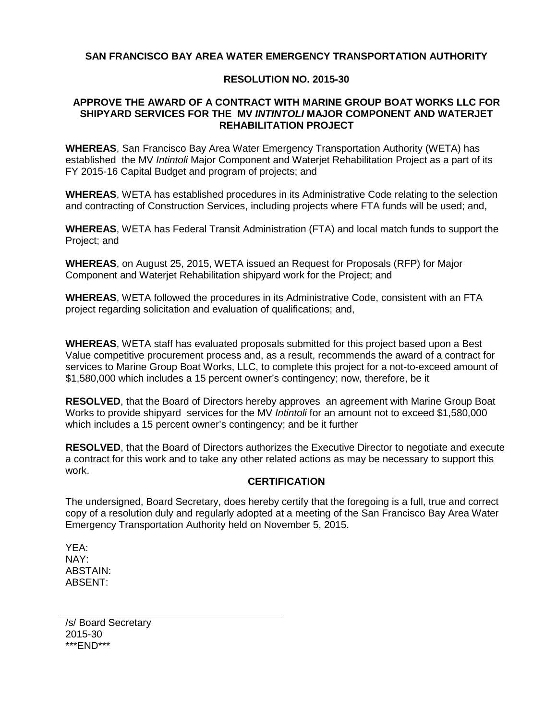#### **SAN FRANCISCO BAY AREA WATER EMERGENCY TRANSPORTATION AUTHORITY**

#### **RESOLUTION NO. 2015-30**

#### **APPROVE THE AWARD OF A CONTRACT WITH MARINE GROUP BOAT WORKS LLC FOR SHIPYARD SERVICES FOR THE MV** *INTINTOLI* **MAJOR COMPONENT AND WATERJET REHABILITATION PROJECT**

**WHEREAS**, San Francisco Bay Area Water Emergency Transportation Authority (WETA) has established the MV *Intintoli* Major Component and Waterjet Rehabilitation Project as a part of its FY 2015-16 Capital Budget and program of projects; and

**WHEREAS**, WETA has established procedures in its Administrative Code relating to the selection and contracting of Construction Services, including projects where FTA funds will be used; and,

**WHEREAS**, WETA has Federal Transit Administration (FTA) and local match funds to support the Project; and

**WHEREAS**, on August 25, 2015, WETA issued an Request for Proposals (RFP) for Major Component and Waterjet Rehabilitation shipyard work for the Project; and

**WHEREAS**, WETA followed the procedures in its Administrative Code, consistent with an FTA project regarding solicitation and evaluation of qualifications; and,

**WHEREAS**, WETA staff has evaluated proposals submitted for this project based upon a Best Value competitive procurement process and, as a result, recommends the award of a contract for services to Marine Group Boat Works, LLC, to complete this project for a not-to-exceed amount of \$1,580,000 which includes a 15 percent owner's contingency; now, therefore, be it

**RESOLVED**, that the Board of Directors hereby approves an agreement with Marine Group Boat Works to provide shipyard services for the MV *Intintoli* for an amount not to exceed \$1,580,000 which includes a 15 percent owner's contingency; and be it further

**RESOLVED**, that the Board of Directors authorizes the Executive Director to negotiate and execute a contract for this work and to take any other related actions as may be necessary to support this work.

#### **CERTIFICATION**

The undersigned, Board Secretary, does hereby certify that the foregoing is a full, true and correct copy of a resolution duly and regularly adopted at a meeting of the San Francisco Bay Area Water Emergency Transportation Authority held on November 5, 2015.

YEA: NAY: ABSTAIN: ABSENT:

/s/ Board Secretary 2015-30 \*\*\*END\*\*\*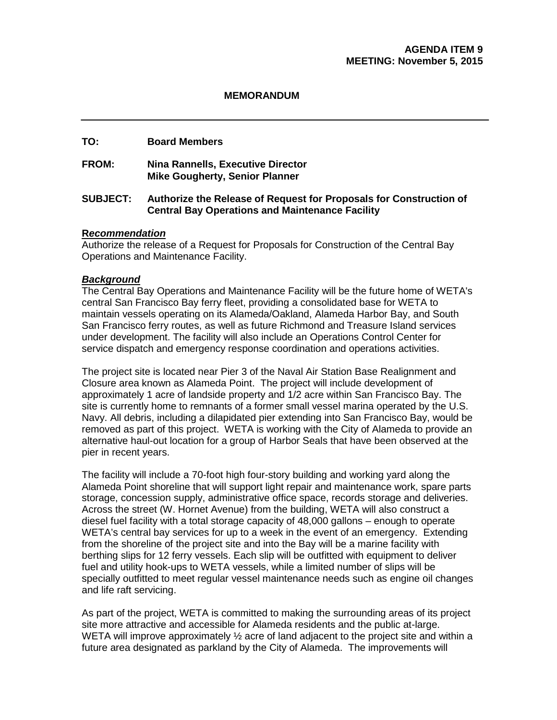#### **MEMORANDUM**

#### **TO: Board Members**

**FROM: Nina Rannells, Executive Director Mike Gougherty, Senior Planner**

#### **SUBJECT: Authorize the Release of Request for Proposals for Construction of Central Bay Operations and Maintenance Facility**

#### **R***ecommendation*

Authorize the release of a Request for Proposals for Construction of the Central Bay Operations and Maintenance Facility.

#### *Background*

The Central Bay Operations and Maintenance Facility will be the future home of WETA's central San Francisco Bay ferry fleet, providing a consolidated base for WETA to maintain vessels operating on its Alameda/Oakland, Alameda Harbor Bay, and South San Francisco ferry routes, as well as future Richmond and Treasure Island services under development. The facility will also include an Operations Control Center for service dispatch and emergency response coordination and operations activities.

The project site is located near Pier 3 of the Naval Air Station Base Realignment and Closure area known as Alameda Point. The project will include development of approximately 1 acre of landside property and 1/2 acre within San Francisco Bay. The site is currently home to remnants of a former small vessel marina operated by the U.S. Navy. All debris, including a dilapidated pier extending into San Francisco Bay, would be removed as part of this project. WETA is working with the City of Alameda to provide an alternative haul-out location for a group of Harbor Seals that have been observed at the pier in recent years.

The facility will include a 70-foot high four-story building and working yard along the Alameda Point shoreline that will support light repair and maintenance work, spare parts storage, concession supply, administrative office space, records storage and deliveries. Across the street (W. Hornet Avenue) from the building, WETA will also construct a diesel fuel facility with a total storage capacity of 48,000 gallons – enough to operate WETA's central bay services for up to a week in the event of an emergency. Extending from the shoreline of the project site and into the Bay will be a marine facility with berthing slips for 12 ferry vessels. Each slip will be outfitted with equipment to deliver fuel and utility hook-ups to WETA vessels, while a limited number of slips will be specially outfitted to meet regular vessel maintenance needs such as engine oil changes and life raft servicing.

As part of the project, WETA is committed to making the surrounding areas of its project site more attractive and accessible for Alameda residents and the public at-large. WETA will improve approximately  $\frac{1}{2}$  acre of land adjacent to the project site and within a future area designated as parkland by the City of Alameda. The improvements will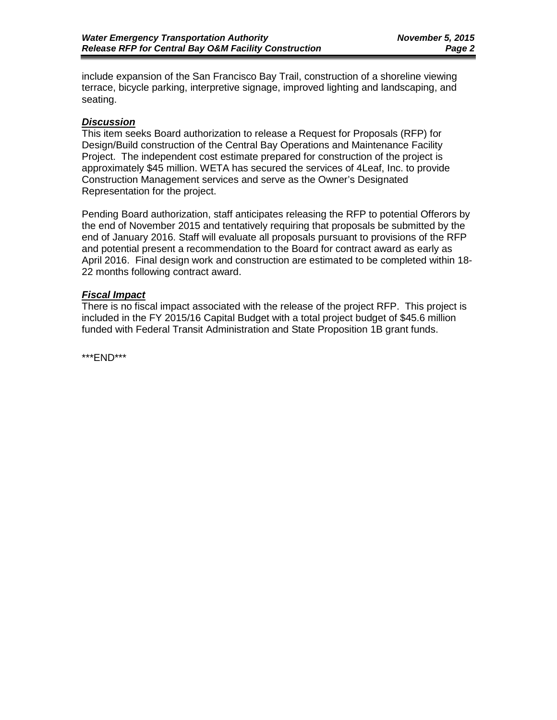include expansion of the San Francisco Bay Trail, construction of a shoreline viewing terrace, bicycle parking, interpretive signage, improved lighting and landscaping, and seating.

#### *Discussion*

This item seeks Board authorization to release a Request for Proposals (RFP) for Design/Build construction of the Central Bay Operations and Maintenance Facility Project. The independent cost estimate prepared for construction of the project is approximately \$45 million. WETA has secured the services of 4Leaf, Inc. to provide Construction Management services and serve as the Owner's Designated Representation for the project.

Pending Board authorization, staff anticipates releasing the RFP to potential Offerors by the end of November 2015 and tentatively requiring that proposals be submitted by the end of January 2016. Staff will evaluate all proposals pursuant to provisions of the RFP and potential present a recommendation to the Board for contract award as early as April 2016. Final design work and construction are estimated to be completed within 18- 22 months following contract award.

#### *Fiscal Impact*

There is no fiscal impact associated with the release of the project RFP. This project is included in the FY 2015/16 Capital Budget with a total project budget of \$45.6 million funded with Federal Transit Administration and State Proposition 1B grant funds.

\*\*\*END\*\*\*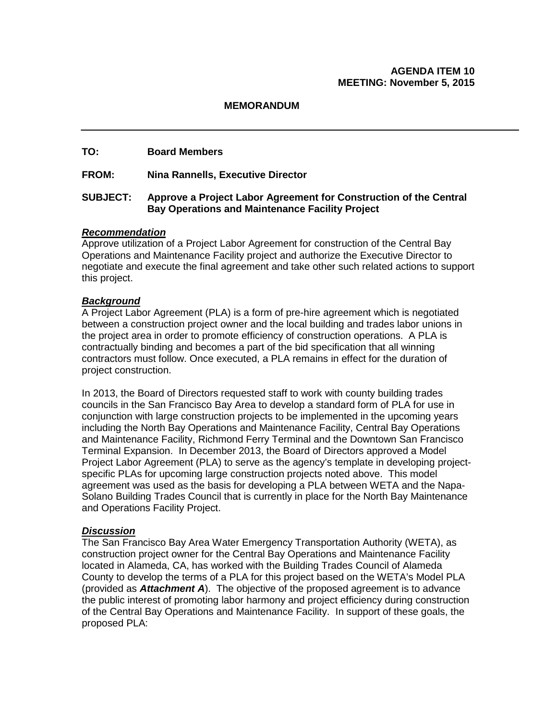#### **AGENDA ITEM 10 MEETING: November 5, 2015**

#### **MEMORANDUM**

#### **TO: Board Members**

**FROM: Nina Rannells, Executive Director**

#### **SUBJECT: Approve a Project Labor Agreement for Construction of the Central Bay Operations and Maintenance Facility Project**

#### *Recommendation*

Approve utilization of a Project Labor Agreement for construction of the Central Bay Operations and Maintenance Facility project and authorize the Executive Director to negotiate and execute the final agreement and take other such related actions to support this project.

#### *Background*

A Project Labor Agreement (PLA) is a form of pre-hire agreement which is negotiated between a construction project owner and the local building and trades labor unions in the project area in order to promote efficiency of construction operations. A PLA is contractually binding and becomes a part of the bid specification that all winning contractors must follow. Once executed, a PLA remains in effect for the duration of project construction.

In 2013, the Board of Directors requested staff to work with county building trades councils in the San Francisco Bay Area to develop a standard form of PLA for use in conjunction with large construction projects to be implemented in the upcoming years including the North Bay Operations and Maintenance Facility, Central Bay Operations and Maintenance Facility, Richmond Ferry Terminal and the Downtown San Francisco Terminal Expansion. In December 2013, the Board of Directors approved a Model Project Labor Agreement (PLA) to serve as the agency's template in developing projectspecific PLAs for upcoming large construction projects noted above. This model agreement was used as the basis for developing a PLA between WETA and the Napa-Solano Building Trades Council that is currently in place for the North Bay Maintenance and Operations Facility Project.

#### *Discussion*

The San Francisco Bay Area Water Emergency Transportation Authority (WETA), as construction project owner for the Central Bay Operations and Maintenance Facility located in Alameda, CA, has worked with the Building Trades Council of Alameda County to develop the terms of a PLA for this project based on the WETA's Model PLA (provided as *Attachment A*). The objective of the proposed agreement is to advance the public interest of promoting labor harmony and project efficiency during construction of the Central Bay Operations and Maintenance Facility. In support of these goals, the proposed PLA: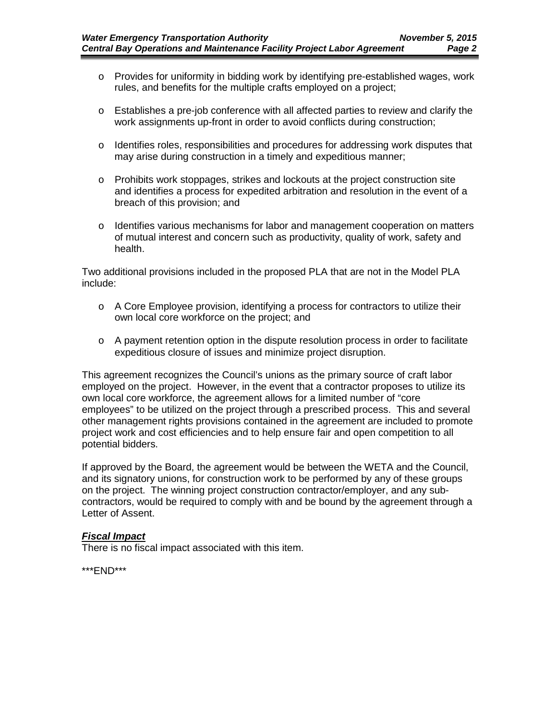- o Provides for uniformity in bidding work by identifying pre-established wages, work rules, and benefits for the multiple crafts employed on a project;
- o Establishes a pre-job conference with all affected parties to review and clarify the work assignments up-front in order to avoid conflicts during construction;
- o Identifies roles, responsibilities and procedures for addressing work disputes that may arise during construction in a timely and expeditious manner;
- o Prohibits work stoppages, strikes and lockouts at the project construction site and identifies a process for expedited arbitration and resolution in the event of a breach of this provision; and
- o Identifies various mechanisms for labor and management cooperation on matters of mutual interest and concern such as productivity, quality of work, safety and health.

Two additional provisions included in the proposed PLA that are not in the Model PLA include:

- $\circ$  A Core Employee provision, identifying a process for contractors to utilize their own local core workforce on the project; and
- $\circ$  A payment retention option in the dispute resolution process in order to facilitate expeditious closure of issues and minimize project disruption.

This agreement recognizes the Council's unions as the primary source of craft labor employed on the project. However, in the event that a contractor proposes to utilize its own local core workforce, the agreement allows for a limited number of "core employees" to be utilized on the project through a prescribed process. This and several other management rights provisions contained in the agreement are included to promote project work and cost efficiencies and to help ensure fair and open competition to all potential bidders.

If approved by the Board, the agreement would be between the WETA and the Council, and its signatory unions, for construction work to be performed by any of these groups on the project. The winning project construction contractor/employer, and any subcontractors, would be required to comply with and be bound by the agreement through a Letter of Assent.

#### *Fiscal Impact*

There is no fiscal impact associated with this item.

\*\*\*END\*\*\*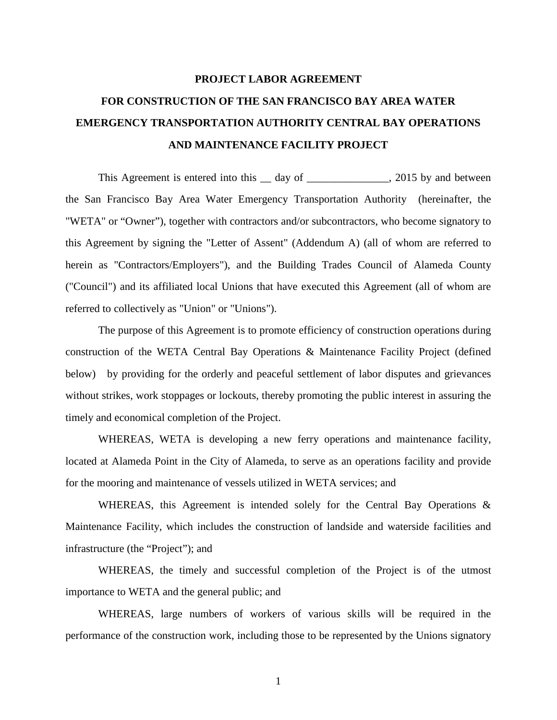## **PROJECT LABOR AGREEMENT FOR CONSTRUCTION OF THE SAN FRANCISCO BAY AREA WATER EMERGENCY TRANSPORTATION AUTHORITY CENTRAL BAY OPERATIONS AND MAINTENANCE FACILITY PROJECT**

This Agreement is entered into this 1 day of 1 and 2015 by and between the San Francisco Bay Area Water Emergency Transportation Authority (hereinafter, the "WETA" or "Owner"), together with contractors and/or subcontractors, who become signatory to this Agreement by signing the "Letter of Assent" (Addendum A) (all of whom are referred to herein as "Contractors/Employers"), and the Building Trades Council of Alameda County ("Council") and its affiliated local Unions that have executed this Agreement (all of whom are referred to collectively as "Union" or "Unions").

The purpose of this Agreement is to promote efficiency of construction operations during construction of the WETA Central Bay Operations & Maintenance Facility Project (defined below) by providing for the orderly and peaceful settlement of labor disputes and grievances without strikes, work stoppages or lockouts, thereby promoting the public interest in assuring the timely and economical completion of the Project.

WHEREAS, WETA is developing a new ferry operations and maintenance facility, located at Alameda Point in the City of Alameda, to serve as an operations facility and provide for the mooring and maintenance of vessels utilized in WETA services; and

WHEREAS, this Agreement is intended solely for the Central Bay Operations & Maintenance Facility, which includes the construction of landside and waterside facilities and infrastructure (the "Project"); and

WHEREAS, the timely and successful completion of the Project is of the utmost importance to WETA and the general public; and

WHEREAS, large numbers of workers of various skills will be required in the performance of the construction work, including those to be represented by the Unions signatory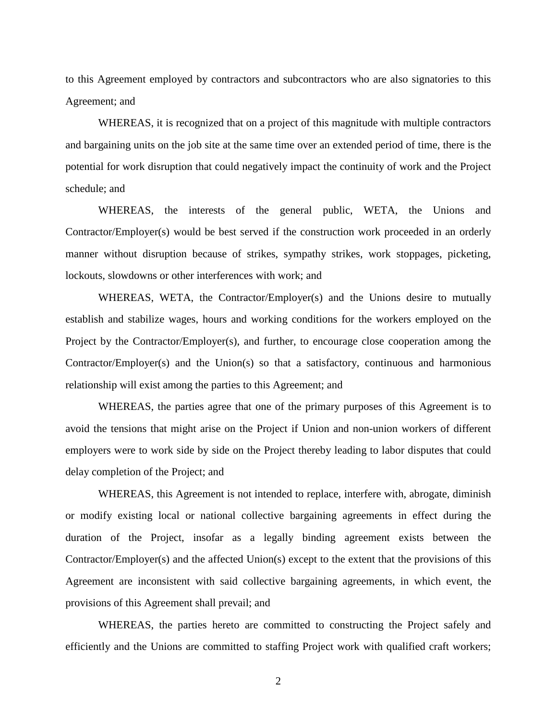to this Agreement employed by contractors and subcontractors who are also signatories to this Agreement; and

WHEREAS, it is recognized that on a project of this magnitude with multiple contractors and bargaining units on the job site at the same time over an extended period of time, there is the potential for work disruption that could negatively impact the continuity of work and the Project schedule; and

WHEREAS, the interests of the general public, WETA, the Unions and Contractor/Employer(s) would be best served if the construction work proceeded in an orderly manner without disruption because of strikes, sympathy strikes, work stoppages, picketing, lockouts, slowdowns or other interferences with work; and

WHEREAS, WETA, the Contractor/Employer(s) and the Unions desire to mutually establish and stabilize wages, hours and working conditions for the workers employed on the Project by the Contractor/Employer(s), and further, to encourage close cooperation among the Contractor/Employer(s) and the Union(s) so that a satisfactory, continuous and harmonious relationship will exist among the parties to this Agreement; and

WHEREAS, the parties agree that one of the primary purposes of this Agreement is to avoid the tensions that might arise on the Project if Union and non-union workers of different employers were to work side by side on the Project thereby leading to labor disputes that could delay completion of the Project; and

WHEREAS, this Agreement is not intended to replace, interfere with, abrogate, diminish or modify existing local or national collective bargaining agreements in effect during the duration of the Project, insofar as a legally binding agreement exists between the Contractor/Employer(s) and the affected Union(s) except to the extent that the provisions of this Agreement are inconsistent with said collective bargaining agreements, in which event, the provisions of this Agreement shall prevail; and

WHEREAS, the parties hereto are committed to constructing the Project safely and efficiently and the Unions are committed to staffing Project work with qualified craft workers;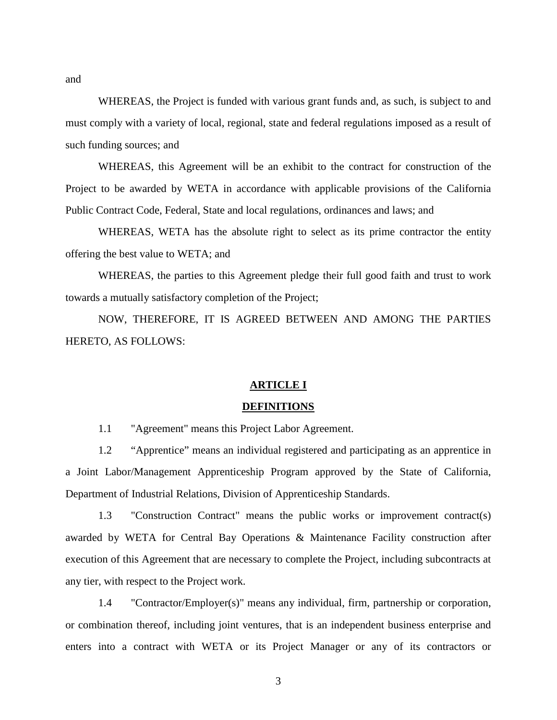WHEREAS, the Project is funded with various grant funds and, as such, is subject to and must comply with a variety of local, regional, state and federal regulations imposed as a result of such funding sources; and

WHEREAS, this Agreement will be an exhibit to the contract for construction of the Project to be awarded by WETA in accordance with applicable provisions of the California Public Contract Code, Federal, State and local regulations, ordinances and laws; and

WHEREAS, WETA has the absolute right to select as its prime contractor the entity offering the best value to WETA; and

WHEREAS, the parties to this Agreement pledge their full good faith and trust to work towards a mutually satisfactory completion of the Project;

NOW, THEREFORE, IT IS AGREED BETWEEN AND AMONG THE PARTIES HERETO, AS FOLLOWS:

#### **ARTICLE I**

#### **DEFINITIONS**

1.1 "Agreement" means this Project Labor Agreement.

1.2 "Apprentice" means an individual registered and participating as an apprentice in a Joint Labor/Management Apprenticeship Program approved by the State of California, Department of Industrial Relations, Division of Apprenticeship Standards.

1.3 "Construction Contract" means the public works or improvement contract(s) awarded by WETA for Central Bay Operations & Maintenance Facility construction after execution of this Agreement that are necessary to complete the Project, including subcontracts at any tier, with respect to the Project work.

1.4 "Contractor/Employer(s)" means any individual, firm, partnership or corporation, or combination thereof, including joint ventures, that is an independent business enterprise and enters into a contract with WETA or its Project Manager or any of its contractors or

and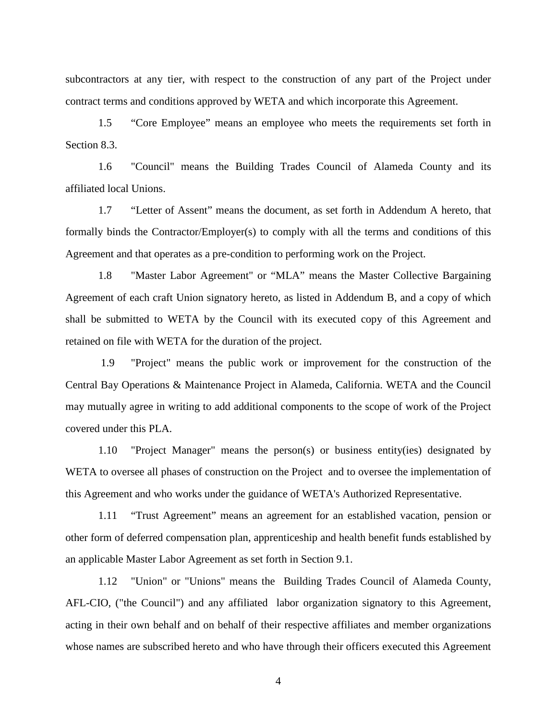subcontractors at any tier, with respect to the construction of any part of the Project under contract terms and conditions approved by WETA and which incorporate this Agreement.

1.5 "Core Employee" means an employee who meets the requirements set forth in Section 8.3.

1.6 "Council" means the Building Trades Council of Alameda County and its affiliated local Unions.

1.7 "Letter of Assent" means the document, as set forth in Addendum A hereto, that formally binds the Contractor/Employer(s) to comply with all the terms and conditions of this Agreement and that operates as a pre-condition to performing work on the Project.

1.8 "Master Labor Agreement" or "MLA" means the Master Collective Bargaining Agreement of each craft Union signatory hereto, as listed in Addendum B, and a copy of which shall be submitted to WETA by the Council with its executed copy of this Agreement and retained on file with WETA for the duration of the project.

1.9 "Project" means the public work or improvement for the construction of the Central Bay Operations & Maintenance Project in Alameda, California. WETA and the Council may mutually agree in writing to add additional components to the scope of work of the Project covered under this PLA.

1.10 "Project Manager" means the person(s) or business entity(ies) designated by WETA to oversee all phases of construction on the Project and to oversee the implementation of this Agreement and who works under the guidance of WETA's Authorized Representative.

1.11 "Trust Agreement" means an agreement for an established vacation, pension or other form of deferred compensation plan, apprenticeship and health benefit funds established by an applicable Master Labor Agreement as set forth in Section 9.1.

1.12 "Union" or "Unions" means the Building Trades Council of Alameda County, AFL-CIO, ("the Council") and any affiliated labor organization signatory to this Agreement, acting in their own behalf and on behalf of their respective affiliates and member organizations whose names are subscribed hereto and who have through their officers executed this Agreement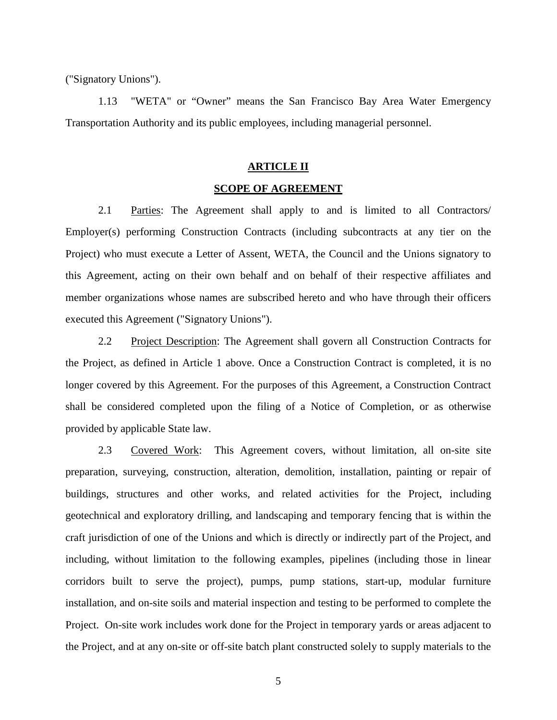("Signatory Unions").

1.13 "WETA" or "Owner" means the San Francisco Bay Area Water Emergency Transportation Authority and its public employees, including managerial personnel.

#### **ARTICLE II**

#### **SCOPE OF AGREEMENT**

2.1 Parties: The Agreement shall apply to and is limited to all Contractors/ Employer(s) performing Construction Contracts (including subcontracts at any tier on the Project) who must execute a Letter of Assent, WETA, the Council and the Unions signatory to this Agreement, acting on their own behalf and on behalf of their respective affiliates and member organizations whose names are subscribed hereto and who have through their officers executed this Agreement ("Signatory Unions").

2.2 Project Description: The Agreement shall govern all Construction Contracts for the Project, as defined in Article 1 above. Once a Construction Contract is completed, it is no longer covered by this Agreement. For the purposes of this Agreement, a Construction Contract shall be considered completed upon the filing of a Notice of Completion, or as otherwise provided by applicable State law.

2.3 Covered Work: This Agreement covers, without limitation, all on-site site preparation, surveying, construction, alteration, demolition, installation, painting or repair of buildings, structures and other works, and related activities for the Project, including geotechnical and exploratory drilling, and landscaping and temporary fencing that is within the craft jurisdiction of one of the Unions and which is directly or indirectly part of the Project, and including, without limitation to the following examples, pipelines (including those in linear corridors built to serve the project), pumps, pump stations, start-up, modular furniture installation, and on-site soils and material inspection and testing to be performed to complete the Project. On-site work includes work done for the Project in temporary yards or areas adjacent to the Project, and at any on-site or off-site batch plant constructed solely to supply materials to the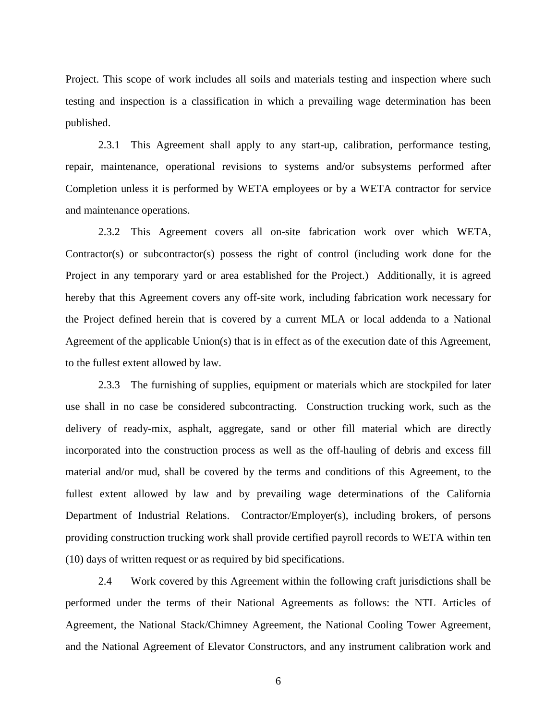Project. This scope of work includes all soils and materials testing and inspection where such testing and inspection is a classification in which a prevailing wage determination has been published.

2.3.1 This Agreement shall apply to any start-up, calibration, performance testing, repair, maintenance, operational revisions to systems and/or subsystems performed after Completion unless it is performed by WETA employees or by a WETA contractor for service and maintenance operations.

2.3.2 This Agreement covers all on-site fabrication work over which WETA, Contractor(s) or subcontractor(s) possess the right of control (including work done for the Project in any temporary yard or area established for the Project.) Additionally, it is agreed hereby that this Agreement covers any off-site work, including fabrication work necessary for the Project defined herein that is covered by a current MLA or local addenda to a National Agreement of the applicable Union(s) that is in effect as of the execution date of this Agreement, to the fullest extent allowed by law.

2.3.3 The furnishing of supplies, equipment or materials which are stockpiled for later use shall in no case be considered subcontracting. Construction trucking work, such as the delivery of ready-mix, asphalt, aggregate, sand or other fill material which are directly incorporated into the construction process as well as the off-hauling of debris and excess fill material and/or mud, shall be covered by the terms and conditions of this Agreement, to the fullest extent allowed by law and by prevailing wage determinations of the California Department of Industrial Relations. Contractor/Employer(s), including brokers, of persons providing construction trucking work shall provide certified payroll records to WETA within ten (10) days of written request or as required by bid specifications.

2.4 Work covered by this Agreement within the following craft jurisdictions shall be performed under the terms of their National Agreements as follows: the NTL Articles of Agreement, the National Stack/Chimney Agreement, the National Cooling Tower Agreement, and the National Agreement of Elevator Constructors, and any instrument calibration work and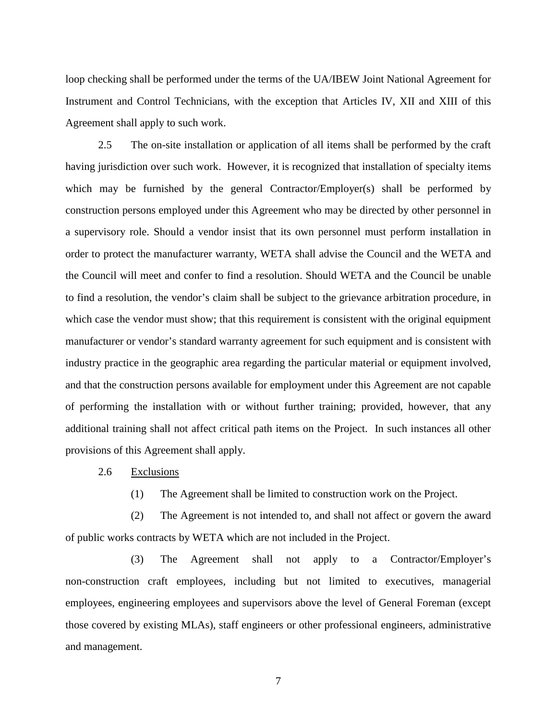loop checking shall be performed under the terms of the UA/IBEW Joint National Agreement for Instrument and Control Technicians, with the exception that Articles IV, XII and XIII of this Agreement shall apply to such work.

2.5 The on-site installation or application of all items shall be performed by the craft having jurisdiction over such work. However, it is recognized that installation of specialty items which may be furnished by the general Contractor/Employer(s) shall be performed by construction persons employed under this Agreement who may be directed by other personnel in a supervisory role. Should a vendor insist that its own personnel must perform installation in order to protect the manufacturer warranty, WETA shall advise the Council and the WETA and the Council will meet and confer to find a resolution. Should WETA and the Council be unable to find a resolution, the vendor's claim shall be subject to the grievance arbitration procedure, in which case the vendor must show; that this requirement is consistent with the original equipment manufacturer or vendor's standard warranty agreement for such equipment and is consistent with industry practice in the geographic area regarding the particular material or equipment involved, and that the construction persons available for employment under this Agreement are not capable of performing the installation with or without further training; provided, however, that any additional training shall not affect critical path items on the Project. In such instances all other provisions of this Agreement shall apply.

2.6 Exclusions

(1) The Agreement shall be limited to construction work on the Project.

(2) The Agreement is not intended to, and shall not affect or govern the award of public works contracts by WETA which are not included in the Project.

(3) The Agreement shall not apply to a Contractor/Employer's non-construction craft employees, including but not limited to executives, managerial employees, engineering employees and supervisors above the level of General Foreman (except those covered by existing MLAs), staff engineers or other professional engineers, administrative and management.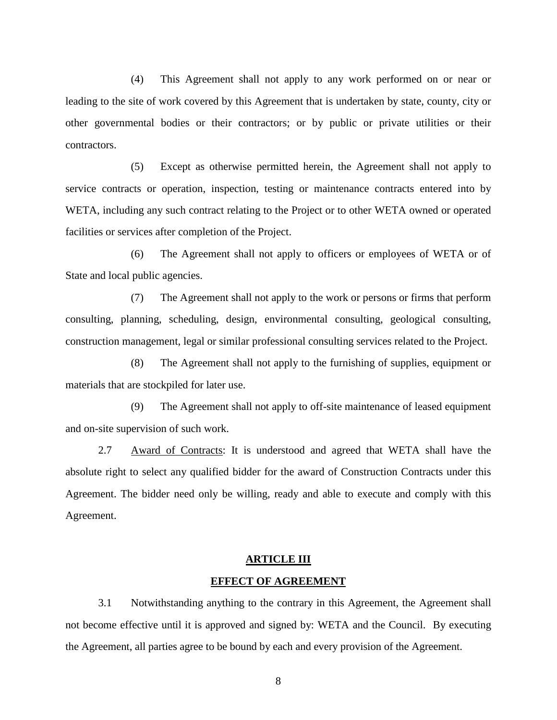(4) This Agreement shall not apply to any work performed on or near or leading to the site of work covered by this Agreement that is undertaken by state, county, city or other governmental bodies or their contractors; or by public or private utilities or their contractors.

(5) Except as otherwise permitted herein, the Agreement shall not apply to service contracts or operation, inspection, testing or maintenance contracts entered into by WETA, including any such contract relating to the Project or to other WETA owned or operated facilities or services after completion of the Project.

(6) The Agreement shall not apply to officers or employees of WETA or of State and local public agencies.

(7) The Agreement shall not apply to the work or persons or firms that perform consulting, planning, scheduling, design, environmental consulting, geological consulting, construction management, legal or similar professional consulting services related to the Project.

(8) The Agreement shall not apply to the furnishing of supplies, equipment or materials that are stockpiled for later use.

(9) The Agreement shall not apply to off-site maintenance of leased equipment and on-site supervision of such work.

2.7 Award of Contracts: It is understood and agreed that WETA shall have the absolute right to select any qualified bidder for the award of Construction Contracts under this Agreement. The bidder need only be willing, ready and able to execute and comply with this Agreement.

#### **ARTICLE III**

#### **EFFECT OF AGREEMENT**

3.1 Notwithstanding anything to the contrary in this Agreement, the Agreement shall not become effective until it is approved and signed by: WETA and the Council. By executing the Agreement, all parties agree to be bound by each and every provision of the Agreement.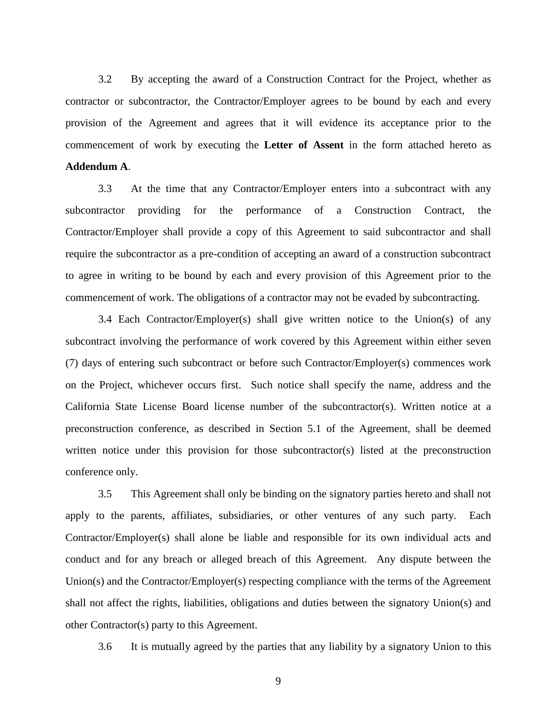3.2 By accepting the award of a Construction Contract for the Project, whether as contractor or subcontractor, the Contractor/Employer agrees to be bound by each and every provision of the Agreement and agrees that it will evidence its acceptance prior to the commencement of work by executing the **Letter of Assent** in the form attached hereto as **Addendum A**.

3.3 At the time that any Contractor/Employer enters into a subcontract with any subcontractor providing for the performance of a Construction Contract, the Contractor/Employer shall provide a copy of this Agreement to said subcontractor and shall require the subcontractor as a pre-condition of accepting an award of a construction subcontract to agree in writing to be bound by each and every provision of this Agreement prior to the commencement of work. The obligations of a contractor may not be evaded by subcontracting.

3.4 Each Contractor/Employer(s) shall give written notice to the Union(s) of any subcontract involving the performance of work covered by this Agreement within either seven (7) days of entering such subcontract or before such Contractor/Employer(s) commences work on the Project, whichever occurs first. Such notice shall specify the name, address and the California State License Board license number of the subcontractor(s). Written notice at a preconstruction conference, as described in Section 5.1 of the Agreement, shall be deemed written notice under this provision for those subcontractor(s) listed at the preconstruction conference only.

3.5 This Agreement shall only be binding on the signatory parties hereto and shall not apply to the parents, affiliates, subsidiaries, or other ventures of any such party. Each Contractor/Employer(s) shall alone be liable and responsible for its own individual acts and conduct and for any breach or alleged breach of this Agreement. Any dispute between the Union(s) and the Contractor/Employer(s) respecting compliance with the terms of the Agreement shall not affect the rights, liabilities, obligations and duties between the signatory Union(s) and other Contractor(s) party to this Agreement.

3.6 It is mutually agreed by the parties that any liability by a signatory Union to this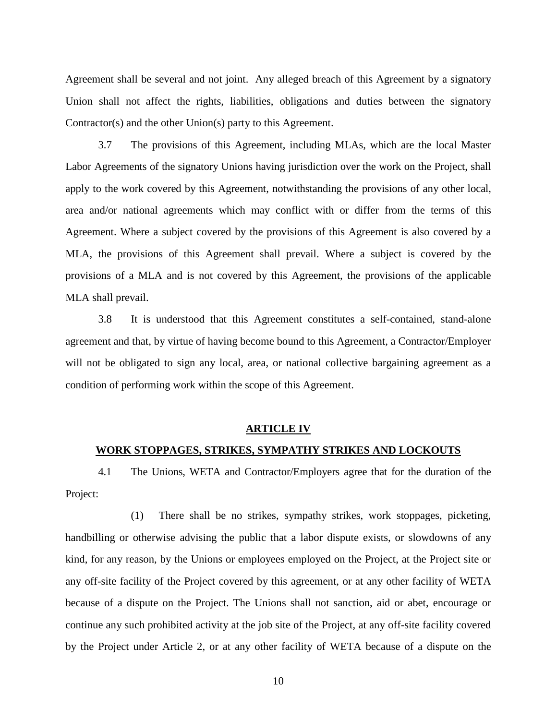Agreement shall be several and not joint. Any alleged breach of this Agreement by a signatory Union shall not affect the rights, liabilities, obligations and duties between the signatory Contractor(s) and the other Union(s) party to this Agreement.

3.7 The provisions of this Agreement, including MLAs, which are the local Master Labor Agreements of the signatory Unions having jurisdiction over the work on the Project, shall apply to the work covered by this Agreement, notwithstanding the provisions of any other local, area and/or national agreements which may conflict with or differ from the terms of this Agreement. Where a subject covered by the provisions of this Agreement is also covered by a MLA, the provisions of this Agreement shall prevail. Where a subject is covered by the provisions of a MLA and is not covered by this Agreement, the provisions of the applicable MLA shall prevail.

3.8 It is understood that this Agreement constitutes a self-contained, stand-alone agreement and that, by virtue of having become bound to this Agreement, a Contractor/Employer will not be obligated to sign any local, area, or national collective bargaining agreement as a condition of performing work within the scope of this Agreement.

#### **ARTICLE IV**

#### **WORK STOPPAGES, STRIKES, SYMPATHY STRIKES AND LOCKOUTS**

4.1 The Unions, WETA and Contractor/Employers agree that for the duration of the Project:

(1) There shall be no strikes, sympathy strikes, work stoppages, picketing, handbilling or otherwise advising the public that a labor dispute exists, or slowdowns of any kind, for any reason, by the Unions or employees employed on the Project, at the Project site or any off-site facility of the Project covered by this agreement, or at any other facility of WETA because of a dispute on the Project. The Unions shall not sanction, aid or abet, encourage or continue any such prohibited activity at the job site of the Project, at any off-site facility covered by the Project under Article 2, or at any other facility of WETA because of a dispute on the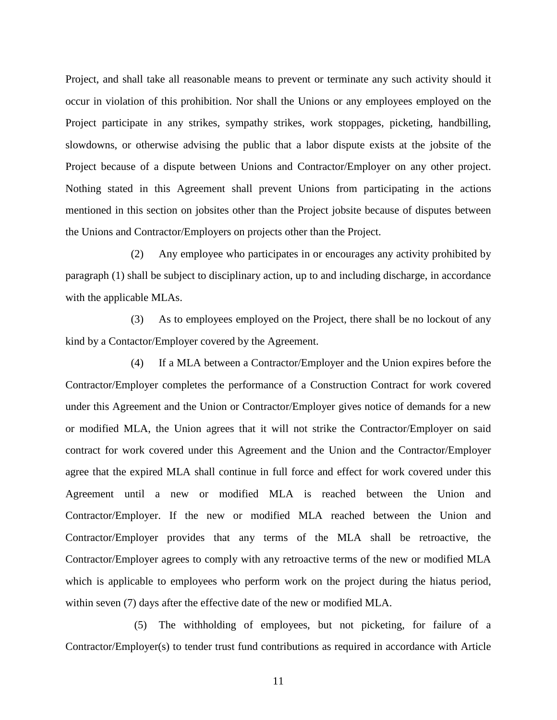Project, and shall take all reasonable means to prevent or terminate any such activity should it occur in violation of this prohibition. Nor shall the Unions or any employees employed on the Project participate in any strikes, sympathy strikes, work stoppages, picketing, handbilling, slowdowns, or otherwise advising the public that a labor dispute exists at the jobsite of the Project because of a dispute between Unions and Contractor/Employer on any other project. Nothing stated in this Agreement shall prevent Unions from participating in the actions mentioned in this section on jobsites other than the Project jobsite because of disputes between the Unions and Contractor/Employers on projects other than the Project.

(2) Any employee who participates in or encourages any activity prohibited by paragraph (1) shall be subject to disciplinary action, up to and including discharge, in accordance with the applicable MLAs.

(3) As to employees employed on the Project, there shall be no lockout of any kind by a Contactor/Employer covered by the Agreement.

(4) If a MLA between a Contractor/Employer and the Union expires before the Contractor/Employer completes the performance of a Construction Contract for work covered under this Agreement and the Union or Contractor/Employer gives notice of demands for a new or modified MLA, the Union agrees that it will not strike the Contractor/Employer on said contract for work covered under this Agreement and the Union and the Contractor/Employer agree that the expired MLA shall continue in full force and effect for work covered under this Agreement until a new or modified MLA is reached between the Union and Contractor/Employer. If the new or modified MLA reached between the Union and Contractor/Employer provides that any terms of the MLA shall be retroactive, the Contractor/Employer agrees to comply with any retroactive terms of the new or modified MLA which is applicable to employees who perform work on the project during the hiatus period, within seven (7) days after the effective date of the new or modified MLA.

(5) The withholding of employees, but not picketing, for failure of a Contractor/Employer(s) to tender trust fund contributions as required in accordance with Article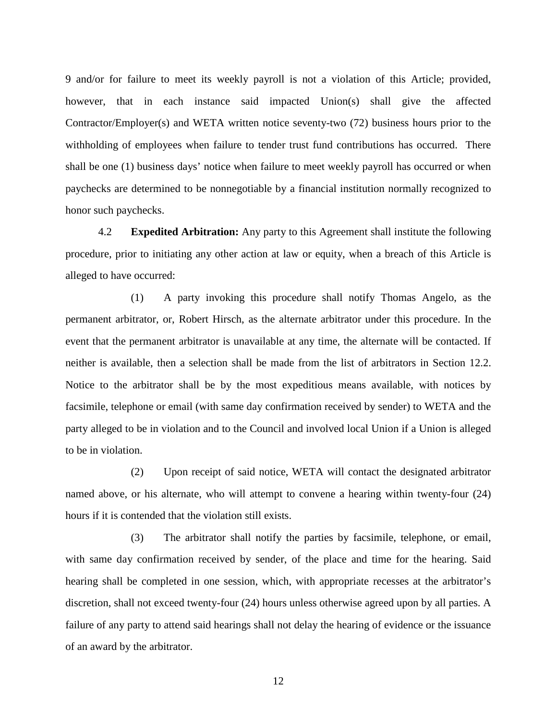9 and/or for failure to meet its weekly payroll is not a violation of this Article; provided, however, that in each instance said impacted Union(s) shall give the affected Contractor/Employer(s) and WETA written notice seventy-two (72) business hours prior to the withholding of employees when failure to tender trust fund contributions has occurred. There shall be one (1) business days' notice when failure to meet weekly payroll has occurred or when paychecks are determined to be nonnegotiable by a financial institution normally recognized to honor such paychecks.

4.2 **Expedited Arbitration:** Any party to this Agreement shall institute the following procedure, prior to initiating any other action at law or equity, when a breach of this Article is alleged to have occurred:

(1) A party invoking this procedure shall notify Thomas Angelo, as the permanent arbitrator, or, Robert Hirsch, as the alternate arbitrator under this procedure. In the event that the permanent arbitrator is unavailable at any time, the alternate will be contacted. If neither is available, then a selection shall be made from the list of arbitrators in Section 12.2. Notice to the arbitrator shall be by the most expeditious means available, with notices by facsimile, telephone or email (with same day confirmation received by sender) to WETA and the party alleged to be in violation and to the Council and involved local Union if a Union is alleged to be in violation.

(2) Upon receipt of said notice, WETA will contact the designated arbitrator named above, or his alternate, who will attempt to convene a hearing within twenty-four (24) hours if it is contended that the violation still exists.

(3) The arbitrator shall notify the parties by facsimile, telephone, or email, with same day confirmation received by sender, of the place and time for the hearing. Said hearing shall be completed in one session, which, with appropriate recesses at the arbitrator's discretion, shall not exceed twenty-four (24) hours unless otherwise agreed upon by all parties. A failure of any party to attend said hearings shall not delay the hearing of evidence or the issuance of an award by the arbitrator.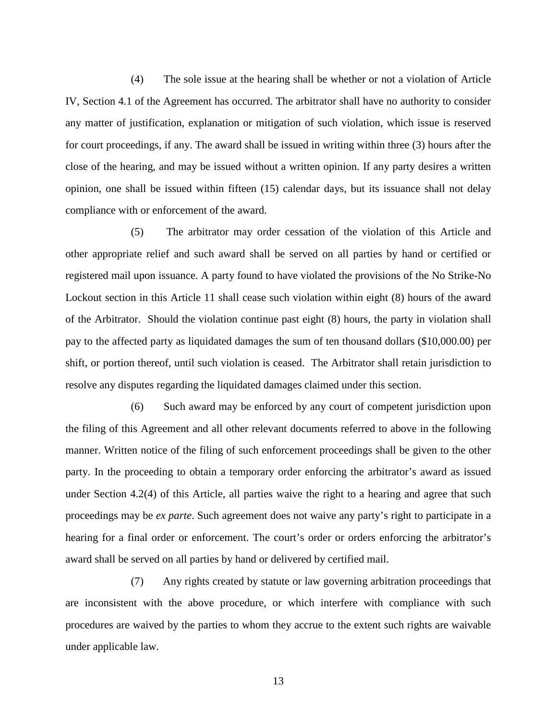(4) The sole issue at the hearing shall be whether or not a violation of Article IV, Section 4.1 of the Agreement has occurred. The arbitrator shall have no authority to consider any matter of justification, explanation or mitigation of such violation, which issue is reserved for court proceedings, if any. The award shall be issued in writing within three (3) hours after the close of the hearing, and may be issued without a written opinion. If any party desires a written opinion, one shall be issued within fifteen (15) calendar days, but its issuance shall not delay compliance with or enforcement of the award.

(5) The arbitrator may order cessation of the violation of this Article and other appropriate relief and such award shall be served on all parties by hand or certified or registered mail upon issuance. A party found to have violated the provisions of the No Strike-No Lockout section in this Article 11 shall cease such violation within eight (8) hours of the award of the Arbitrator. Should the violation continue past eight (8) hours, the party in violation shall pay to the affected party as liquidated damages the sum of ten thousand dollars (\$10,000.00) per shift, or portion thereof, until such violation is ceased. The Arbitrator shall retain jurisdiction to resolve any disputes regarding the liquidated damages claimed under this section.

(6) Such award may be enforced by any court of competent jurisdiction upon the filing of this Agreement and all other relevant documents referred to above in the following manner. Written notice of the filing of such enforcement proceedings shall be given to the other party. In the proceeding to obtain a temporary order enforcing the arbitrator's award as issued under Section 4.2(4) of this Article, all parties waive the right to a hearing and agree that such proceedings may be *ex parte*. Such agreement does not waive any party's right to participate in a hearing for a final order or enforcement. The court's order or orders enforcing the arbitrator's award shall be served on all parties by hand or delivered by certified mail.

(7) Any rights created by statute or law governing arbitration proceedings that are inconsistent with the above procedure, or which interfere with compliance with such procedures are waived by the parties to whom they accrue to the extent such rights are waivable under applicable law.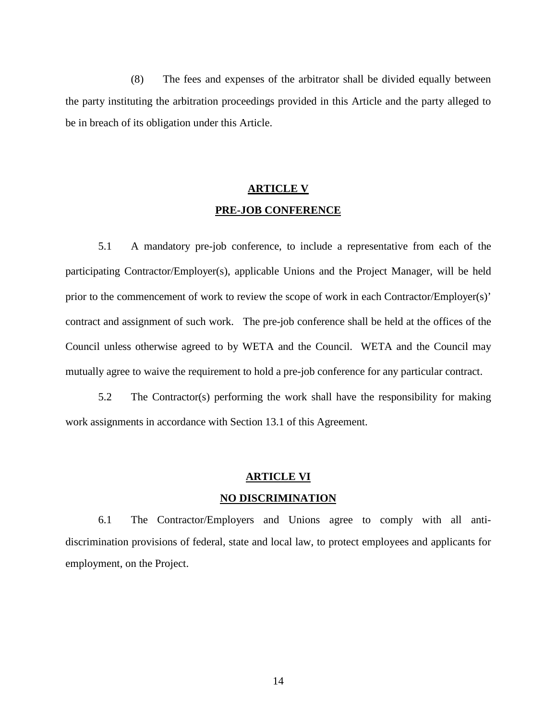(8) The fees and expenses of the arbitrator shall be divided equally between the party instituting the arbitration proceedings provided in this Article and the party alleged to be in breach of its obligation under this Article.

## **ARTICLE V PRE-JOB CONFERENCE**

5.1 A mandatory pre-job conference, to include a representative from each of the participating Contractor/Employer(s), applicable Unions and the Project Manager, will be held prior to the commencement of work to review the scope of work in each Contractor/Employer(s)' contract and assignment of such work. The pre-job conference shall be held at the offices of the Council unless otherwise agreed to by WETA and the Council. WETA and the Council may mutually agree to waive the requirement to hold a pre-job conference for any particular contract.

5.2 The Contractor(s) performing the work shall have the responsibility for making work assignments in accordance with Section 13.1 of this Agreement.

## **ARTICLE VI NO DISCRIMINATION**

6.1 The Contractor/Employers and Unions agree to comply with all antidiscrimination provisions of federal, state and local law, to protect employees and applicants for employment, on the Project.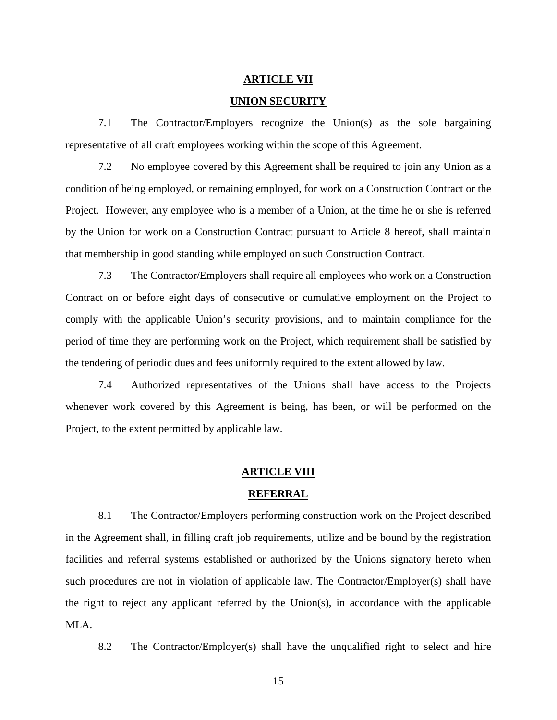#### **ARTICLE VII**

#### **UNION SECURITY**

7.1 The Contractor/Employers recognize the Union(s) as the sole bargaining representative of all craft employees working within the scope of this Agreement.

7.2 No employee covered by this Agreement shall be required to join any Union as a condition of being employed, or remaining employed, for work on a Construction Contract or the Project. However, any employee who is a member of a Union, at the time he or she is referred by the Union for work on a Construction Contract pursuant to Article 8 hereof, shall maintain that membership in good standing while employed on such Construction Contract.

7.3 The Contractor/Employers shall require all employees who work on a Construction Contract on or before eight days of consecutive or cumulative employment on the Project to comply with the applicable Union's security provisions, and to maintain compliance for the period of time they are performing work on the Project, which requirement shall be satisfied by the tendering of periodic dues and fees uniformly required to the extent allowed by law.

7.4 Authorized representatives of the Unions shall have access to the Projects whenever work covered by this Agreement is being, has been, or will be performed on the Project, to the extent permitted by applicable law.

#### **ARTICLE VIII**

#### **REFERRAL**

8.1 The Contractor/Employers performing construction work on the Project described in the Agreement shall, in filling craft job requirements, utilize and be bound by the registration facilities and referral systems established or authorized by the Unions signatory hereto when such procedures are not in violation of applicable law. The Contractor/Employer(s) shall have the right to reject any applicant referred by the Union(s), in accordance with the applicable MLA.

8.2 The Contractor/Employer(s) shall have the unqualified right to select and hire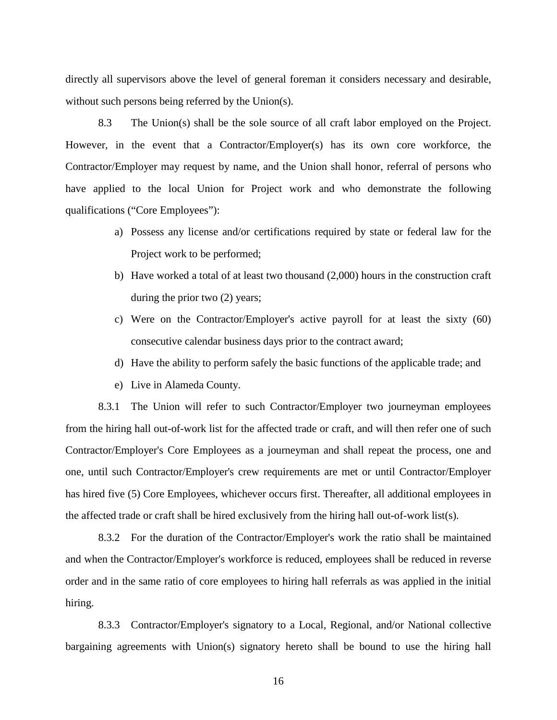directly all supervisors above the level of general foreman it considers necessary and desirable, without such persons being referred by the Union(s).

8.3 The Union(s) shall be the sole source of all craft labor employed on the Project. However, in the event that a Contractor/Employer(s) has its own core workforce, the Contractor/Employer may request by name, and the Union shall honor, referral of persons who have applied to the local Union for Project work and who demonstrate the following qualifications ("Core Employees"):

- a) Possess any license and/or certifications required by state or federal law for the Project work to be performed;
- b) Have worked a total of at least two thousand (2,000) hours in the construction craft during the prior two (2) years;
- c) Were on the Contractor/Employer's active payroll for at least the sixty (60) consecutive calendar business days prior to the contract award;
- d) Have the ability to perform safely the basic functions of the applicable trade; and
- e) Live in Alameda County.

8.3.1 The Union will refer to such Contractor/Employer two journeyman employees from the hiring hall out-of-work list for the affected trade or craft, and will then refer one of such Contractor/Employer's Core Employees as a journeyman and shall repeat the process, one and one, until such Contractor/Employer's crew requirements are met or until Contractor/Employer has hired five (5) Core Employees, whichever occurs first. Thereafter, all additional employees in the affected trade or craft shall be hired exclusively from the hiring hall out-of-work list(s).

8.3.2 For the duration of the Contractor/Employer's work the ratio shall be maintained and when the Contractor/Employer's workforce is reduced, employees shall be reduced in reverse order and in the same ratio of core employees to hiring hall referrals as was applied in the initial hiring.

8.3.3 Contractor/Employer's signatory to a Local, Regional, and/or National collective bargaining agreements with Union(s) signatory hereto shall be bound to use the hiring hall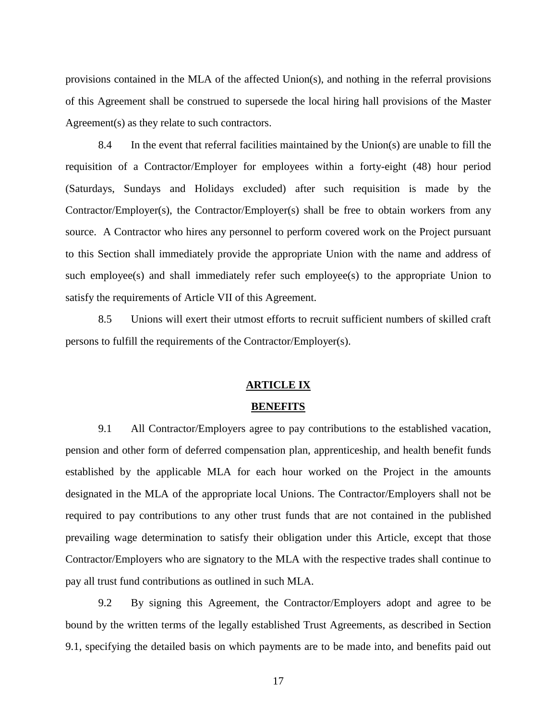provisions contained in the MLA of the affected Union(s), and nothing in the referral provisions of this Agreement shall be construed to supersede the local hiring hall provisions of the Master Agreement(s) as they relate to such contractors.

8.4 In the event that referral facilities maintained by the Union(s) are unable to fill the requisition of a Contractor/Employer for employees within a forty-eight (48) hour period (Saturdays, Sundays and Holidays excluded) after such requisition is made by the Contractor/Employer(s), the Contractor/Employer(s) shall be free to obtain workers from any source. A Contractor who hires any personnel to perform covered work on the Project pursuant to this Section shall immediately provide the appropriate Union with the name and address of such employee(s) and shall immediately refer such employee(s) to the appropriate Union to satisfy the requirements of Article VII of this Agreement.

8.5 Unions will exert their utmost efforts to recruit sufficient numbers of skilled craft persons to fulfill the requirements of the Contractor/Employer(s).

#### **ARTICLE IX**

#### **BENEFITS**

9.1 All Contractor/Employers agree to pay contributions to the established vacation, pension and other form of deferred compensation plan, apprenticeship, and health benefit funds established by the applicable MLA for each hour worked on the Project in the amounts designated in the MLA of the appropriate local Unions. The Contractor/Employers shall not be required to pay contributions to any other trust funds that are not contained in the published prevailing wage determination to satisfy their obligation under this Article, except that those Contractor/Employers who are signatory to the MLA with the respective trades shall continue to pay all trust fund contributions as outlined in such MLA.

9.2 By signing this Agreement, the Contractor/Employers adopt and agree to be bound by the written terms of the legally established Trust Agreements, as described in Section 9.1, specifying the detailed basis on which payments are to be made into, and benefits paid out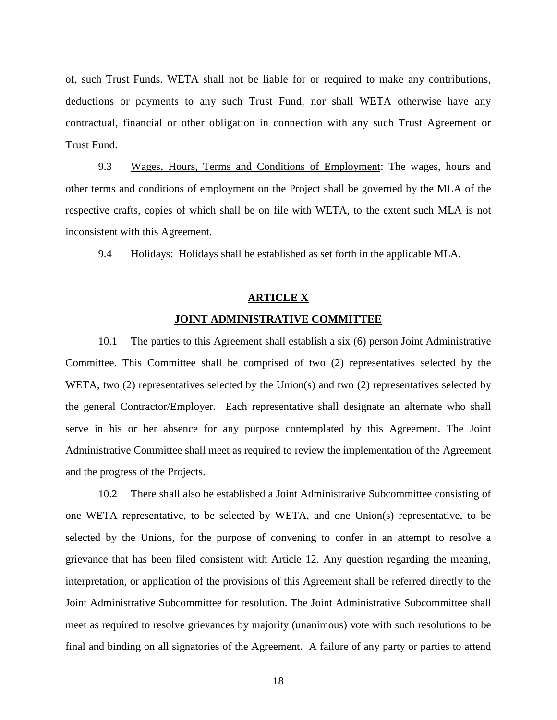of, such Trust Funds. WETA shall not be liable for or required to make any contributions, deductions or payments to any such Trust Fund, nor shall WETA otherwise have any contractual, financial or other obligation in connection with any such Trust Agreement or Trust Fund.

9.3 Wages, Hours, Terms and Conditions of Employment: The wages, hours and other terms and conditions of employment on the Project shall be governed by the MLA of the respective crafts, copies of which shall be on file with WETA, to the extent such MLA is not inconsistent with this Agreement.

9.4 Holidays: Holidays shall be established as set forth in the applicable MLA.

#### **ARTICLE X**

#### **JOINT ADMINISTRATIVE COMMITTEE**

10.1 The parties to this Agreement shall establish a six (6) person Joint Administrative Committee. This Committee shall be comprised of two (2) representatives selected by the WETA, two (2) representatives selected by the Union(s) and two (2) representatives selected by the general Contractor/Employer. Each representative shall designate an alternate who shall serve in his or her absence for any purpose contemplated by this Agreement. The Joint Administrative Committee shall meet as required to review the implementation of the Agreement and the progress of the Projects.

10.2 There shall also be established a Joint Administrative Subcommittee consisting of one WETA representative, to be selected by WETA, and one Union(s) representative, to be selected by the Unions, for the purpose of convening to confer in an attempt to resolve a grievance that has been filed consistent with Article 12. Any question regarding the meaning, interpretation, or application of the provisions of this Agreement shall be referred directly to the Joint Administrative Subcommittee for resolution. The Joint Administrative Subcommittee shall meet as required to resolve grievances by majority (unanimous) vote with such resolutions to be final and binding on all signatories of the Agreement. A failure of any party or parties to attend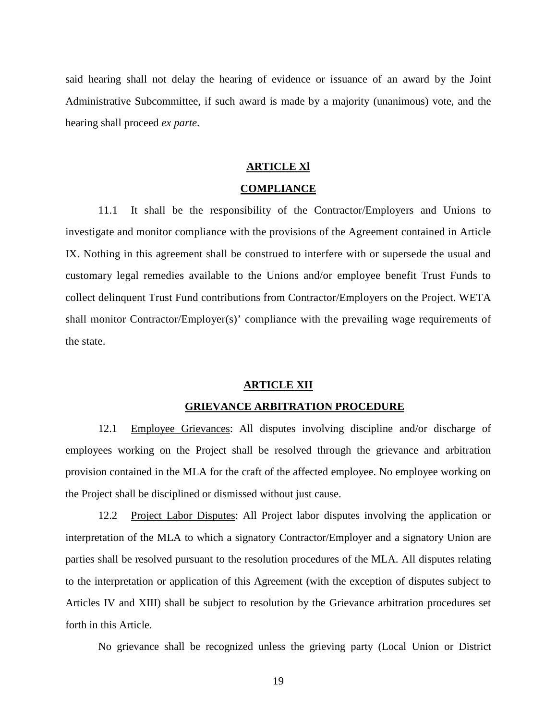said hearing shall not delay the hearing of evidence or issuance of an award by the Joint Administrative Subcommittee, if such award is made by a majority (unanimous) vote, and the hearing shall proceed *ex parte*.

#### **ARTICLE Xl**

#### **COMPLIANCE**

11.1 It shall be the responsibility of the Contractor/Employers and Unions to investigate and monitor compliance with the provisions of the Agreement contained in Article IX. Nothing in this agreement shall be construed to interfere with or supersede the usual and customary legal remedies available to the Unions and/or employee benefit Trust Funds to collect delinquent Trust Fund contributions from Contractor/Employers on the Project. WETA shall monitor Contractor/Employer(s)' compliance with the prevailing wage requirements of the state.

#### **ARTICLE XII**

#### **GRIEVANCE ARBITRATION PROCEDURE**

12.1 Employee Grievances: All disputes involving discipline and/or discharge of employees working on the Project shall be resolved through the grievance and arbitration provision contained in the MLA for the craft of the affected employee. No employee working on the Project shall be disciplined or dismissed without just cause.

12.2 Project Labor Disputes: All Project labor disputes involving the application or interpretation of the MLA to which a signatory Contractor/Employer and a signatory Union are parties shall be resolved pursuant to the resolution procedures of the MLA. All disputes relating to the interpretation or application of this Agreement (with the exception of disputes subject to Articles IV and XIII) shall be subject to resolution by the Grievance arbitration procedures set forth in this Article.

No grievance shall be recognized unless the grieving party (Local Union or District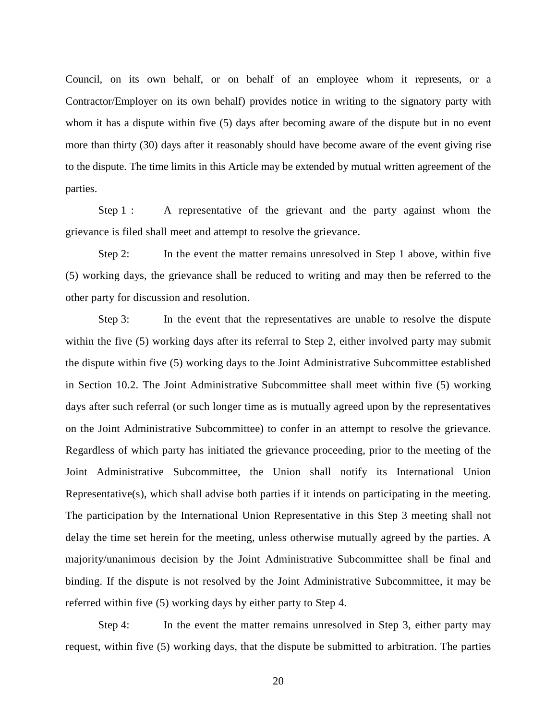Council, on its own behalf, or on behalf of an employee whom it represents, or a Contractor/Employer on its own behalf) provides notice in writing to the signatory party with whom it has a dispute within five (5) days after becoming aware of the dispute but in no event more than thirty (30) days after it reasonably should have become aware of the event giving rise to the dispute. The time limits in this Article may be extended by mutual written agreement of the parties.

Step 1 : A representative of the grievant and the party against whom the grievance is filed shall meet and attempt to resolve the grievance.

Step 2: In the event the matter remains unresolved in Step 1 above, within five (5) working days, the grievance shall be reduced to writing and may then be referred to the other party for discussion and resolution.

Step 3: In the event that the representatives are unable to resolve the dispute within the five (5) working days after its referral to Step 2, either involved party may submit the dispute within five (5) working days to the Joint Administrative Subcommittee established in Section 10.2. The Joint Administrative Subcommittee shall meet within five (5) working days after such referral (or such longer time as is mutually agreed upon by the representatives on the Joint Administrative Subcommittee) to confer in an attempt to resolve the grievance. Regardless of which party has initiated the grievance proceeding, prior to the meeting of the Joint Administrative Subcommittee, the Union shall notify its International Union Representative(s), which shall advise both parties if it intends on participating in the meeting. The participation by the International Union Representative in this Step 3 meeting shall not delay the time set herein for the meeting, unless otherwise mutually agreed by the parties. A majority/unanimous decision by the Joint Administrative Subcommittee shall be final and binding. If the dispute is not resolved by the Joint Administrative Subcommittee, it may be referred within five (5) working days by either party to Step 4.

Step 4: In the event the matter remains unresolved in Step 3, either party may request, within five (5) working days, that the dispute be submitted to arbitration. The parties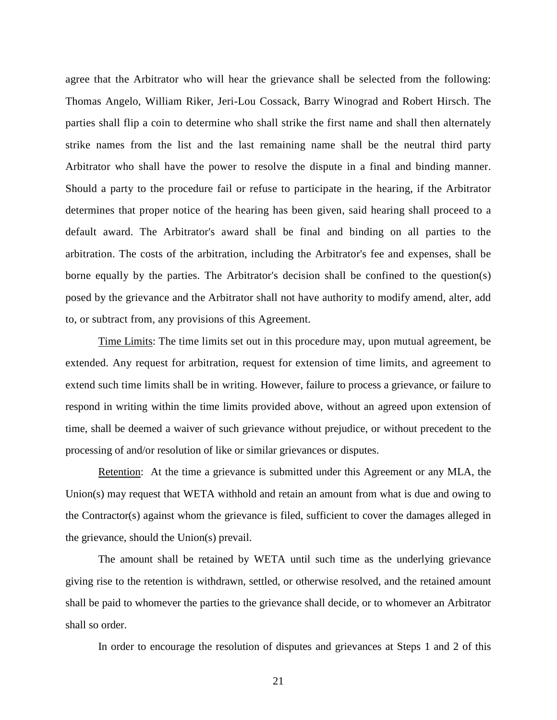agree that the Arbitrator who will hear the grievance shall be selected from the following: Thomas Angelo, William Riker, Jeri-Lou Cossack, Barry Winograd and Robert Hirsch. The parties shall flip a coin to determine who shall strike the first name and shall then alternately strike names from the list and the last remaining name shall be the neutral third party Arbitrator who shall have the power to resolve the dispute in a final and binding manner. Should a party to the procedure fail or refuse to participate in the hearing, if the Arbitrator determines that proper notice of the hearing has been given, said hearing shall proceed to a default award. The Arbitrator's award shall be final and binding on all parties to the arbitration. The costs of the arbitration, including the Arbitrator's fee and expenses, shall be borne equally by the parties. The Arbitrator's decision shall be confined to the question(s) posed by the grievance and the Arbitrator shall not have authority to modify amend, alter, add to, or subtract from, any provisions of this Agreement.

Time Limits: The time limits set out in this procedure may, upon mutual agreement, be extended. Any request for arbitration, request for extension of time limits, and agreement to extend such time limits shall be in writing. However, failure to process a grievance, or failure to respond in writing within the time limits provided above, without an agreed upon extension of time, shall be deemed a waiver of such grievance without prejudice, or without precedent to the processing of and/or resolution of like or similar grievances or disputes.

Retention: At the time a grievance is submitted under this Agreement or any MLA, the Union(s) may request that WETA withhold and retain an amount from what is due and owing to the Contractor(s) against whom the grievance is filed, sufficient to cover the damages alleged in the grievance, should the Union(s) prevail.

The amount shall be retained by WETA until such time as the underlying grievance giving rise to the retention is withdrawn, settled, or otherwise resolved, and the retained amount shall be paid to whomever the parties to the grievance shall decide, or to whomever an Arbitrator shall so order.

In order to encourage the resolution of disputes and grievances at Steps 1 and 2 of this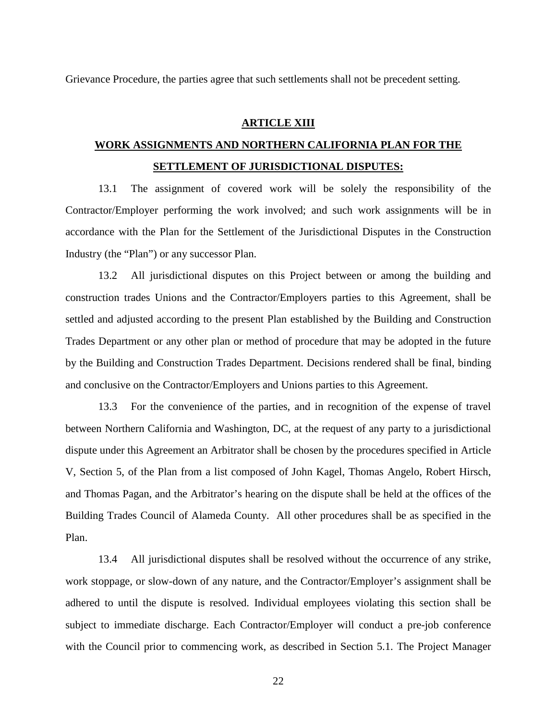Grievance Procedure, the parties agree that such settlements shall not be precedent setting.

#### **ARTICLE XIII**

## **WORK ASSIGNMENTS AND NORTHERN CALIFORNIA PLAN FOR THE SETTLEMENT OF JURISDICTIONAL DISPUTES:**

13.1 The assignment of covered work will be solely the responsibility of the Contractor/Employer performing the work involved; and such work assignments will be in accordance with the Plan for the Settlement of the Jurisdictional Disputes in the Construction Industry (the "Plan") or any successor Plan.

13.2 All jurisdictional disputes on this Project between or among the building and construction trades Unions and the Contractor/Employers parties to this Agreement, shall be settled and adjusted according to the present Plan established by the Building and Construction Trades Department or any other plan or method of procedure that may be adopted in the future by the Building and Construction Trades Department. Decisions rendered shall be final, binding and conclusive on the Contractor/Employers and Unions parties to this Agreement.

13.3 For the convenience of the parties, and in recognition of the expense of travel between Northern California and Washington, DC, at the request of any party to a jurisdictional dispute under this Agreement an Arbitrator shall be chosen by the procedures specified in Article V, Section 5, of the Plan from a list composed of John Kagel, Thomas Angelo, Robert Hirsch, and Thomas Pagan, and the Arbitrator's hearing on the dispute shall be held at the offices of the Building Trades Council of Alameda County. All other procedures shall be as specified in the Plan.

13.4 All jurisdictional disputes shall be resolved without the occurrence of any strike, work stoppage, or slow-down of any nature, and the Contractor/Employer's assignment shall be adhered to until the dispute is resolved. Individual employees violating this section shall be subject to immediate discharge. Each Contractor/Employer will conduct a pre-job conference with the Council prior to commencing work, as described in Section 5.1. The Project Manager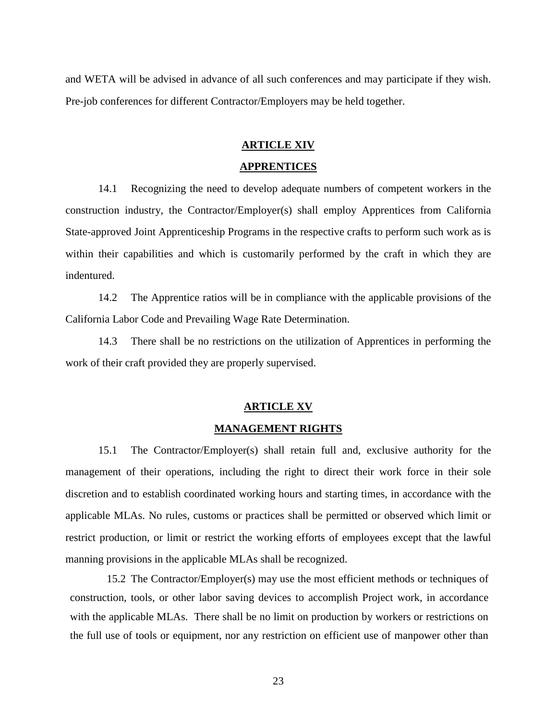and WETA will be advised in advance of all such conferences and may participate if they wish. Pre-job conferences for different Contractor/Employers may be held together.

#### **ARTICLE XIV**

#### **APPRENTICES**

14.1 Recognizing the need to develop adequate numbers of competent workers in the construction industry, the Contractor/Employer(s) shall employ Apprentices from California State-approved Joint Apprenticeship Programs in the respective crafts to perform such work as is within their capabilities and which is customarily performed by the craft in which they are indentured.

14.2 The Apprentice ratios will be in compliance with the applicable provisions of the California Labor Code and Prevailing Wage Rate Determination.

14.3 There shall be no restrictions on the utilization of Apprentices in performing the work of their craft provided they are properly supervised.

#### **ARTICLE XV**

#### **MANAGEMENT RIGHTS**

15.1 The Contractor/Employer(s) shall retain full and, exclusive authority for the management of their operations, including the right to direct their work force in their sole discretion and to establish coordinated working hours and starting times, in accordance with the applicable MLAs. No rules, customs or practices shall be permitted or observed which limit or restrict production, or limit or restrict the working efforts of employees except that the lawful manning provisions in the applicable MLAs shall be recognized.

15.2 The Contractor/Employer(s) may use the most efficient methods or techniques of construction, tools, or other labor saving devices to accomplish Project work, in accordance with the applicable MLAs. There shall be no limit on production by workers or restrictions on the full use of tools or equipment, nor any restriction on efficient use of manpower other than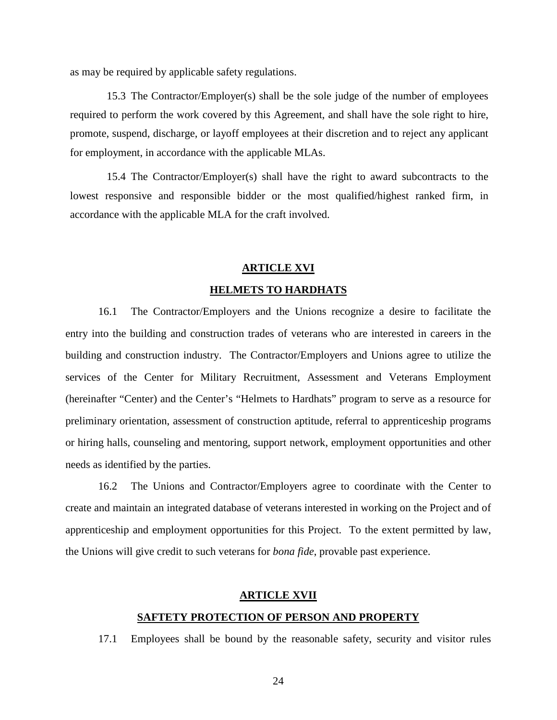as may be required by applicable safety regulations.

15.3 The Contractor/Employer(s) shall be the sole judge of the number of employees required to perform the work covered by this Agreement, and shall have the sole right to hire, promote, suspend, discharge, or layoff employees at their discretion and to reject any applicant for employment, in accordance with the applicable MLAs.

15.4 The Contractor/Employer(s) shall have the right to award subcontracts to the lowest responsive and responsible bidder or the most qualified/highest ranked firm, in accordance with the applicable MLA for the craft involved.

#### **ARTICLE XVI**

#### **HELMETS TO HARDHATS**

16.1 The Contractor/Employers and the Unions recognize a desire to facilitate the entry into the building and construction trades of veterans who are interested in careers in the building and construction industry. The Contractor/Employers and Unions agree to utilize the services of the Center for Military Recruitment, Assessment and Veterans Employment (hereinafter "Center) and the Center's "Helmets to Hardhats" program to serve as a resource for preliminary orientation, assessment of construction aptitude, referral to apprenticeship programs or hiring halls, counseling and mentoring, support network, employment opportunities and other needs as identified by the parties.

16.2 The Unions and Contractor/Employers agree to coordinate with the Center to create and maintain an integrated database of veterans interested in working on the Project and of apprenticeship and employment opportunities for this Project. To the extent permitted by law, the Unions will give credit to such veterans for *bona fide*, provable past experience.

#### **ARTICLE XVII**

#### **SAFTETY PROTECTION OF PERSON AND PROPERTY**

17.1 Employees shall be bound by the reasonable safety, security and visitor rules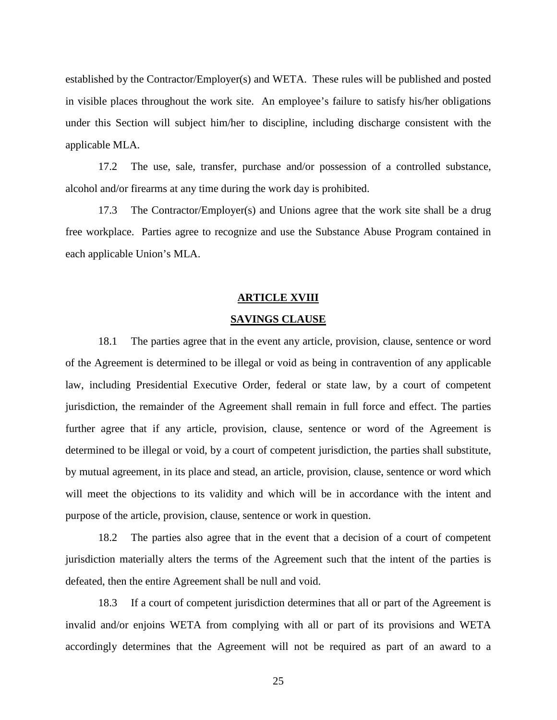established by the Contractor/Employer(s) and WETA. These rules will be published and posted in visible places throughout the work site. An employee's failure to satisfy his/her obligations under this Section will subject him/her to discipline, including discharge consistent with the applicable MLA.

17.2 The use, sale, transfer, purchase and/or possession of a controlled substance, alcohol and/or firearms at any time during the work day is prohibited.

17.3 The Contractor/Employer(s) and Unions agree that the work site shall be a drug free workplace. Parties agree to recognize and use the Substance Abuse Program contained in each applicable Union's MLA.

#### **ARTICLE XVIII**

#### **SAVINGS CLAUSE**

18.1 The parties agree that in the event any article, provision, clause, sentence or word of the Agreement is determined to be illegal or void as being in contravention of any applicable law, including Presidential Executive Order, federal or state law, by a court of competent jurisdiction, the remainder of the Agreement shall remain in full force and effect. The parties further agree that if any article, provision, clause, sentence or word of the Agreement is determined to be illegal or void, by a court of competent jurisdiction, the parties shall substitute, by mutual agreement, in its place and stead, an article, provision, clause, sentence or word which will meet the objections to its validity and which will be in accordance with the intent and purpose of the article, provision, clause, sentence or work in question.

18.2 The parties also agree that in the event that a decision of a court of competent jurisdiction materially alters the terms of the Agreement such that the intent of the parties is defeated, then the entire Agreement shall be null and void.

18.3 If a court of competent jurisdiction determines that all or part of the Agreement is invalid and/or enjoins WETA from complying with all or part of its provisions and WETA accordingly determines that the Agreement will not be required as part of an award to a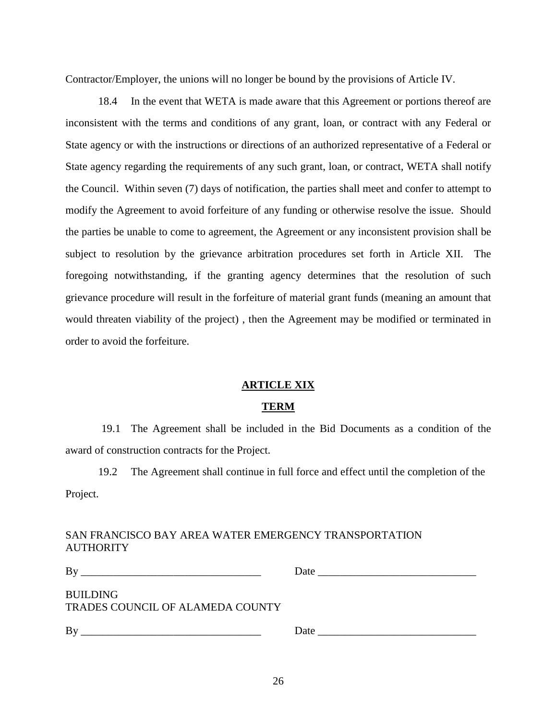Contractor/Employer, the unions will no longer be bound by the provisions of Article IV.

18.4 In the event that WETA is made aware that this Agreement or portions thereof are inconsistent with the terms and conditions of any grant, loan, or contract with any Federal or State agency or with the instructions or directions of an authorized representative of a Federal or State agency regarding the requirements of any such grant, loan, or contract, WETA shall notify the Council. Within seven (7) days of notification, the parties shall meet and confer to attempt to modify the Agreement to avoid forfeiture of any funding or otherwise resolve the issue. Should the parties be unable to come to agreement, the Agreement or any inconsistent provision shall be subject to resolution by the grievance arbitration procedures set forth in Article XII. The foregoing notwithstanding, if the granting agency determines that the resolution of such grievance procedure will result in the forfeiture of material grant funds (meaning an amount that would threaten viability of the project) , then the Agreement may be modified or terminated in order to avoid the forfeiture.

#### **ARTICLE XIX**

#### **TERM**

19.1 The Agreement shall be included in the Bid Documents as a condition of the award of construction contracts for the Project.

19.2 The Agreement shall continue in full force and effect until the completion of the Project.

#### SAN FRANCISCO BAY AREA WATER EMERGENCY TRANSPORTATION **AUTHORITY**

| Вy<br>the control of the control of the control of the control of the control of the control of                             | Date<br>the contract of the contract of the contract of the contract of the contract of |
|-----------------------------------------------------------------------------------------------------------------------------|-----------------------------------------------------------------------------------------|
| BUILDING<br>TRADES COUNCIL OF ALAMEDA COUNTY                                                                                |                                                                                         |
| By<br><u> 1990 - Johann Harry Barn, march 1990 - Ann an t-Amhair Aonaichte ann an t-Aonaichte ann an t-Aonaichte ann an</u> | Date                                                                                    |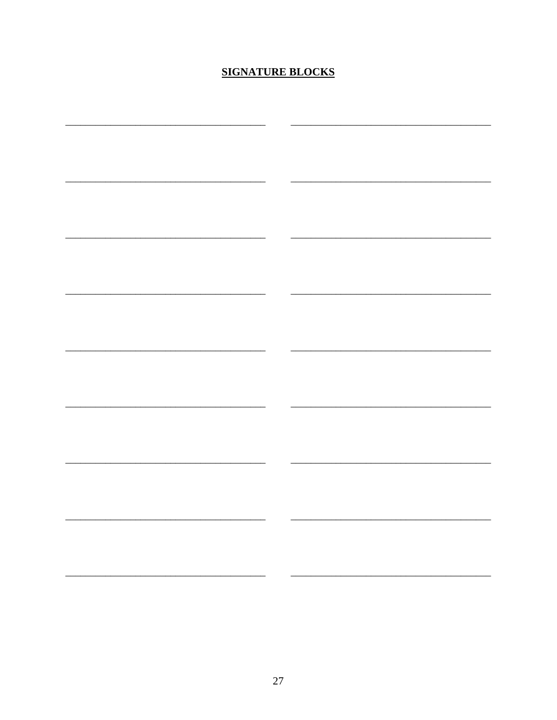## **SIGNATURE BLOCKS**

| — — |  |
|-----|--|
|     |  |
|     |  |
|     |  |
|     |  |
|     |  |
|     |  |
|     |  |
|     |  |
|     |  |
|     |  |
|     |  |
|     |  |
|     |  |
|     |  |
|     |  |
|     |  |
|     |  |
|     |  |
|     |  |
|     |  |
|     |  |
|     |  |
|     |  |
|     |  |
|     |  |
|     |  |
|     |  |
|     |  |
|     |  |
|     |  |
|     |  |
|     |  |
|     |  |
|     |  |
|     |  |
|     |  |
|     |  |
|     |  |
|     |  |
|     |  |
|     |  |
|     |  |
|     |  |
|     |  |
|     |  |
|     |  |
|     |  |
|     |  |
|     |  |
|     |  |
|     |  |
|     |  |
|     |  |
|     |  |
|     |  |
|     |  |
|     |  |
|     |  |
|     |  |
|     |  |
|     |  |
|     |  |
|     |  |
|     |  |
|     |  |
|     |  |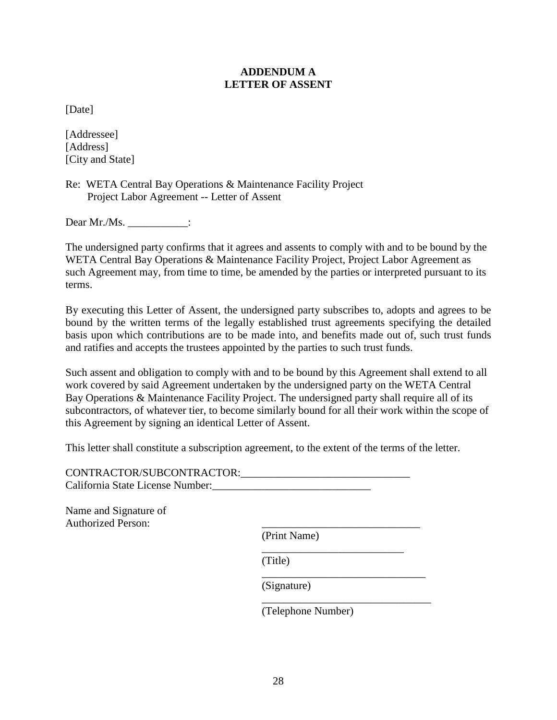#### **ADDENDUM A LETTER OF ASSENT**

[Date]

[Addressee] [Address] [City and State]

Re: WETA Central Bay Operations & Maintenance Facility Project Project Labor Agreement -- Letter of Assent

Dear Mr./Ms.  $\qquad \qquad :$ 

The undersigned party confirms that it agrees and assents to comply with and to be bound by the WETA Central Bay Operations & Maintenance Facility Project, Project Labor Agreement as such Agreement may, from time to time, be amended by the parties or interpreted pursuant to its terms.

By executing this Letter of Assent, the undersigned party subscribes to, adopts and agrees to be bound by the written terms of the legally established trust agreements specifying the detailed basis upon which contributions are to be made into, and benefits made out of, such trust funds and ratifies and accepts the trustees appointed by the parties to such trust funds.

Such assent and obligation to comply with and to be bound by this Agreement shall extend to all work covered by said Agreement undertaken by the undersigned party on the WETA Central Bay Operations & Maintenance Facility Project. The undersigned party shall require all of its subcontractors, of whatever tier, to become similarly bound for all their work within the scope of this Agreement by signing an identical Letter of Assent.

This letter shall constitute a subscription agreement, to the extent of the terms of the letter.

| CONTRACTOR/SUBCONTRACTOR:        |  |
|----------------------------------|--|
| California State License Number: |  |

Name and Signature of Authorized Person:

(Print Name)

(Title)

(Signature)

\_\_\_\_\_\_\_\_\_\_\_\_\_\_\_\_\_\_\_\_\_\_\_\_\_\_\_\_\_\_\_ (Telephone Number)

\_\_\_\_\_\_\_\_\_\_\_\_\_\_\_\_\_\_\_\_\_\_\_\_\_\_

\_\_\_\_\_\_\_\_\_\_\_\_\_\_\_\_\_\_\_\_\_\_\_\_\_\_\_\_\_\_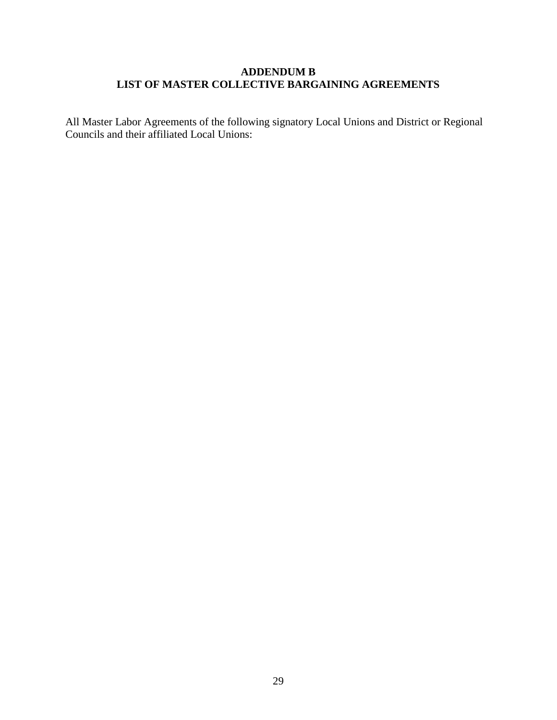#### **ADDENDUM B LIST OF MASTER COLLECTIVE BARGAINING AGREEMENTS**

All Master Labor Agreements of the following signatory Local Unions and District or Regional Councils and their affiliated Local Unions: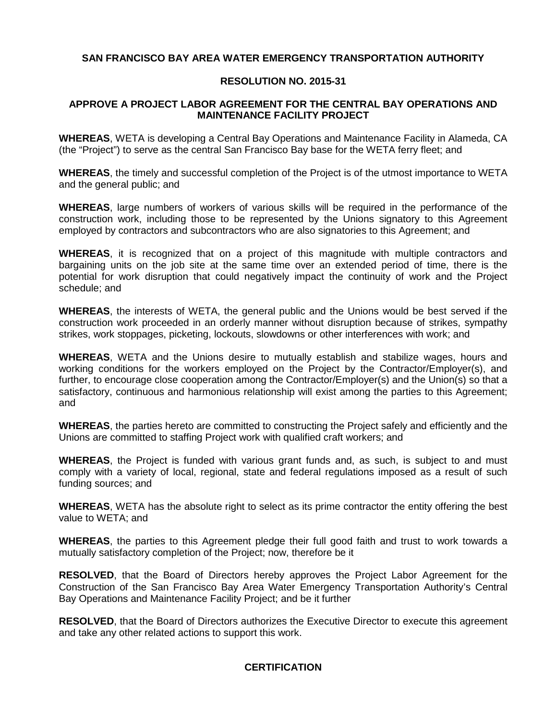#### **SAN FRANCISCO BAY AREA WATER EMERGENCY TRANSPORTATION AUTHORITY**

#### **RESOLUTION NO. 2015-31**

#### **APPROVE A PROJECT LABOR AGREEMENT FOR THE CENTRAL BAY OPERATIONS AND MAINTENANCE FACILITY PROJECT**

**WHEREAS**, WETA is developing a Central Bay Operations and Maintenance Facility in Alameda, CA (the "Project") to serve as the central San Francisco Bay base for the WETA ferry fleet; and

**WHEREAS**, the timely and successful completion of the Project is of the utmost importance to WETA and the general public; and

**WHEREAS**, large numbers of workers of various skills will be required in the performance of the construction work, including those to be represented by the Unions signatory to this Agreement employed by contractors and subcontractors who are also signatories to this Agreement; and

**WHEREAS**, it is recognized that on a project of this magnitude with multiple contractors and bargaining units on the job site at the same time over an extended period of time, there is the potential for work disruption that could negatively impact the continuity of work and the Project schedule; and

**WHEREAS**, the interests of WETA, the general public and the Unions would be best served if the construction work proceeded in an orderly manner without disruption because of strikes, sympathy strikes, work stoppages, picketing, lockouts, slowdowns or other interferences with work; and

**WHEREAS**, WETA and the Unions desire to mutually establish and stabilize wages, hours and working conditions for the workers employed on the Project by the Contractor/Employer(s), and further, to encourage close cooperation among the Contractor/Employer(s) and the Union(s) so that a satisfactory, continuous and harmonious relationship will exist among the parties to this Agreement; and

**WHEREAS**, the parties hereto are committed to constructing the Project safely and efficiently and the Unions are committed to staffing Project work with qualified craft workers; and

**WHEREAS**, the Project is funded with various grant funds and, as such, is subject to and must comply with a variety of local, regional, state and federal regulations imposed as a result of such funding sources; and

**WHEREAS**, WETA has the absolute right to select as its prime contractor the entity offering the best value to WETA; and

**WHEREAS**, the parties to this Agreement pledge their full good faith and trust to work towards a mutually satisfactory completion of the Project; now, therefore be it

**RESOLVED**, that the Board of Directors hereby approves the Project Labor Agreement for the Construction of the San Francisco Bay Area Water Emergency Transportation Authority's Central Bay Operations and Maintenance Facility Project; and be it further

**RESOLVED**, that the Board of Directors authorizes the Executive Director to execute this agreement and take any other related actions to support this work.

#### **CERTIFICATION**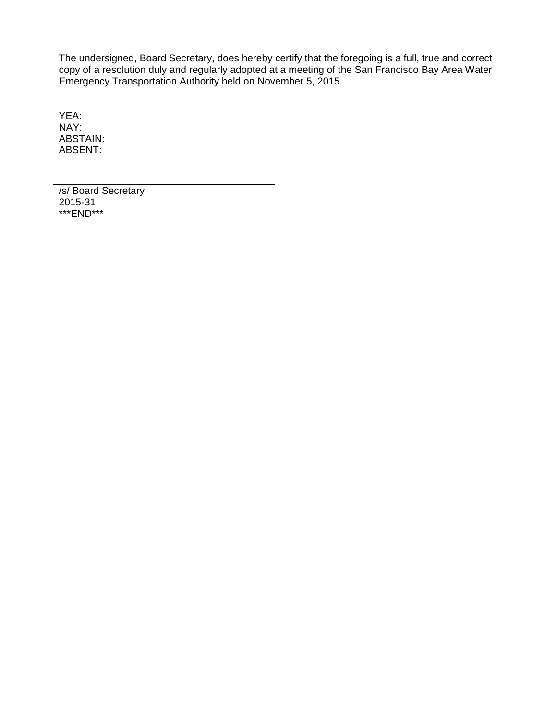The undersigned, Board Secretary, does hereby certify that the foregoing is a full, true and correct copy of a resolution duly and regularly adopted at a meeting of the San Francisco Bay Area Water Emergency Transportation Authority held on November 5, 2015.

YEA: NAY: ABSTAIN: ABSENT:

/s/ Board Secretary 2015-31 \*\*\*END\*\*\*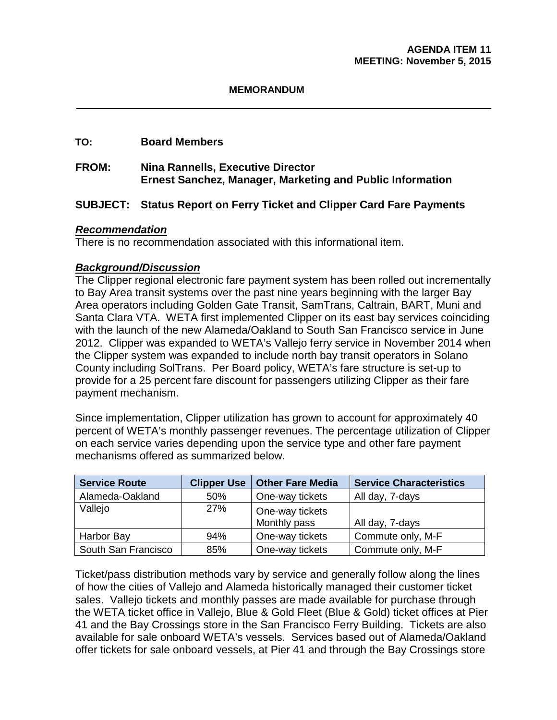#### **MEMORANDUM**

#### **TO: Board Members**

#### **FROM: Nina Rannells, Executive Director Ernest Sanchez, Manager, Marketing and Public Information**

#### **SUBJECT: Status Report on Ferry Ticket and Clipper Card Fare Payments**

#### *Recommendation*

There is no recommendation associated with this informational item.

#### *Background/Discussion*

The Clipper regional electronic fare payment system has been rolled out incrementally to Bay Area transit systems over the past nine years beginning with the larger Bay Area operators including Golden Gate Transit, SamTrans, Caltrain, BART, Muni and Santa Clara VTA. WETA first implemented Clipper on its east bay services coinciding with the launch of the new Alameda/Oakland to South San Francisco service in June 2012. Clipper was expanded to WETA's Vallejo ferry service in November 2014 when the Clipper system was expanded to include north bay transit operators in Solano County including SolTrans. Per Board policy, WETA's fare structure is set-up to provide for a 25 percent fare discount for passengers utilizing Clipper as their fare payment mechanism.

Since implementation, Clipper utilization has grown to account for approximately 40 percent of WETA's monthly passenger revenues. The percentage utilization of Clipper on each service varies depending upon the service type and other fare payment mechanisms offered as summarized below.

| <b>Service Route</b> | <b>Clipper Use</b> | <b>Other Fare Media</b>         | <b>Service Characteristics</b> |
|----------------------|--------------------|---------------------------------|--------------------------------|
| Alameda-Oakland      | 50%                | One-way tickets                 | All day, 7-days                |
| Vallejo              | 27%                | One-way tickets<br>Monthly pass | All day, 7-days                |
| Harbor Bay           | 94%                | One-way tickets                 | Commute only, M-F              |
| South San Francisco  | 85%                | One-way tickets                 | Commute only, M-F              |

Ticket/pass distribution methods vary by service and generally follow along the lines of how the cities of Vallejo and Alameda historically managed their customer ticket sales. Vallejo tickets and monthly passes are made available for purchase through the WETA ticket office in Vallejo, Blue & Gold Fleet (Blue & Gold) ticket offices at Pier 41 and the Bay Crossings store in the San Francisco Ferry Building. Tickets are also available for sale onboard WETA's vessels. Services based out of Alameda/Oakland offer tickets for sale onboard vessels, at Pier 41 and through the Bay Crossings store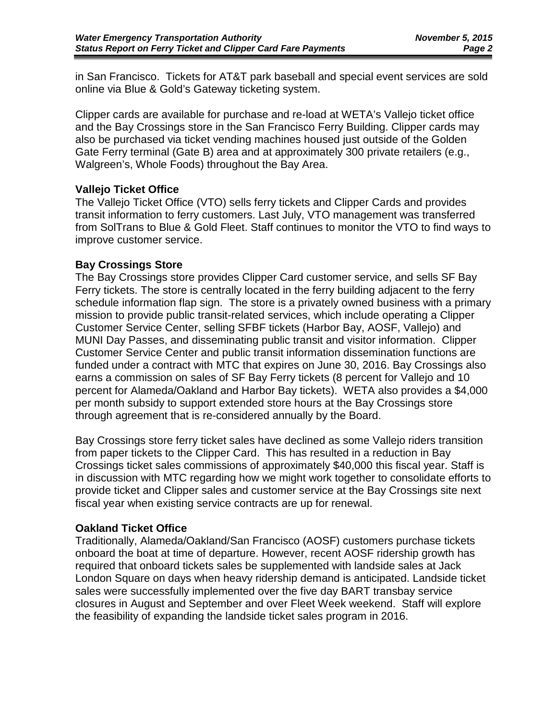in San Francisco. Tickets for AT&T park baseball and special event services are sold online via Blue & Gold's Gateway ticketing system.

Clipper cards are available for purchase and re-load at WETA's Vallejo ticket office and the Bay Crossings store in the San Francisco Ferry Building. Clipper cards may also be purchased via ticket vending machines housed just outside of the Golden Gate Ferry terminal (Gate B) area and at approximately 300 private retailers (e.g., Walgreen's, Whole Foods) throughout the Bay Area.

#### **Vallejo Ticket Office**

The Vallejo Ticket Office (VTO) sells ferry tickets and Clipper Cards and provides transit information to ferry customers. Last July, VTO management was transferred from SolTrans to Blue & Gold Fleet. Staff continues to monitor the VTO to find ways to improve customer service.

#### **Bay Crossings Store**

The Bay Crossings store provides Clipper Card customer service, and sells SF Bay Ferry tickets. The store is centrally located in the ferry building adjacent to the ferry schedule information flap sign. The store is a privately owned business with a primary mission to provide public transit-related services, which include operating a Clipper Customer Service Center, selling SFBF tickets (Harbor Bay, AOSF, Vallejo) and MUNI Day Passes, and disseminating public transit and visitor information. Clipper Customer Service Center and public transit information dissemination functions are funded under a contract with MTC that expires on June 30, 2016. Bay Crossings also earns a commission on sales of SF Bay Ferry tickets (8 percent for Vallejo and 10 percent for Alameda/Oakland and Harbor Bay tickets). WETA also provides a \$4,000 per month subsidy to support extended store hours at the Bay Crossings store through agreement that is re-considered annually by the Board.

Bay Crossings store ferry ticket sales have declined as some Vallejo riders transition from paper tickets to the Clipper Card. This has resulted in a reduction in Bay Crossings ticket sales commissions of approximately \$40,000 this fiscal year. Staff is in discussion with MTC regarding how we might work together to consolidate efforts to provide ticket and Clipper sales and customer service at the Bay Crossings site next fiscal year when existing service contracts are up for renewal.

#### **Oakland Ticket Office**

Traditionally, Alameda/Oakland/San Francisco (AOSF) customers purchase tickets onboard the boat at time of departure. However, recent AOSF ridership growth has required that onboard tickets sales be supplemented with landside sales at Jack London Square on days when heavy ridership demand is anticipated. Landside ticket sales were successfully implemented over the five day BART transbay service closures in August and September and over Fleet Week weekend. Staff will explore the feasibility of expanding the landside ticket sales program in 2016.